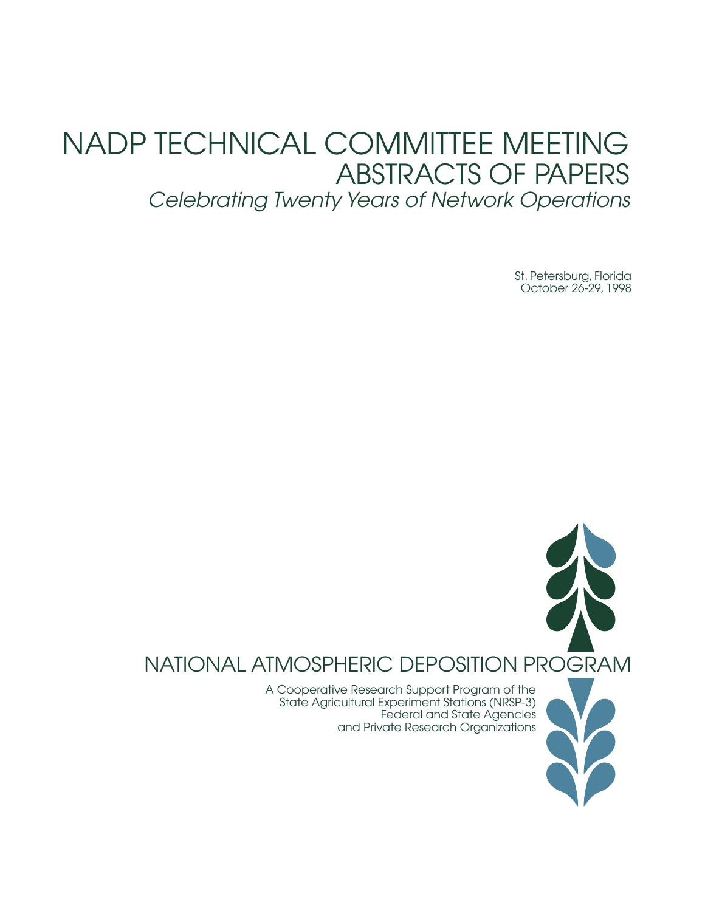# NADP TECHNICAL COMMITTEE MEETING ABSTRACTS OF PAPERS *Celebrating Twenty Years of Network Operations*

St. Petersburg, Florida October 26-29, 1998

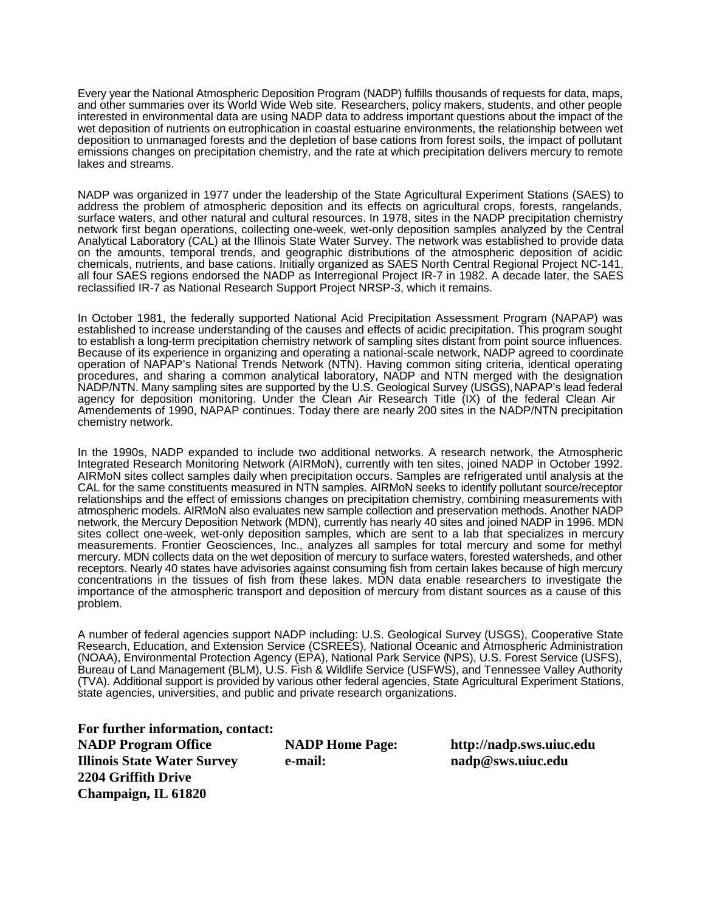Every year the National Atmospheric Deposition Program (NADP) fulfills thousands of requests for data, maps, and other summaries over its World Wide Web site. Researchers, policy makers, students, and other people interested in environmental data are using NADP data to address important questions about the impact of the wet deposition of nutrients on eutrophication in coastal estuarine environments, the relationship between wet deposition to unmanaged forests and the depletion of base cations from forest soils, the impact of pollutant emissions changes on precipitation chemistry, and the rate at which precipitation delivers mercury to remote lakes and streams.

NADP was organized in 1977 under the leadership of the State Agricultural Experiment Stations (SAES) to address the problem of atmospheric deposition and its effects on agricultural crops, forests, rangelands, surface waters, and other natural and cultural resources. In 1978, sites in the NADP precipitation chemistry network first began operations, collecting one-week, wet-only deposition samples analyzed by the Central Analytical Laboratory (CAL) at the Illinois State Water Survey. The network was established to provide data on the amounts, temporal trends, and geographic distributions of the atmospheric deposition of acidic chemicals, nutrients, and base cations. Initially organized as SAES North Central Regional Project NC-141, all four SAES regions endorsed the NADP as Interregional Project IR-7 in 1982. A decade later, the SAES reclassified IR-7 as National Research Support Project NRSP-3, which it remains.

In October 1981, the federally supported National Acid Precipitation Assessment Program (NAPAP) was established to increase understanding of the causes and effects of acidic precipitation. This program sought to establish a long-term precipitation chemistry network of sampling sites distant from point source influences. Because of its experience in organizing and operating a national-scale network, NADP agreed to coordinate operation of NAPAP's National Trends Network (NTN). Having common siting criteria, identical operating procedures, and sharing a common analytical laboratory, NADP and NTN merged with the designation NADP/NTN. Many sampling sites are supported by the U.S. Geological Survey (USGS), NAPAP's lead federal agency for deposition monitoring. Under the Clean Air Research Title (IX) of the federal Clean Air Amendements of 1990, NAPAP continues. Today there are nearly 200 sites in the NADP/NTN precipitation chemistry network.

In the 1990s, NADP expanded to include two additional networks. A research network, the Atmospheric Integrated Research Monitoring Network (AIRMoN), currently with ten sites, joined NADP in October 1992. AIRMoN sites collect samples daily when precipitation occurs. Samples are refrigerated until analysis at the CAL for the same constituents measured in NTN samples. AIRMoN seeks to identify pollutant source/receptor relationships and the effect of emissions changes on precipitation chemistry, combining measurements with atmospheric models. AIRMoN also evaluates new sample collection and preservation methods. Another NADP network, the Mercury Deposition Network (MDN), currently has nearly 40 sites and joined NADP in 1996. MDN sites collect one-week, wet-only deposition samples, which are sent to a lab that specializes in mercury measurements. Frontier Geosciences, Inc., analyzes all samples for total mercury and some for methyl mercury. MDN collects data on the wet deposition of mercury to surface waters, forested watersheds, and other receptors. Nearly 40 states have advisories against consuming fish from certain lakes because of high mercury concentrations in the tissues of fish from these lakes. MDN data enable researchers to investigate the importance of the atmospheric transport and deposition of mercury from distant sources as a cause of this problem.

A number of federal agencies support NADP including: U.S. Geological Survey (USGS), Cooperative State Research, Education, and Extension Service (CSREES), National Oceanic and Atmospheric Administration (NOAA), Environmental Protection Agency (EPA), National Park Service (NPS), U.S. Forest Service (USFS), Bureau of Land Management (BLM), U.S. Fish & Wildlife Service (USFWS), and Tennessee Valley Authority (TVA). Additional support is provided by various other federal agencies, State Agricultural Experiment Stations, state agencies, universities, and public and private research organizations.

**For further information, contact: NADP Program Office NADP Home Page: http://nadp.sws.uiuc.edu Illinois State Water Survey e-mail: nadp@sws.uiuc.edu 2204 Griffith Drive Champaign, IL 61820**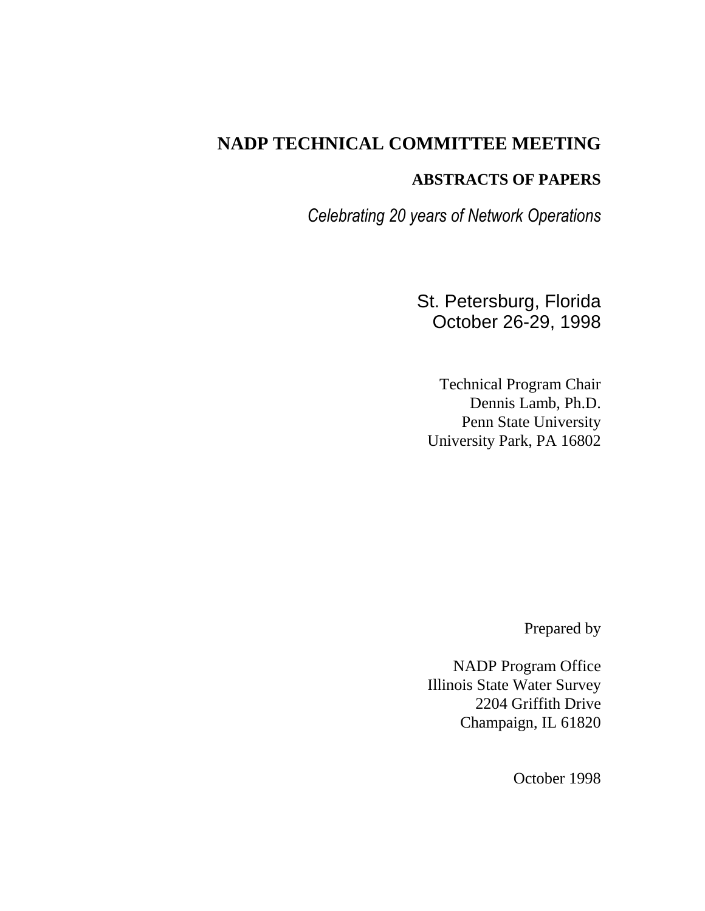## **NADP TECHNICAL COMMITTEE MEETING**

## **ABSTRACTS OF PAPERS**

*Celebrating 20 years of Network Operations*

St. Petersburg, Florida October 26-29, 1998

Technical Program Chair Dennis Lamb, Ph.D. Penn State University University Park, PA 16802

Prepared by

NADP Program Office Illinois State Water Survey 2204 Griffith Drive Champaign, IL 61820

October 1998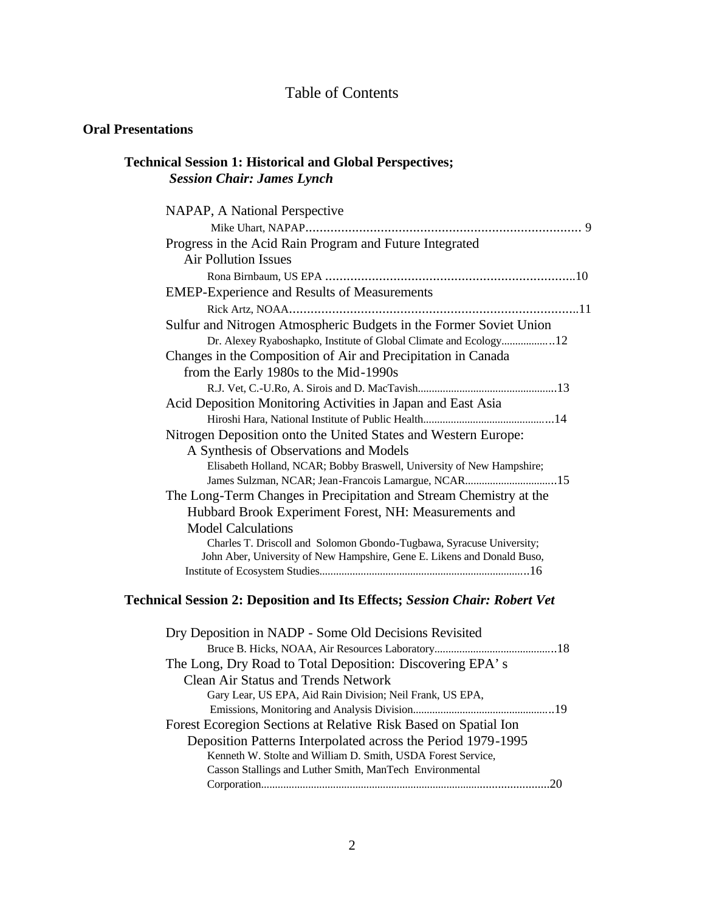## Table of Contents

## **Oral Presentations**

## **Technical Session 1: Historical and Global Perspectives;**  *Session Chair: James Lynch*

| NAPAP, A National Perspective                                           |
|-------------------------------------------------------------------------|
|                                                                         |
| Progress in the Acid Rain Program and Future Integrated                 |
| <b>Air Pollution Issues</b>                                             |
|                                                                         |
| <b>EMEP-Experience and Results of Measurements</b>                      |
|                                                                         |
| Sulfur and Nitrogen Atmospheric Budgets in the Former Soviet Union      |
| Dr. Alexey Ryaboshapko, Institute of Global Climate and Ecology12       |
| Changes in the Composition of Air and Precipitation in Canada           |
| from the Early 1980s to the Mid-1990s                                   |
|                                                                         |
| Acid Deposition Monitoring Activities in Japan and East Asia            |
|                                                                         |
| Nitrogen Deposition onto the United States and Western Europe:          |
| A Synthesis of Observations and Models                                  |
| Elisabeth Holland, NCAR; Bobby Braswell, University of New Hampshire;   |
| James Sulzman, NCAR; Jean-Francois Lamargue, NCAR15                     |
| The Long-Term Changes in Precipitation and Stream Chemistry at the      |
| Hubbard Brook Experiment Forest, NH: Measurements and                   |
| <b>Model Calculations</b>                                               |
| Charles T. Driscoll and Solomon Gbondo-Tugbawa, Syracuse University;    |
| John Aber, University of New Hampshire, Gene E. Likens and Donald Buso, |
|                                                                         |

## **Technical Session 2: Deposition and Its Effects;** *Session Chair: Robert Vet*

| Dry Deposition in NADP - Some Old Decisions Revisited           |  |
|-----------------------------------------------------------------|--|
|                                                                 |  |
| The Long, Dry Road to Total Deposition: Discovering EPA's       |  |
| <b>Clean Air Status and Trends Network</b>                      |  |
| Gary Lear, US EPA, Aid Rain Division; Neil Frank, US EPA,       |  |
|                                                                 |  |
| Forest Ecoregion Sections at Relative Risk Based on Spatial Ion |  |
| Deposition Patterns Interpolated across the Period 1979-1995    |  |
| Kenneth W. Stolte and William D. Smith, USDA Forest Service,    |  |
| Casson Stallings and Luther Smith, ManTech Environmental        |  |
|                                                                 |  |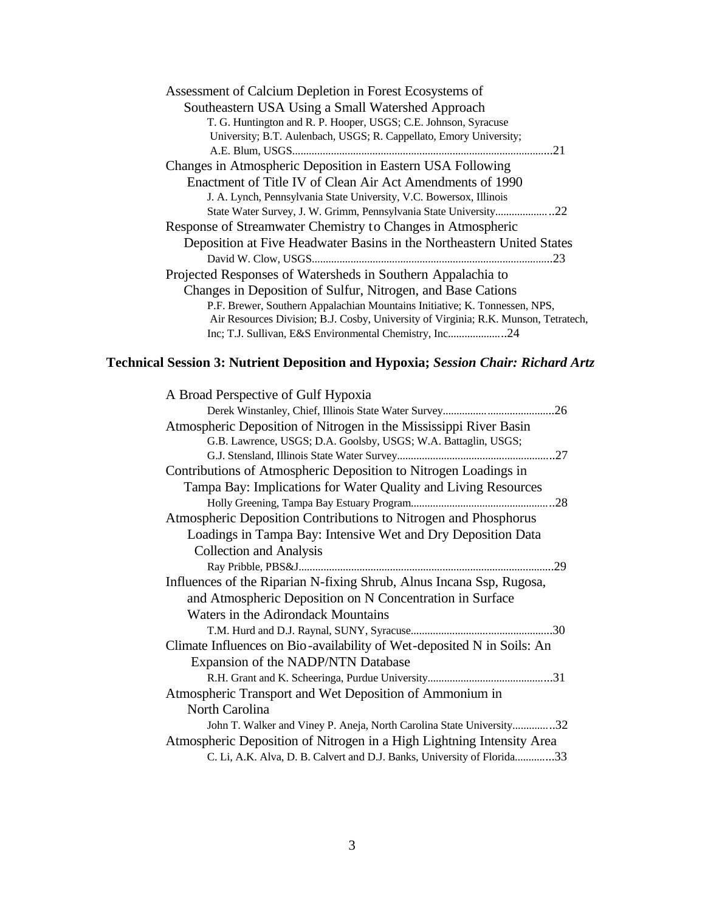| Assessment of Calcium Depletion in Forest Ecosystems of                             |
|-------------------------------------------------------------------------------------|
| Southeastern USA Using a Small Watershed Approach                                   |
| T. G. Huntington and R. P. Hooper, USGS; C.E. Johnson, Syracuse                     |
| University; B.T. Aulenbach, USGS; R. Cappellato, Emory University;                  |
|                                                                                     |
| Changes in Atmospheric Deposition in Eastern USA Following                          |
| Enactment of Title IV of Clean Air Act Amendments of 1990                           |
| J. A. Lynch, Pennsylvania State University, V.C. Bowersox, Illinois                 |
|                                                                                     |
| Response of Streamwater Chemistry to Changes in Atmospheric                         |
| Deposition at Five Headwater Basins in the Northeastern United States               |
|                                                                                     |
| Projected Responses of Watersheds in Southern Appalachia to                         |
| Changes in Deposition of Sulfur, Nitrogen, and Base Cations                         |
| P.F. Brewer, Southern Appalachian Mountains Initiative; K. Tonnessen, NPS,          |
| Air Resources Division; B.J. Cosby, University of Virginia; R.K. Munson, Tetratech, |
| Inc; T.J. Sullivan, E&S Environmental Chemistry, Inc24                              |

## **Technical Session 3: Nutrient Deposition and Hypoxia;** *Session Chair: Richard Artz*

| A Broad Perspective of Gulf Hypoxia                                     |
|-------------------------------------------------------------------------|
|                                                                         |
| Atmospheric Deposition of Nitrogen in the Mississippi River Basin       |
| G.B. Lawrence, USGS; D.A. Goolsby, USGS; W.A. Battaglin, USGS;          |
| .27                                                                     |
| Contributions of Atmospheric Deposition to Nitrogen Loadings in         |
| Tampa Bay: Implications for Water Quality and Living Resources          |
|                                                                         |
| Atmospheric Deposition Contributions to Nitrogen and Phosphorus         |
| Loadings in Tampa Bay: Intensive Wet and Dry Deposition Data            |
| <b>Collection and Analysis</b>                                          |
|                                                                         |
| Influences of the Riparian N-fixing Shrub, Alnus Incana Ssp, Rugosa,    |
| and Atmospheric Deposition on N Concentration in Surface                |
| Waters in the Adirondack Mountains                                      |
|                                                                         |
| Climate Influences on Bio-availability of Wet-deposited N in Soils: An  |
| Expansion of the NADP/NTN Database                                      |
|                                                                         |
| Atmospheric Transport and Wet Deposition of Ammonium in                 |
| North Carolina                                                          |
| John T. Walker and Viney P. Aneja, North Carolina State University32    |
| Atmospheric Deposition of Nitrogen in a High Lightning Intensity Area   |
| C. Li, A.K. Alva, D. B. Calvert and D.J. Banks, University of Florida33 |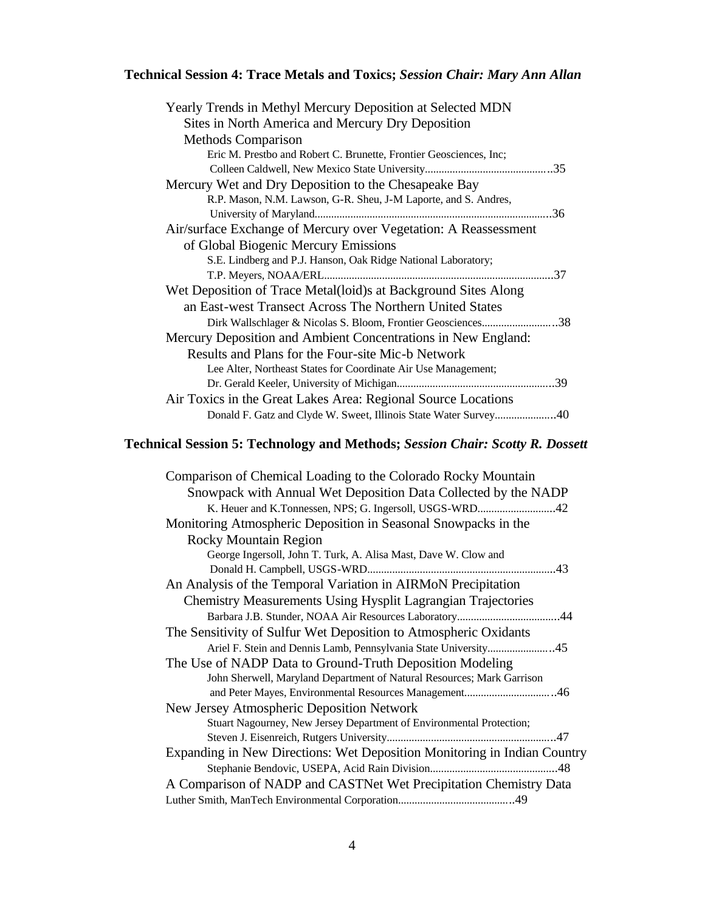## **Technical Session 4: Trace Metals and Toxics;** *Session Chair: Mary Ann Allan*

| Yearly Trends in Methyl Mercury Deposition at Selected MDN         |
|--------------------------------------------------------------------|
| Sites in North America and Mercury Dry Deposition                  |
| <b>Methods Comparison</b>                                          |
| Eric M. Prestbo and Robert C. Brunette, Frontier Geosciences, Inc; |
|                                                                    |
| Mercury Wet and Dry Deposition to the Chesapeake Bay               |
| R.P. Mason, N.M. Lawson, G-R. Sheu, J-M Laporte, and S. Andres,    |
|                                                                    |
| Air/surface Exchange of Mercury over Vegetation: A Reassessment    |
| of Global Biogenic Mercury Emissions                               |
| S.E. Lindberg and P.J. Hanson, Oak Ridge National Laboratory;      |
|                                                                    |
| Wet Deposition of Trace Metal(loid)s at Background Sites Along     |
| an East-west Transect Across The Northern United States            |
| Dirk Wallschlager & Nicolas S. Bloom, Frontier Geosciences38       |
| Mercury Deposition and Ambient Concentrations in New England:      |
| Results and Plans for the Four-site Mic-b Network                  |
| Lee Alter, Northeast States for Coordinate Air Use Management;     |
|                                                                    |
| Air Toxics in the Great Lakes Area: Regional Source Locations      |
| Donald F. Gatz and Clyde W. Sweet, Illinois State Water Survey40   |

## **Technical Session 5: Technology and Methods;** *Session Chair: Scotty R. Dossett*

| Comparison of Chemical Loading to the Colorado Rocky Mountain            |
|--------------------------------------------------------------------------|
| Snowpack with Annual Wet Deposition Data Collected by the NADP           |
|                                                                          |
| Monitoring Atmospheric Deposition in Seasonal Snowpacks in the           |
| <b>Rocky Mountain Region</b>                                             |
| George Ingersoll, John T. Turk, A. Alisa Mast, Dave W. Clow and          |
|                                                                          |
| An Analysis of the Temporal Variation in AIRMoN Precipitation            |
| <b>Chemistry Measurements Using Hysplit Lagrangian Trajectories</b>      |
|                                                                          |
| The Sensitivity of Sulfur Wet Deposition to Atmospheric Oxidants         |
| Ariel F. Stein and Dennis Lamb, Pennsylvania State University45          |
| The Use of NADP Data to Ground-Truth Deposition Modeling                 |
| John Sherwell, Maryland Department of Natural Resources; Mark Garrison   |
|                                                                          |
| New Jersey Atmospheric Deposition Network                                |
| Stuart Nagourney, New Jersey Department of Environmental Protection;     |
|                                                                          |
| Expanding in New Directions: Wet Deposition Monitoring in Indian Country |
|                                                                          |
| A Comparison of NADP and CASTNet Wet Precipitation Chemistry Data        |
|                                                                          |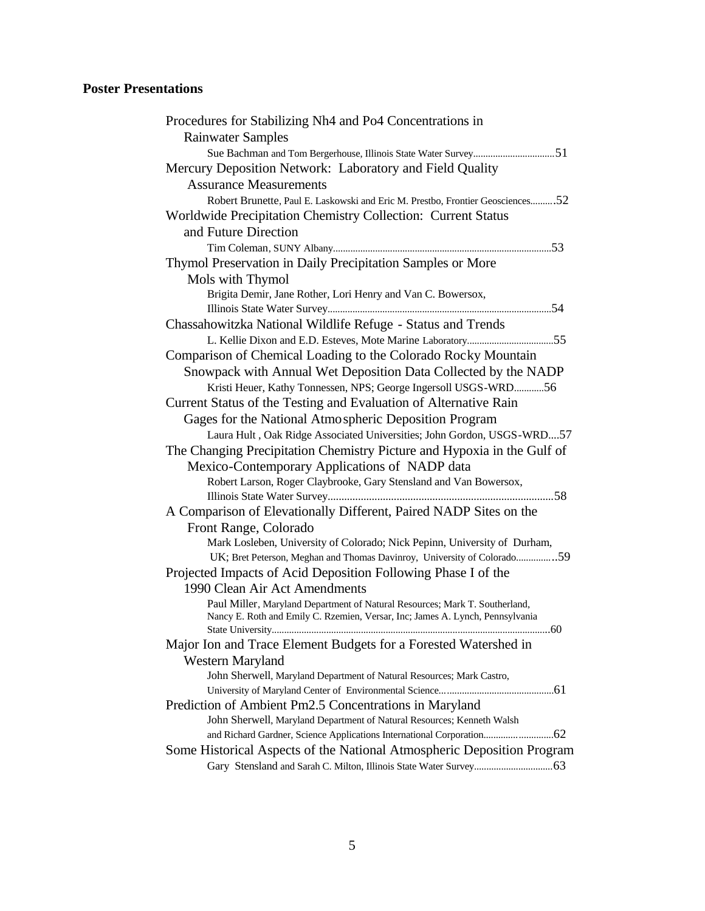## **Poster Presentations**

| Procedures for Stabilizing Nh4 and Po4 Concentrations in                                                                                                     |
|--------------------------------------------------------------------------------------------------------------------------------------------------------------|
| <b>Rainwater Samples</b>                                                                                                                                     |
| Sue Bachman and Tom Bergerhouse, Illinois State Water Survey51                                                                                               |
| Mercury Deposition Network: Laboratory and Field Quality                                                                                                     |
| <b>Assurance Measurements</b>                                                                                                                                |
| Robert Brunette, Paul E. Laskowski and Eric M. Prestbo, Frontier Geosciences52                                                                               |
| Worldwide Precipitation Chemistry Collection: Current Status                                                                                                 |
| and Future Direction                                                                                                                                         |
|                                                                                                                                                              |
| Thymol Preservation in Daily Precipitation Samples or More                                                                                                   |
| Mols with Thymol                                                                                                                                             |
| Brigita Demir, Jane Rother, Lori Henry and Van C. Bowersox,                                                                                                  |
|                                                                                                                                                              |
| Chassahowitzka National Wildlife Refuge - Status and Trends                                                                                                  |
|                                                                                                                                                              |
| Comparison of Chemical Loading to the Colorado Rocky Mountain                                                                                                |
| Snowpack with Annual Wet Deposition Data Collected by the NADP                                                                                               |
| Kristi Heuer, Kathy Tonnessen, NPS; George Ingersoll USGS-WRD56                                                                                              |
| Current Status of the Testing and Evaluation of Alternative Rain                                                                                             |
| Gages for the National Atmospheric Deposition Program                                                                                                        |
| Laura Hult, Oak Ridge Associated Universities; John Gordon, USGS-WRD57                                                                                       |
| The Changing Precipitation Chemistry Picture and Hypoxia in the Gulf of                                                                                      |
| Mexico-Contemporary Applications of NADP data                                                                                                                |
| Robert Larson, Roger Claybrooke, Gary Stensland and Van Bowersox,                                                                                            |
|                                                                                                                                                              |
| A Comparison of Elevationally Different, Paired NADP Sites on the                                                                                            |
| Front Range, Colorado                                                                                                                                        |
| Mark Losleben, University of Colorado; Nick Pepinn, University of Durham,                                                                                    |
| UK; Bret Peterson, Meghan and Thomas Davinroy, University of Colorado59                                                                                      |
| Projected Impacts of Acid Deposition Following Phase I of the                                                                                                |
| 1990 Clean Air Act Amendments                                                                                                                                |
| Paul Miller, Maryland Department of Natural Resources; Mark T. Southerland,<br>Nancy E. Roth and Emily C. Rzemien, Versar, Inc; James A. Lynch, Pennsylvania |
| 60                                                                                                                                                           |
| Major Ion and Trace Element Budgets for a Forested Watershed in                                                                                              |
| Western Maryland                                                                                                                                             |
| John Sherwell, Maryland Department of Natural Resources; Mark Castro,                                                                                        |
|                                                                                                                                                              |
| Prediction of Ambient Pm2.5 Concentrations in Maryland                                                                                                       |
| John Sherwell, Maryland Department of Natural Resources; Kenneth Walsh                                                                                       |
|                                                                                                                                                              |
| Some Historical Aspects of the National Atmospheric Deposition Program                                                                                       |
|                                                                                                                                                              |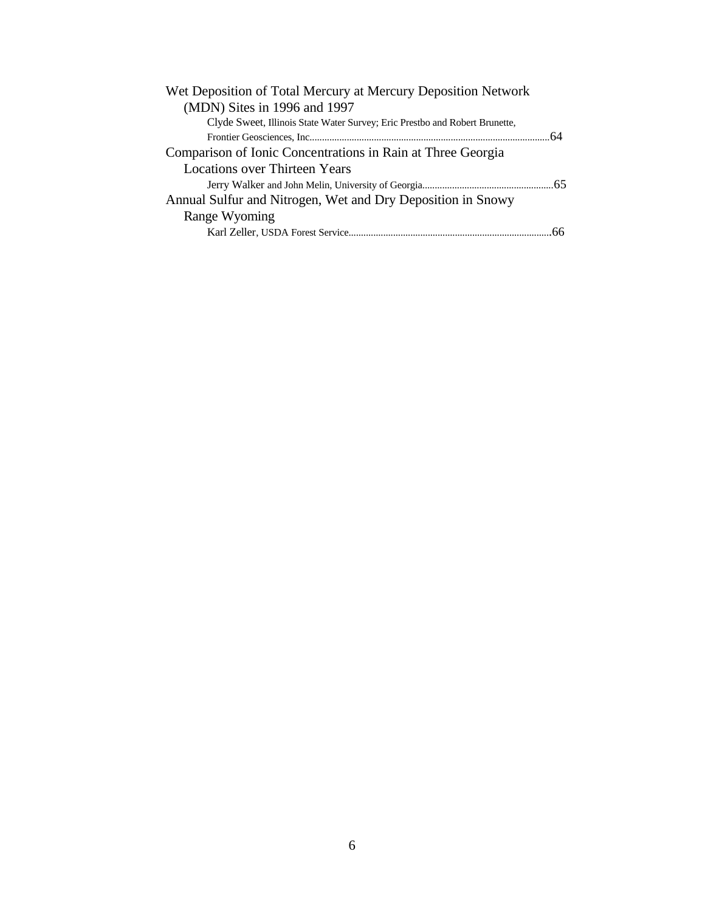| Wet Deposition of Total Mercury at Mercury Deposition Network               |    |
|-----------------------------------------------------------------------------|----|
| (MDN) Sites in 1996 and 1997                                                |    |
| Clyde Sweet, Illinois State Water Survey; Eric Prestbo and Robert Brunette, |    |
|                                                                             |    |
| Comparison of Ionic Concentrations in Rain at Three Georgia                 |    |
| <b>Locations over Thirteen Years</b>                                        |    |
|                                                                             |    |
| Annual Sulfur and Nitrogen, Wet and Dry Deposition in Snowy                 |    |
| Range Wyoming                                                               |    |
|                                                                             | 66 |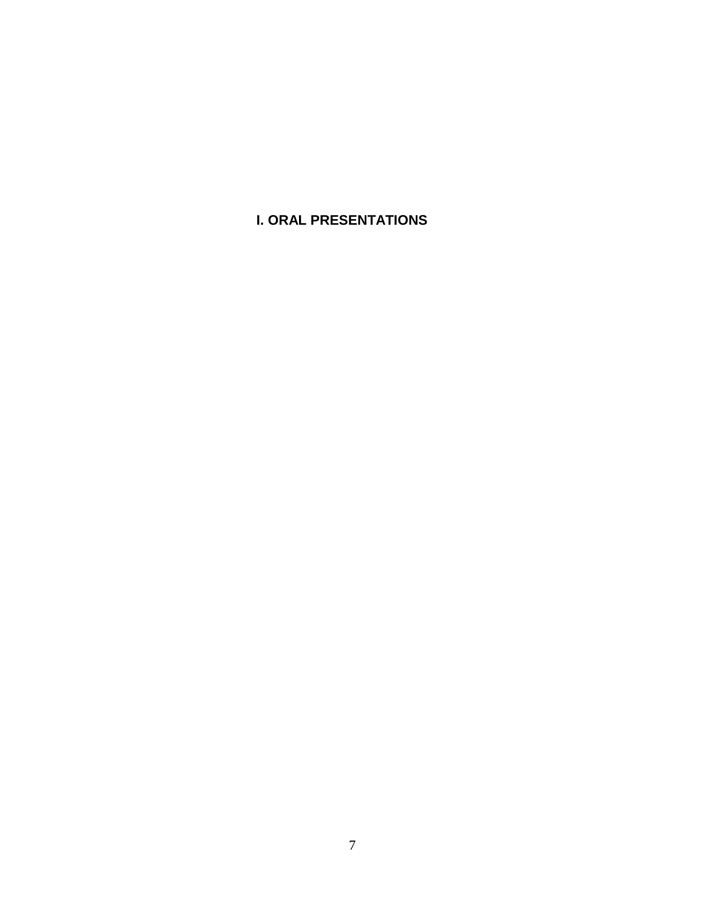**I. ORAL PRESENTATIONS**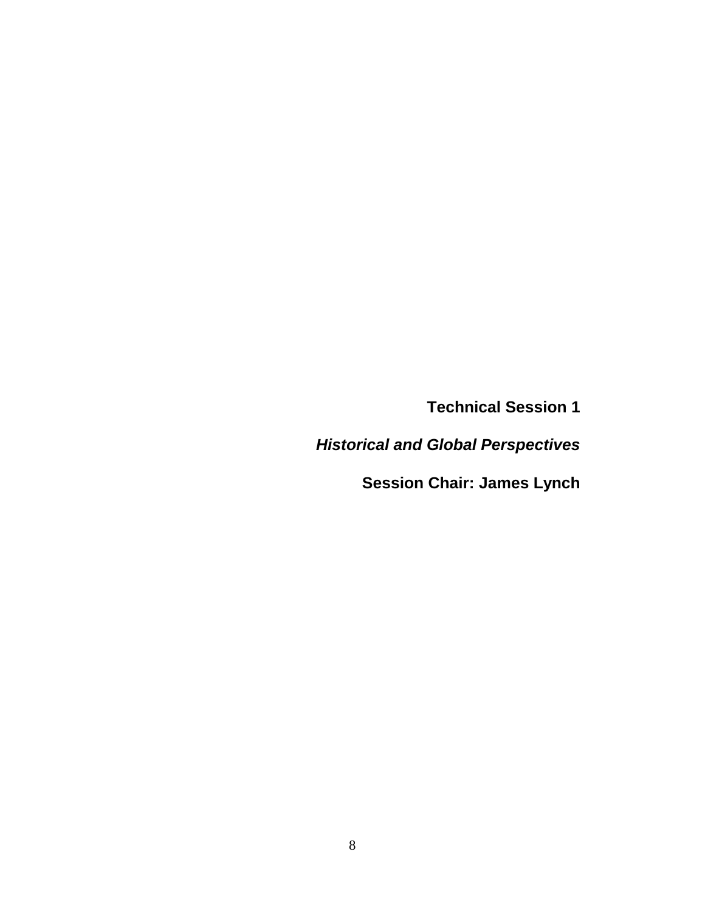**Technical Session 1**

*Historical and Global Perspectives*

**Session Chair: James Lynch**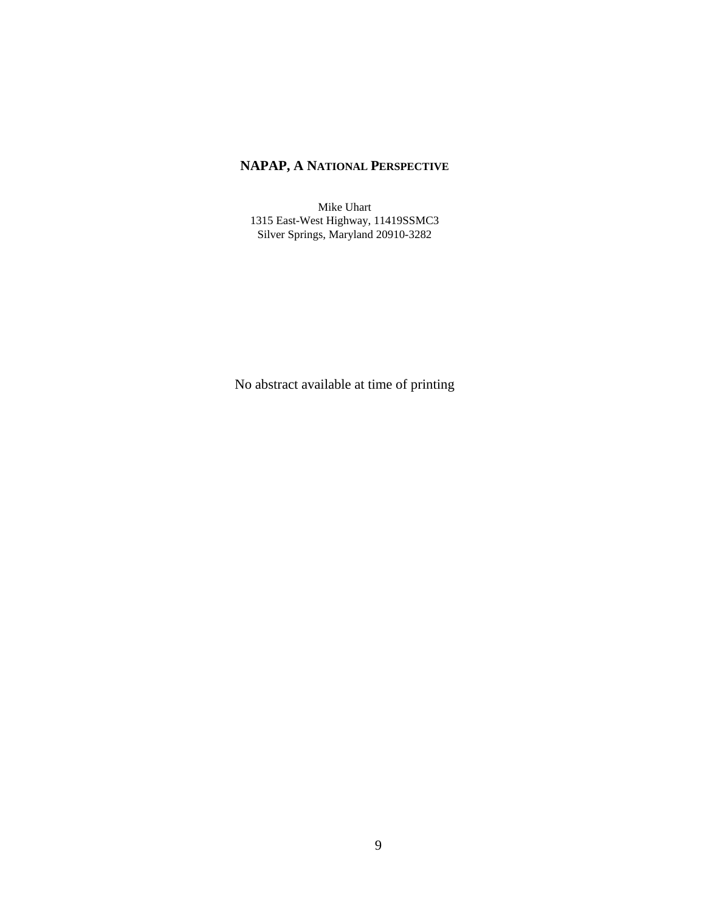## **NAPAP, A NATIONAL PERSPECTIVE**

Mike Uhart 1315 East-West Highway, 11419SSMC3 Silver Springs, Maryland 20910-3282

No abstract available at time of printing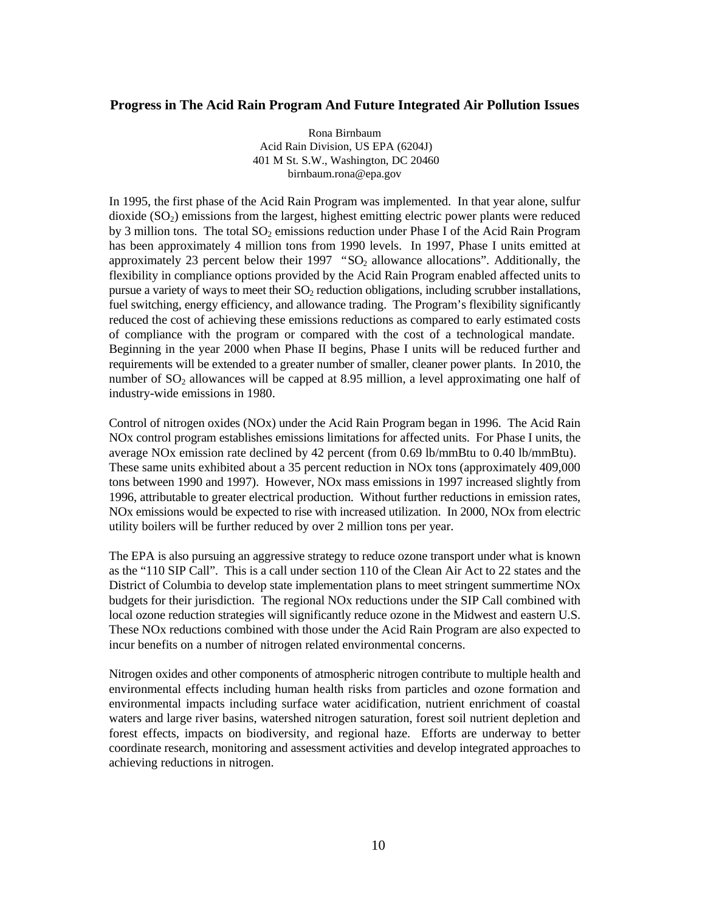#### **Progress in The Acid Rain Program And Future Integrated Air Pollution Issues**

Rona Birnbaum Acid Rain Division, US EPA (6204J) 401 M St. S.W., Washington, DC 20460 birnbaum.rona@epa.gov

In 1995, the first phase of the Acid Rain Program was implemented. In that year alone, sulfur dioxide  $(SO<sub>2</sub>)$  emissions from the largest, highest emitting electric power plants were reduced by 3 million tons. The total  $SO_2$  emissions reduction under Phase I of the Acid Rain Program has been approximately 4 million tons from 1990 levels. In 1997, Phase I units emitted at approximately 23 percent below their 1997 " $SO<sub>2</sub>$  allowance allocations". Additionally, the flexibility in compliance options provided by the Acid Rain Program enabled affected units to pursue a variety of ways to meet their  $SO<sub>2</sub>$  reduction obligations, including scrubber installations, fuel switching, energy efficiency, and allowance trading. The Program's flexibility significantly reduced the cost of achieving these emissions reductions as compared to early estimated costs of compliance with the program or compared with the cost of a technological mandate. Beginning in the year 2000 when Phase II begins, Phase I units will be reduced further and requirements will be extended to a greater number of smaller, cleaner power plants. In 2010, the number of  $SO_2$  allowances will be capped at 8.95 million, a level approximating one half of industry-wide emissions in 1980.

Control of nitrogen oxides (NOx) under the Acid Rain Program began in 1996. The Acid Rain NOx control program establishes emissions limitations for affected units. For Phase I units, the average NOx emission rate declined by 42 percent (from 0.69 lb/mmBtu to 0.40 lb/mmBtu). These same units exhibited about a 35 percent reduction in NOx tons (approximately 409,000 tons between 1990 and 1997). However, NOx mass emissions in 1997 increased slightly from 1996, attributable to greater electrical production. Without further reductions in emission rates, NOx emissions would be expected to rise with increased utilization. In 2000, NOx from electric utility boilers will be further reduced by over 2 million tons per year.

The EPA is also pursuing an aggressive strategy to reduce ozone transport under what is known as the "110 SIP Call". This is a call under section 110 of the Clean Air Act to 22 states and the District of Columbia to develop state implementation plans to meet stringent summertime NOx budgets for their jurisdiction. The regional NOx reductions under the SIP Call combined with local ozone reduction strategies will significantly reduce ozone in the Midwest and eastern U.S. These NOx reductions combined with those under the Acid Rain Program are also expected to incur benefits on a number of nitrogen related environmental concerns.

Nitrogen oxides and other components of atmospheric nitrogen contribute to multiple health and environmental effects including human health risks from particles and ozone formation and environmental impacts including surface water acidification, nutrient enrichment of coastal waters and large river basins, watershed nitrogen saturation, forest soil nutrient depletion and forest effects, impacts on biodiversity, and regional haze. Efforts are underway to better coordinate research, monitoring and assessment activities and develop integrated approaches to achieving reductions in nitrogen.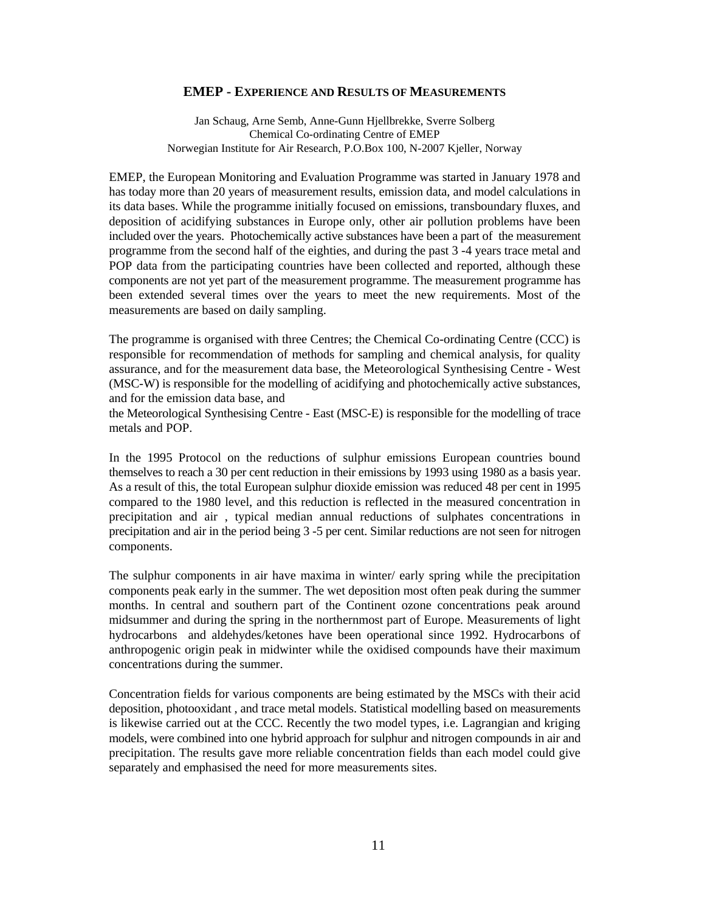#### **EMEP - EXPERIENCE AND RESULTS OF MEASUREMENTS**

Jan Schaug, Arne Semb, Anne-Gunn Hjellbrekke, Sverre Solberg Chemical Co-ordinating Centre of EMEP Norwegian Institute for Air Research, P.O.Box 100, N-2007 Kjeller, Norway

EMEP, the European Monitoring and Evaluation Programme was started in January 1978 and has today more than 20 years of measurement results, emission data, and model calculations in its data bases. While the programme initially focused on emissions, transboundary fluxes, and deposition of acidifying substances in Europe only, other air pollution problems have been included over the years. Photochemically active substances have been a part of the measurement programme from the second half of the eighties, and during the past 3 -4 years trace metal and POP data from the participating countries have been collected and reported, although these components are not yet part of the measurement programme. The measurement programme has been extended several times over the years to meet the new requirements. Most of the measurements are based on daily sampling.

The programme is organised with three Centres; the Chemical Co-ordinating Centre (CCC) is responsible for recommendation of methods for sampling and chemical analysis, for quality assurance, and for the measurement data base, the Meteorological Synthesising Centre - West (MSC-W) is responsible for the modelling of acidifying and photochemically active substances, and for the emission data base, and

the Meteorological Synthesising Centre - East (MSC-E) is responsible for the modelling of trace metals and POP.

In the 1995 Protocol on the reductions of sulphur emissions European countries bound themselves to reach a 30 per cent reduction in their emissions by 1993 using 1980 as a basis year. As a result of this, the total European sulphur dioxide emission was reduced 48 per cent in 1995 compared to the 1980 level, and this reduction is reflected in the measured concentration in precipitation and air , typical median annual reductions of sulphates concentrations in precipitation and air in the period being 3 -5 per cent. Similar reductions are not seen for nitrogen components.

The sulphur components in air have maxima in winter/ early spring while the precipitation components peak early in the summer. The wet deposition most often peak during the summer months. In central and southern part of the Continent ozone concentrations peak around midsummer and during the spring in the northernmost part of Europe. Measurements of light hydrocarbons and aldehydes/ketones have been operational since 1992. Hydrocarbons of anthropogenic origin peak in midwinter while the oxidised compounds have their maximum concentrations during the summer.

Concentration fields for various components are being estimated by the MSCs with their acid deposition, photooxidant , and trace metal models. Statistical modelling based on measurements is likewise carried out at the CCC. Recently the two model types, i.e. Lagrangian and kriging models, were combined into one hybrid approach for sulphur and nitrogen compounds in air and precipitation. The results gave more reliable concentration fields than each model could give separately and emphasised the need for more measurements sites.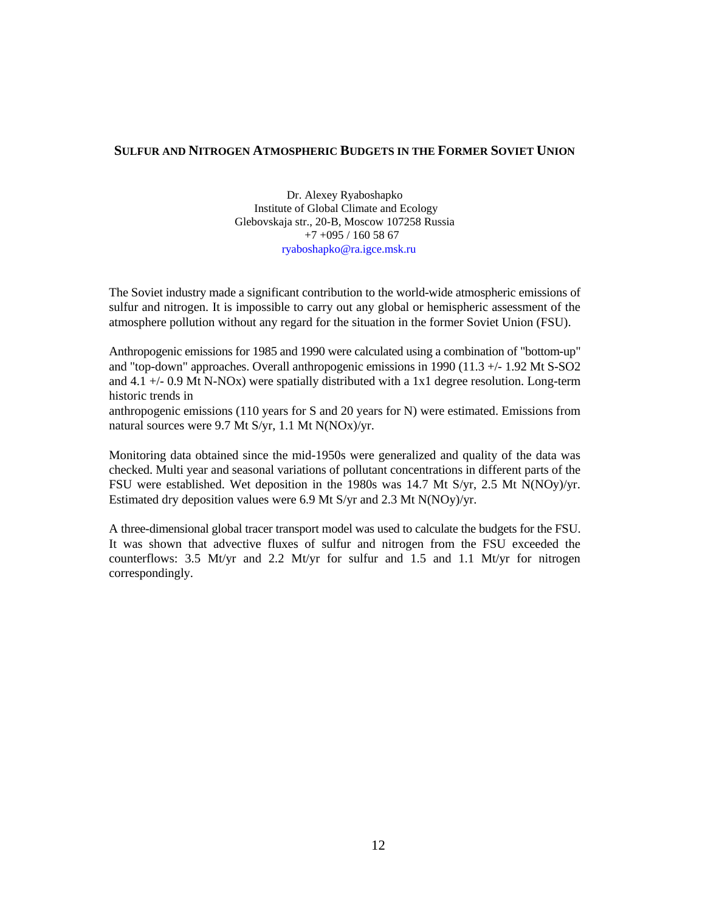#### **SULFUR AND NITROGEN ATMOSPHERIC BUDGETS IN THE FORMER SOVIET UNION**

Dr. Alexey Ryaboshapko Institute of Global Climate and Ecology Glebovskaja str., 20-B, Moscow 107258 Russia +7 +095 / 160 58 67 ryaboshapko@ra.igce.msk.ru

The Soviet industry made a significant contribution to the world-wide atmospheric emissions of sulfur and nitrogen. It is impossible to carry out any global or hemispheric assessment of the atmosphere pollution without any regard for the situation in the former Soviet Union (FSU).

Anthropogenic emissions for 1985 and 1990 were calculated using a combination of "bottom-up" and "top-down" approaches. Overall anthropogenic emissions in 1990 (11.3 +/- 1.92 Mt S-SO2 and 4.1 +/- 0.9 Mt N-NOx) were spatially distributed with a 1x1 degree resolution. Long-term historic trends in

anthropogenic emissions (110 years for S and 20 years for N) were estimated. Emissions from natural sources were 9.7 Mt S/yr, 1.1 Mt N(NOx)/yr.

Monitoring data obtained since the mid-1950s were generalized and quality of the data was checked. Multi year and seasonal variations of pollutant concentrations in different parts of the FSU were established. Wet deposition in the 1980s was 14.7 Mt S/yr, 2.5 Mt N(NOy)/yr. Estimated dry deposition values were 6.9 Mt S/yr and 2.3 Mt N(NOy)/yr.

A three-dimensional global tracer transport model was used to calculate the budgets for the FSU. It was shown that advective fluxes of sulfur and nitrogen from the FSU exceeded the counterflows:  $3.5$  Mt/yr and  $2.2$  Mt/yr for sulfur and  $1.5$  and  $1.1$  Mt/yr for nitrogen correspondingly.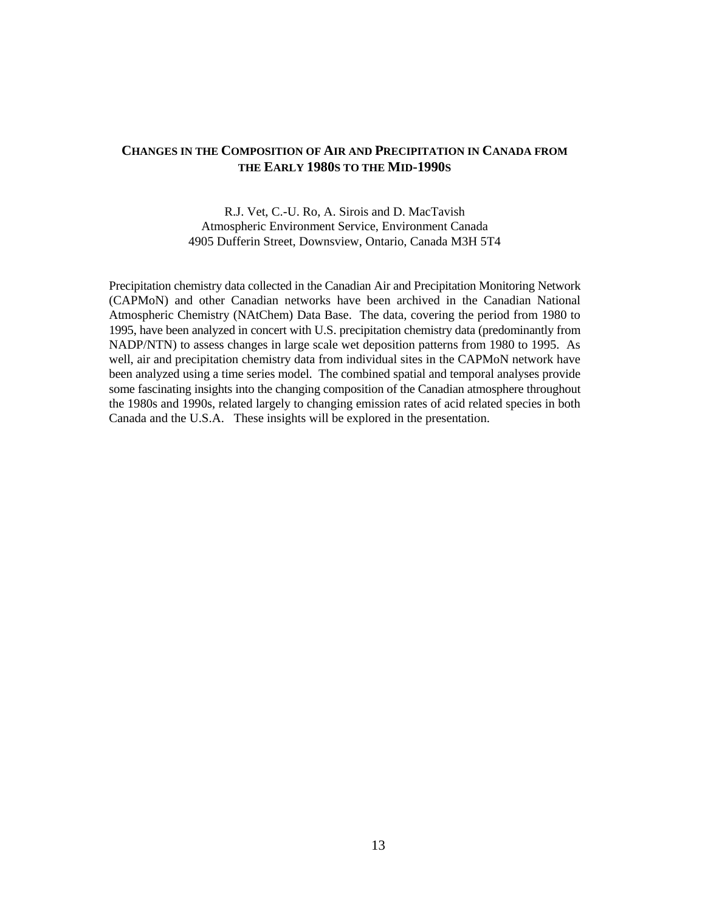## **CHANGES IN THE COMPOSITION OF AIR AND PRECIPITATION IN CANADA FROM THE EARLY 1980S TO THE MID-1990S**

R.J. Vet, C.-U. Ro, A. Sirois and D. MacTavish Atmospheric Environment Service, Environment Canada 4905 Dufferin Street, Downsview, Ontario, Canada M3H 5T4

Precipitation chemistry data collected in the Canadian Air and Precipitation Monitoring Network (CAPMoN) and other Canadian networks have been archived in the Canadian National Atmospheric Chemistry (NAtChem) Data Base. The data, covering the period from 1980 to 1995, have been analyzed in concert with U.S. precipitation chemistry data (predominantly from NADP/NTN) to assess changes in large scale wet deposition patterns from 1980 to 1995. As well, air and precipitation chemistry data from individual sites in the CAPMoN network have been analyzed using a time series model. The combined spatial and temporal analyses provide some fascinating insights into the changing composition of the Canadian atmosphere throughout the 1980s and 1990s, related largely to changing emission rates of acid related species in both Canada and the U.S.A. These insights will be explored in the presentation.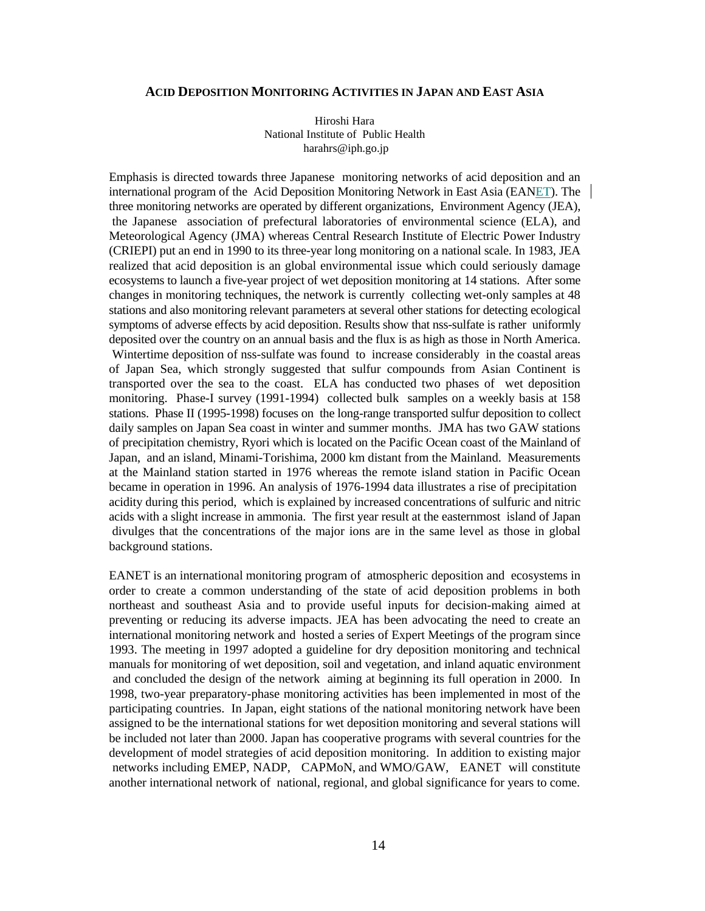#### **ACID DEPOSITION MONITORING ACTIVITIES IN JAPAN AND EAST ASIA**

Hiroshi Hara National Institute of Public Health harahrs@iph.go.jp

Emphasis is directed towards three Japanese monitoring networks of acid deposition and an international program of the Acid Deposition Monitoring Network in East Asia (EANET). The three monitoring networks are operated by different organizations, Environment Agency (JEA), the Japanese association of prefectural laboratories of environmental science (ELA), and Meteorological Agency (JMA) whereas Central Research Institute of Electric Power Industry (CRIEPI) put an end in 1990 to its three-year long monitoring on a national scale. In 1983, JEA realized that acid deposition is an global environmental issue which could seriously damage ecosystems to launch a five-year project of wet deposition monitoring at 14 stations. After some changes in monitoring techniques, the network is currently collecting wet-only samples at 48 stations and also monitoring relevant parameters at several other stations for detecting ecological symptoms of adverse effects by acid deposition. Results show that nss-sulfate is rather uniformly deposited over the country on an annual basis and the flux is as high as those in North America. Wintertime deposition of nss-sulfate was found to increase considerably in the coastal areas of Japan Sea, which strongly suggested that sulfur compounds from Asian Continent is transported over the sea to the coast. ELA has conducted two phases of wet deposition monitoring. Phase-I survey (1991-1994) collected bulk samples on a weekly basis at 158 stations. Phase II (1995-1998) focuses on the long-range transported sulfur deposition to collect daily samples on Japan Sea coast in winter and summer months. JMA has two GAW stations of precipitation chemistry, Ryori which is located on the Pacific Ocean coast of the Mainland of Japan, and an island, Minami-Torishima, 2000 km distant from the Mainland. Measurements at the Mainland station started in 1976 whereas the remote island station in Pacific Ocean became in operation in 1996. An analysis of 1976-1994 data illustrates a rise of precipitation acidity during this period, which is explained by increased concentrations of sulfuric and nitric acids with a slight increase in ammonia. The first year result at the easternmost island of Japan divulges that the concentrations of the major ions are in the same level as those in global background stations.

EANET is an international monitoring program of atmospheric deposition and ecosystems in order to create a common understanding of the state of acid deposition problems in both northeast and southeast Asia and to provide useful inputs for decision-making aimed at preventing or reducing its adverse impacts. JEA has been advocating the need to create an international monitoring network and hosted a series of Expert Meetings of the program since 1993. The meeting in 1997 adopted a guideline for dry deposition monitoring and technical manuals for monitoring of wet deposition, soil and vegetation, and inland aquatic environment and concluded the design of the network aiming at beginning its full operation in 2000. In 1998, two-year preparatory-phase monitoring activities has been implemented in most of the participating countries. In Japan, eight stations of the national monitoring network have been assigned to be the international stations for wet deposition monitoring and several stations will be included not later than 2000. Japan has cooperative programs with several countries for the development of model strategies of acid deposition monitoring. In addition to existing major networks including EMEP, NADP, CAPMoN, and WMO/GAW, EANET will constitute another international network of national, regional, and global significance for years to come.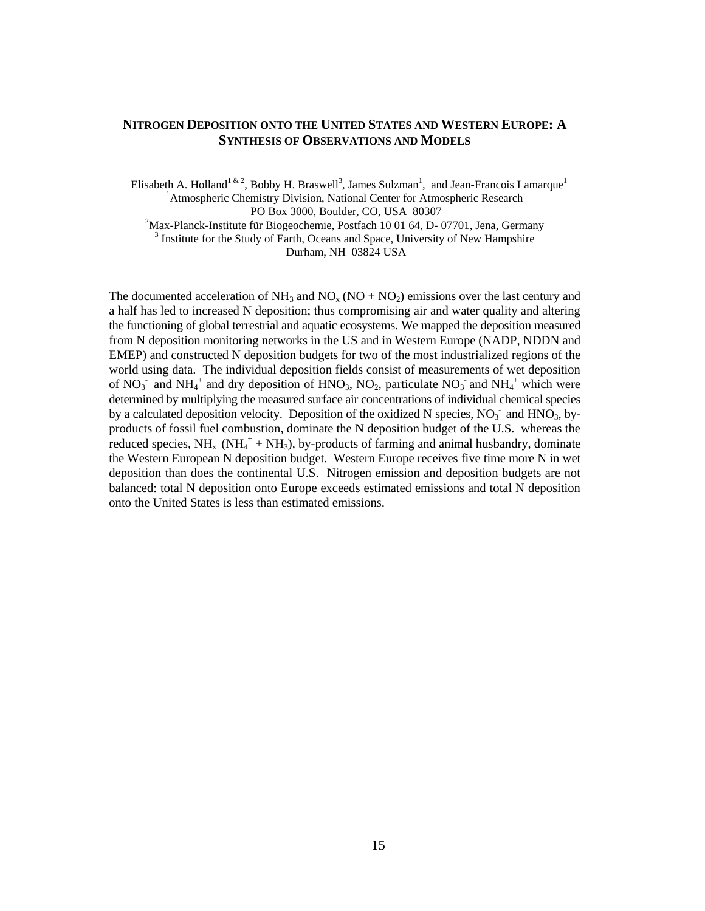#### **NITROGEN DEPOSITION ONTO THE UNITED STATES AND WESTERN EUROPE: A SYNTHESIS OF OBSERVATIONS AND MODELS**

Elisabeth A. Holland<sup>1 & 2</sup>, Bobby H. Braswell<sup>3</sup>, James Sulzman<sup>1</sup>, and Jean-Francois Lamarque<sup>1</sup> <sup>1</sup>Atmospheric Chemistry Division, National Center for Atmospheric Research PO Box 3000, Boulder, CO, USA 80307

 $2^2$ Max-Planck-Institute für Biogeochemie, Postfach 10 01 64, D- 07701, Jena, Germany <sup>3</sup> Institute for the Study of Earth, Oceans and Space, University of New Hampshire

Durham, NH 03824 USA

The documented acceleration of  $NH_3$  and  $NO<sub>x</sub> (NO + NO<sub>2</sub>)$  emissions over the last century and a half has led to increased N deposition; thus compromising air and water quality and altering the functioning of global terrestrial and aquatic ecosystems. We mapped the deposition measured from N deposition monitoring networks in the US and in Western Europe (NADP, NDDN and EMEP) and constructed N deposition budgets for two of the most industrialized regions of the world using data. The individual deposition fields consist of measurements of wet deposition of NO<sub>3</sub> and NH<sub>4</sub><sup>+</sup> and dry deposition of HNO<sub>3</sub>, NO<sub>2</sub>, particulate NO<sub>3</sub> and NH<sub>4</sub><sup>+</sup> which were determined by multiplying the measured surface air concentrations of individual chemical species by a calculated deposition velocity. Deposition of the oxidized N species,  $NO<sub>3</sub>$  and  $HNO<sub>3</sub>$ , byproducts of fossil fuel combustion, dominate the N deposition budget of the U.S. whereas the reduced species,  $NH_x$  ( $NH_4^+$  +  $NH_3$ ), by-products of farming and animal husbandry, dominate the Western European N deposition budget. Western Europe receives five time more N in wet deposition than does the continental U.S. Nitrogen emission and deposition budgets are not balanced: total N deposition onto Europe exceeds estimated emissions and total N deposition onto the United States is less than estimated emissions.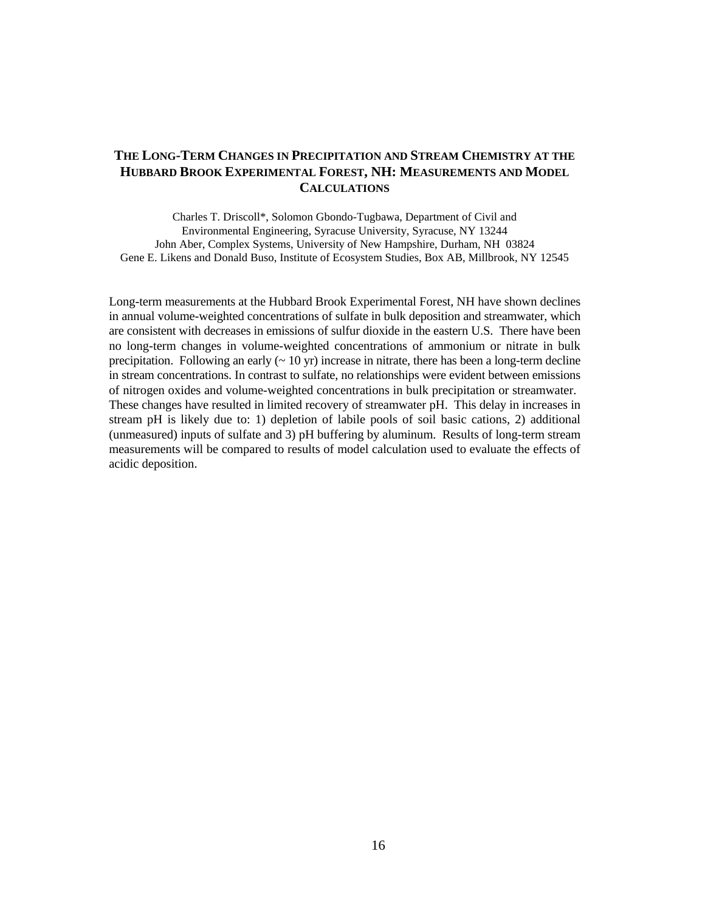## **THE LONG-TERM CHANGES IN PRECIPITATION AND STREAM CHEMISTRY AT THE HUBBARD BROOK EXPERIMENTAL FOREST, NH: MEASUREMENTS AND MODEL CALCULATIONS**

Charles T. Driscoll\*, Solomon Gbondo-Tugbawa, Department of Civil and Environmental Engineering, Syracuse University, Syracuse, NY 13244 John Aber, Complex Systems, University of New Hampshire, Durham, NH 03824 Gene E. Likens and Donald Buso, Institute of Ecosystem Studies, Box AB, Millbrook, NY 12545

Long-term measurements at the Hubbard Brook Experimental Forest, NH have shown declines in annual volume-weighted concentrations of sulfate in bulk deposition and streamwater, which are consistent with decreases in emissions of sulfur dioxide in the eastern U.S. There have been no long-term changes in volume-weighted concentrations of ammonium or nitrate in bulk precipitation. Following an early  $($   $\sim$  10 yr) increase in nitrate, there has been a long-term decline in stream concentrations. In contrast to sulfate, no relationships were evident between emissions of nitrogen oxides and volume-weighted concentrations in bulk precipitation or streamwater. These changes have resulted in limited recovery of streamwater pH. This delay in increases in stream pH is likely due to: 1) depletion of labile pools of soil basic cations, 2) additional (unmeasured) inputs of sulfate and 3) pH buffering by aluminum. Results of long-term stream measurements will be compared to results of model calculation used to evaluate the effects of acidic deposition.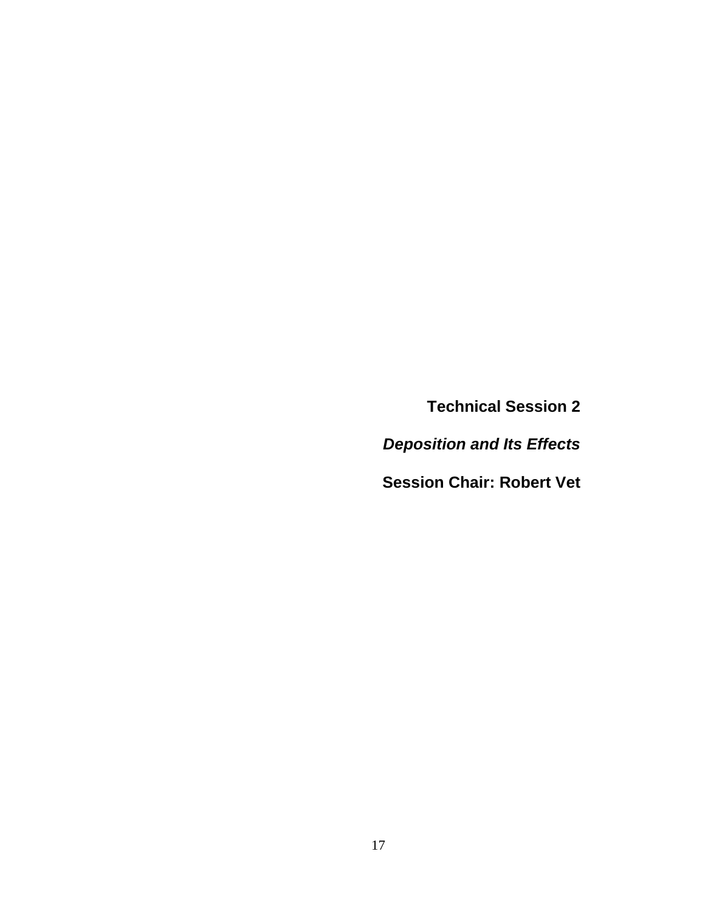**Technical Session 2**

*Deposition and Its Effects*

**Session Chair: Robert Vet**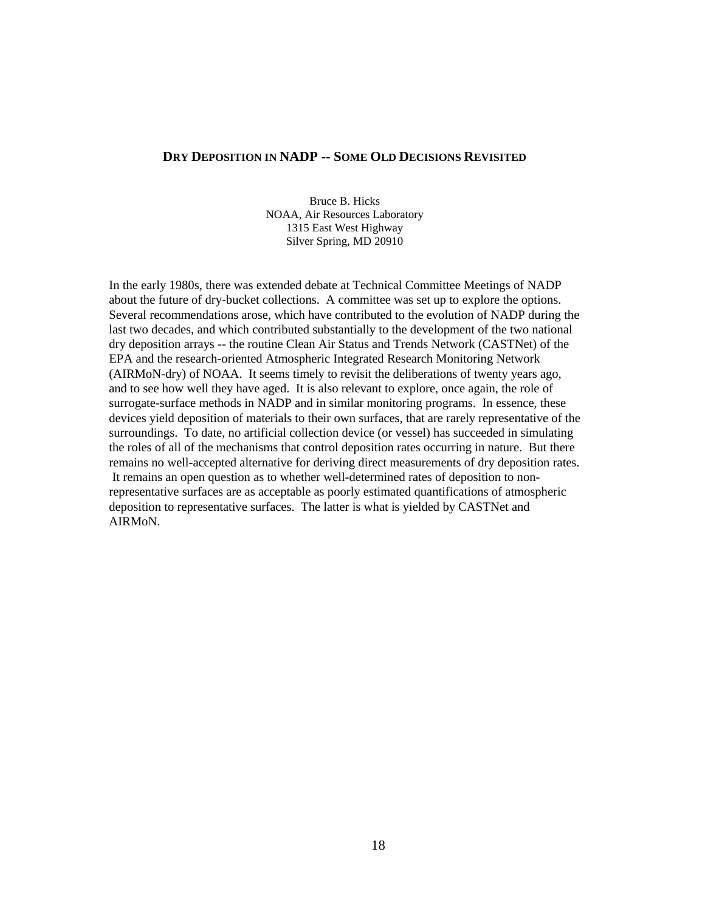#### **DRY DEPOSITION IN NADP -- SOME OLD DECISIONS REVISITED**

Bruce B. Hicks NOAA, Air Resources Laboratory 1315 East West Highway Silver Spring, MD 20910

In the early 1980s, there was extended debate at Technical Committee Meetings of NADP about the future of dry-bucket collections. A committee was set up to explore the options. Several recommendations arose, which have contributed to the evolution of NADP during the last two decades, and which contributed substantially to the development of the two national dry deposition arrays -- the routine Clean Air Status and Trends Network (CASTNet) of the EPA and the research-oriented Atmospheric Integrated Research Monitoring Network (AIRMoN-dry) of NOAA. It seems timely to revisit the deliberations of twenty years ago, and to see how well they have aged. It is also relevant to explore, once again, the role of surrogate-surface methods in NADP and in similar monitoring programs. In essence, these devices yield deposition of materials to their own surfaces, that are rarely representative of the surroundings. To date, no artificial collection device (or vessel) has succeeded in simulating the roles of all of the mechanisms that control deposition rates occurring in nature. But there remains no well-accepted alternative for deriving direct measurements of dry deposition rates. It remains an open question as to whether well-determined rates of deposition to nonrepresentative surfaces are as acceptable as poorly estimated quantifications of atmospheric deposition to representative surfaces. The latter is what is yielded by CASTNet and AIRMoN.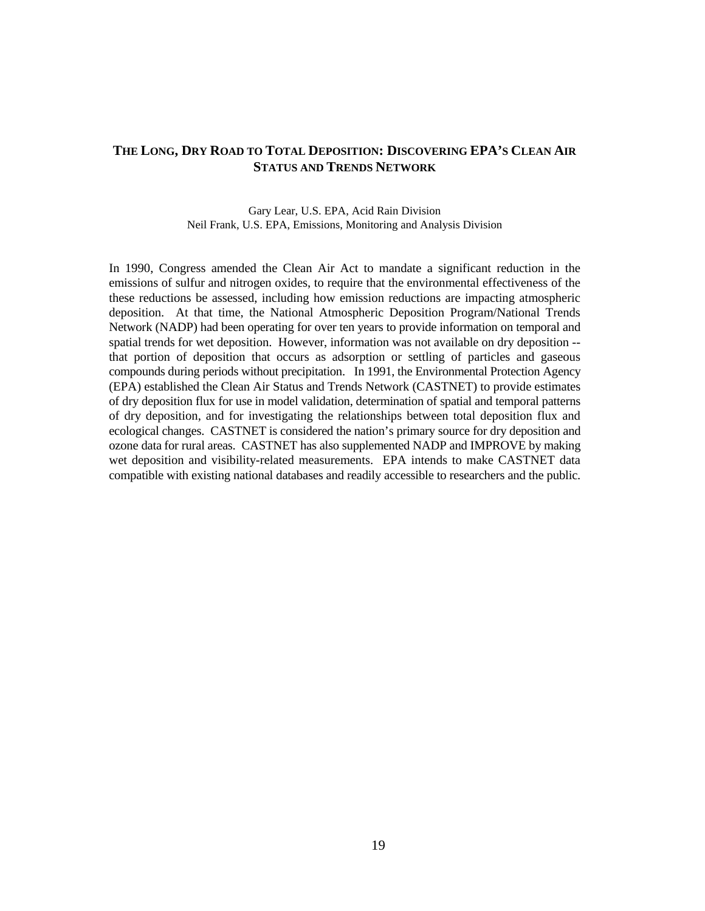## **THE LONG, DRY ROAD TO TOTAL DEPOSITION: DISCOVERING EPA'S CLEAN AIR STATUS AND TRENDS NETWORK**

Gary Lear, U.S. EPA, Acid Rain Division Neil Frank, U.S. EPA, Emissions, Monitoring and Analysis Division

In 1990, Congress amended the Clean Air Act to mandate a significant reduction in the emissions of sulfur and nitrogen oxides, to require that the environmental effectiveness of the these reductions be assessed, including how emission reductions are impacting atmospheric deposition. At that time, the National Atmospheric Deposition Program/National Trends Network (NADP) had been operating for over ten years to provide information on temporal and spatial trends for wet deposition. However, information was not available on dry deposition - that portion of deposition that occurs as adsorption or settling of particles and gaseous compounds during periods without precipitation. In 1991, the Environmental Protection Agency (EPA) established the Clean Air Status and Trends Network (CASTNET) to provide estimates of dry deposition flux for use in model validation, determination of spatial and temporal patterns of dry deposition, and for investigating the relationships between total deposition flux and ecological changes. CASTNET is considered the nation's primary source for dry deposition and ozone data for rural areas. CASTNET has also supplemented NADP and IMPROVE by making wet deposition and visibility-related measurements. EPA intends to make CASTNET data compatible with existing national databases and readily accessible to researchers and the public.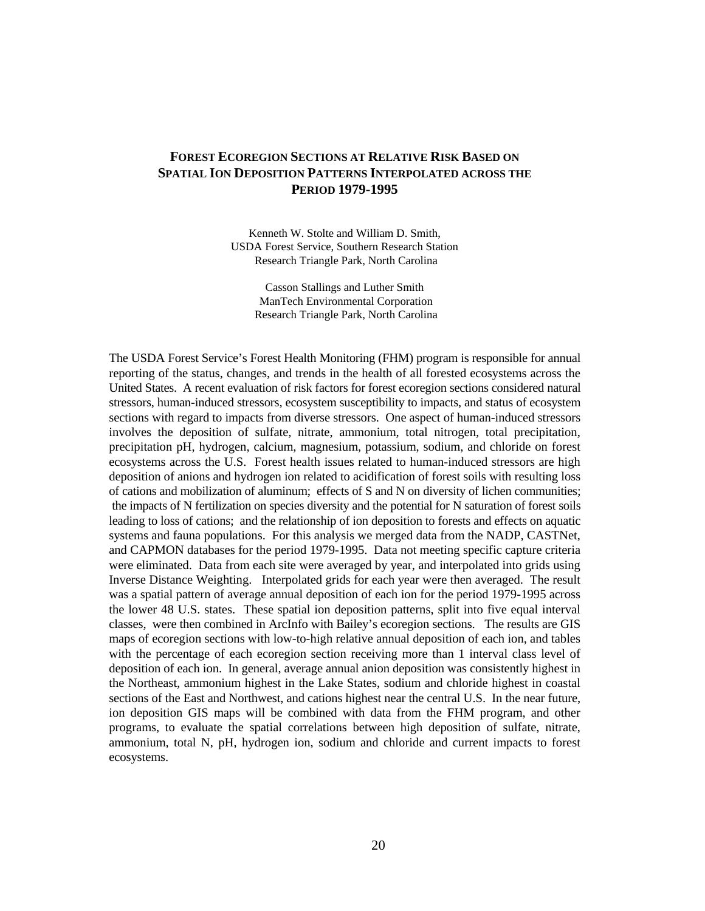## **FOREST ECOREGION SECTIONS AT RELATIVE RISK BASED ON SPATIAL ION DEPOSITION PATTERNS INTERPOLATED ACROSS THE PERIOD 1979-1995**

Kenneth W. Stolte and William D. Smith, USDA Forest Service, Southern Research Station Research Triangle Park, North Carolina

> Casson Stallings and Luther Smith ManTech Environmental Corporation Research Triangle Park, North Carolina

The USDA Forest Service's Forest Health Monitoring (FHM) program is responsible for annual reporting of the status, changes, and trends in the health of all forested ecosystems across the United States. A recent evaluation of risk factors for forest ecoregion sections considered natural stressors, human-induced stressors, ecosystem susceptibility to impacts, and status of ecosystem sections with regard to impacts from diverse stressors. One aspect of human-induced stressors involves the deposition of sulfate, nitrate, ammonium, total nitrogen, total precipitation, precipitation pH, hydrogen, calcium, magnesium, potassium, sodium, and chloride on forest ecosystems across the U.S. Forest health issues related to human-induced stressors are high deposition of anions and hydrogen ion related to acidification of forest soils with resulting loss of cations and mobilization of aluminum; effects of S and N on diversity of lichen communities; the impacts of N fertilization on species diversity and the potential for N saturation of forest soils leading to loss of cations; and the relationship of ion deposition to forests and effects on aquatic systems and fauna populations. For this analysis we merged data from the NADP, CASTNet, and CAPMON databases for the period 1979-1995. Data not meeting specific capture criteria were eliminated. Data from each site were averaged by year, and interpolated into grids using Inverse Distance Weighting. Interpolated grids for each year were then averaged. The result was a spatial pattern of average annual deposition of each ion for the period 1979-1995 across the lower 48 U.S. states. These spatial ion deposition patterns, split into five equal interval classes, were then combined in ArcInfo with Bailey's ecoregion sections. The results are GIS maps of ecoregion sections with low-to-high relative annual deposition of each ion, and tables with the percentage of each ecoregion section receiving more than 1 interval class level of deposition of each ion. In general, average annual anion deposition was consistently highest in the Northeast, ammonium highest in the Lake States, sodium and chloride highest in coastal sections of the East and Northwest, and cations highest near the central U.S. In the near future, ion deposition GIS maps will be combined with data from the FHM program, and other programs, to evaluate the spatial correlations between high deposition of sulfate, nitrate, ammonium, total N, pH, hydrogen ion, sodium and chloride and current impacts to forest ecosystems.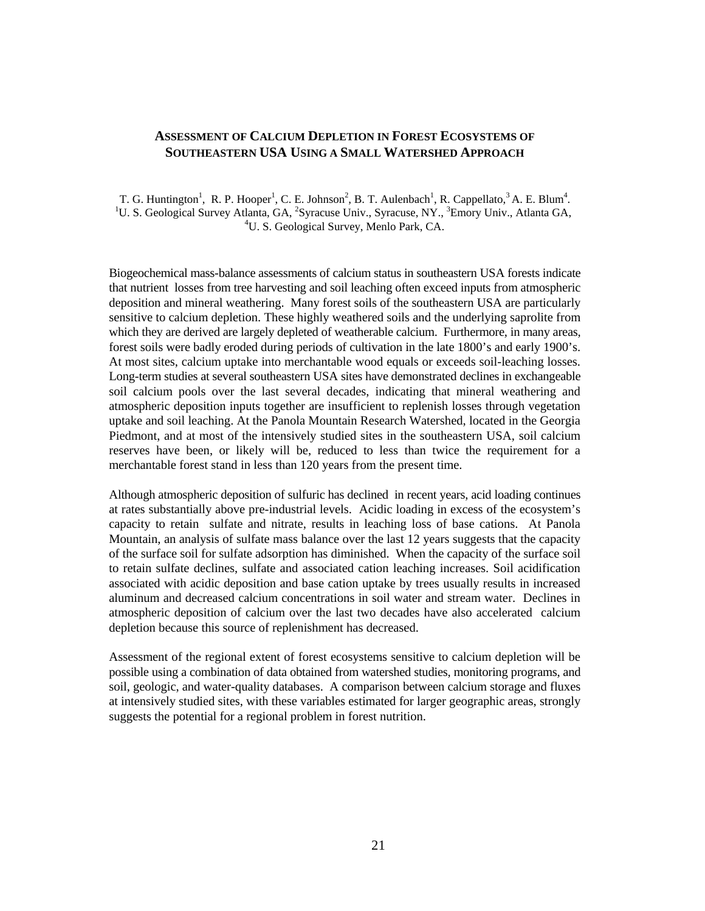### **ASSESSMENT OF CALCIUM DEPLETION IN FOREST ECOSYSTEMS OF SOUTHEASTERN USA USING A SMALL WATERSHED APPROACH**

T. G. Huntington<sup>1</sup>, R. P. Hooper<sup>1</sup>, C. E. Johnson<sup>2</sup>, B. T. Aulenbach<sup>1</sup>, R. Cappellato, <sup>3</sup> A. E. Blum<sup>4</sup>. <sup>1</sup>U. S. Geological Survey Atlanta, GA, <sup>2</sup>Syracuse Univ., Syracuse, NY., <sup>3</sup>Emory Univ., Atlanta GA, <sup>4</sup>U. S. Geological Survey, Menlo Park, CA.

Biogeochemical mass-balance assessments of calcium status in southeastern USA forests indicate that nutrient losses from tree harvesting and soil leaching often exceed inputs from atmospheric deposition and mineral weathering. Many forest soils of the southeastern USA are particularly sensitive to calcium depletion. These highly weathered soils and the underlying saprolite from which they are derived are largely depleted of weatherable calcium. Furthermore, in many areas, forest soils were badly eroded during periods of cultivation in the late 1800's and early 1900's. At most sites, calcium uptake into merchantable wood equals or exceeds soil-leaching losses. Long-term studies at several southeastern USA sites have demonstrated declines in exchangeable soil calcium pools over the last several decades, indicating that mineral weathering and atmospheric deposition inputs together are insufficient to replenish losses through vegetation uptake and soil leaching. At the Panola Mountain Research Watershed, located in the Georgia Piedmont, and at most of the intensively studied sites in the southeastern USA, soil calcium reserves have been, or likely will be, reduced to less than twice the requirement for a merchantable forest stand in less than 120 years from the present time.

Although atmospheric deposition of sulfuric has declined in recent years, acid loading continues at rates substantially above pre-industrial levels. Acidic loading in excess of the ecosystem's capacity to retain sulfate and nitrate, results in leaching loss of base cations. At Panola Mountain, an analysis of sulfate mass balance over the last 12 years suggests that the capacity of the surface soil for sulfate adsorption has diminished. When the capacity of the surface soil to retain sulfate declines, sulfate and associated cation leaching increases. Soil acidification associated with acidic deposition and base cation uptake by trees usually results in increased aluminum and decreased calcium concentrations in soil water and stream water. Declines in atmospheric deposition of calcium over the last two decades have also accelerated calcium depletion because this source of replenishment has decreased.

Assessment of the regional extent of forest ecosystems sensitive to calcium depletion will be possible using a combination of data obtained from watershed studies, monitoring programs, and soil, geologic, and water-quality databases. A comparison between calcium storage and fluxes at intensively studied sites, with these variables estimated for larger geographic areas, strongly suggests the potential for a regional problem in forest nutrition.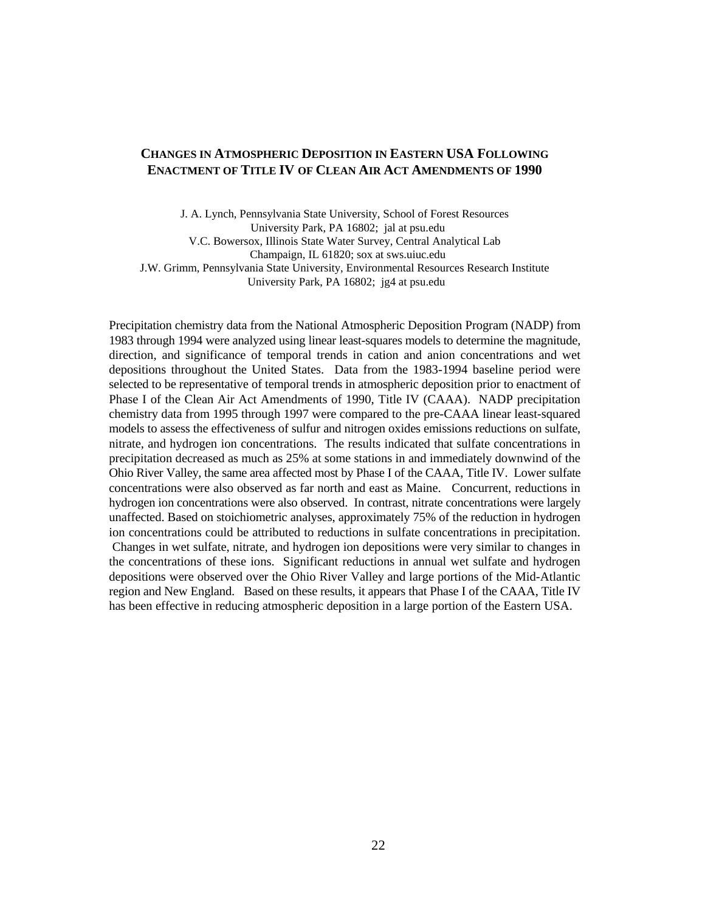#### **CHANGES IN ATMOSPHERIC DEPOSITION IN EASTERN USA FOLLOWING ENACTMENT OF TITLE IV OF CLEAN AIR ACT AMENDMENTS OF 1990**

J. A. Lynch, Pennsylvania State University, School of Forest Resources University Park, PA 16802; jal at psu.edu V.C. Bowersox, Illinois State Water Survey, Central Analytical Lab Champaign, IL 61820; sox at sws.uiuc.edu J.W. Grimm, Pennsylvania State University, Environmental Resources Research Institute University Park, PA 16802; jg4 at psu.edu

Precipitation chemistry data from the National Atmospheric Deposition Program (NADP) from 1983 through 1994 were analyzed using linear least-squares models to determine the magnitude, direction, and significance of temporal trends in cation and anion concentrations and wet depositions throughout the United States. Data from the 1983-1994 baseline period were selected to be representative of temporal trends in atmospheric deposition prior to enactment of Phase I of the Clean Air Act Amendments of 1990, Title IV (CAAA). NADP precipitation chemistry data from 1995 through 1997 were compared to the pre-CAAA linear least-squared models to assess the effectiveness of sulfur and nitrogen oxides emissions reductions on sulfate, nitrate, and hydrogen ion concentrations. The results indicated that sulfate concentrations in precipitation decreased as much as 25% at some stations in and immediately downwind of the Ohio River Valley, the same area affected most by Phase I of the CAAA, Title IV. Lower sulfate concentrations were also observed as far north and east as Maine. Concurrent, reductions in hydrogen ion concentrations were also observed. In contrast, nitrate concentrations were largely unaffected. Based on stoichiometric analyses, approximately 75% of the reduction in hydrogen ion concentrations could be attributed to reductions in sulfate concentrations in precipitation. Changes in wet sulfate, nitrate, and hydrogen ion depositions were very similar to changes in the concentrations of these ions. Significant reductions in annual wet sulfate and hydrogen depositions were observed over the Ohio River Valley and large portions of the Mid-Atlantic region and New England. Based on these results, it appears that Phase I of the CAAA, Title IV has been effective in reducing atmospheric deposition in a large portion of the Eastern USA.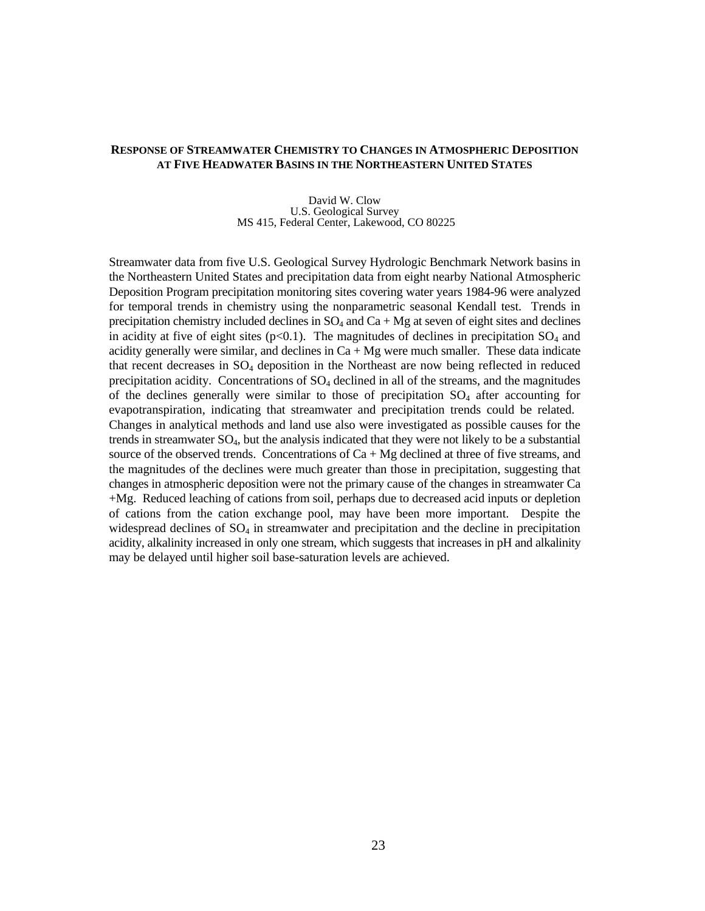#### **RESPONSE OF STREAMWATER CHEMISTRY TO CHANGES IN ATMOSPHERIC DEPOSITION AT FIVE HEADWATER BASINS IN THE NORTHEASTERN UNITED STATES**

David W. Clow U.S. Geological Survey MS 415, Federal Center, Lakewood, CO 80225

Streamwater data from five U.S. Geological Survey Hydrologic Benchmark Network basins in the Northeastern United States and precipitation data from eight nearby National Atmospheric Deposition Program precipitation monitoring sites covering water years 1984-96 were analyzed for temporal trends in chemistry using the nonparametric seasonal Kendall test. Trends in precipitation chemistry included declines in  $SO_4$  and  $Ca + Mg$  at seven of eight sites and declines in acidity at five of eight sites ( $p<0.1$ ). The magnitudes of declines in precipitation  $SO_4$  and acidity generally were similar, and declines in  $Ca + Mg$  were much smaller. These data indicate that recent decreases in SO4 deposition in the Northeast are now being reflected in reduced precipitation acidity. Concentrations of  $SO<sub>4</sub>$  declined in all of the streams, and the magnitudes of the declines generally were similar to those of precipitation  $SO<sub>4</sub>$  after accounting for evapotranspiration, indicating that streamwater and precipitation trends could be related. Changes in analytical methods and land use also were investigated as possible causes for the trends in streamwater SO<sub>4</sub>, but the analysis indicated that they were not likely to be a substantial source of the observed trends. Concentrations of  $Ca + Mg$  declined at three of five streams, and the magnitudes of the declines were much greater than those in precipitation, suggesting that changes in atmospheric deposition were not the primary cause of the changes in streamwater Ca +Mg. Reduced leaching of cations from soil, perhaps due to decreased acid inputs or depletion of cations from the cation exchange pool, may have been more important. Despite the widespread declines of  $SO_4$  in streamwater and precipitation and the decline in precipitation acidity, alkalinity increased in only one stream, which suggests that increases in pH and alkalinity may be delayed until higher soil base-saturation levels are achieved.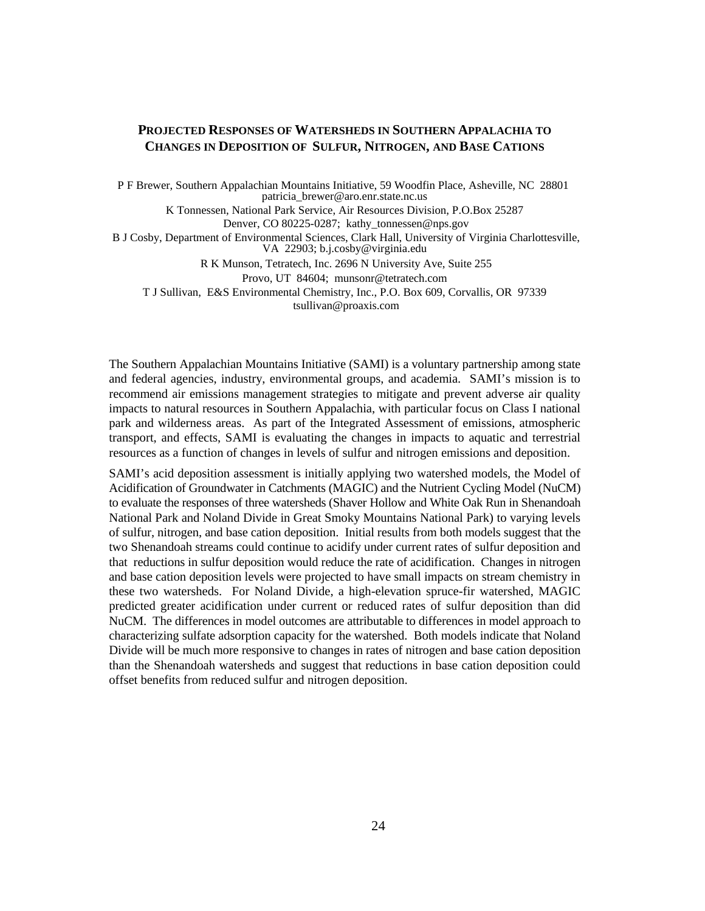#### **PROJECTED RESPONSES OF WATERSHEDS IN SOUTHERN APPALACHIA TO CHANGES IN DEPOSITION OF SULFUR, NITROGEN, AND BASE CATIONS**

P F Brewer, Southern Appalachian Mountains Initiative, 59 Woodfin Place, Asheville, NC 28801 patricia\_brewer@aro.enr.state.nc.us

K Tonnessen, National Park Service, Air Resources Division, P.O.Box 25287 Denver, CO 80225-0287; kathy tonnessen@nps.gov

 B J Cosby, Department of Environmental Sciences, Clark Hall, University of Virginia Charlottesville, VA 22903; b.j.cosby@virginia.edu

R K Munson, Tetratech, Inc. 2696 N University Ave, Suite 255

Provo, UT 84604; munsonr@tetratech.com

T J Sullivan, E&S Environmental Chemistry, Inc., P.O. Box 609, Corvallis, OR 97339 tsullivan@proaxis.com

The Southern Appalachian Mountains Initiative (SAMI) is a voluntary partnership among state and federal agencies, industry, environmental groups, and academia. SAMI's mission is to recommend air emissions management strategies to mitigate and prevent adverse air quality impacts to natural resources in Southern Appalachia, with particular focus on Class I national park and wilderness areas. As part of the Integrated Assessment of emissions, atmospheric transport, and effects, SAMI is evaluating the changes in impacts to aquatic and terrestrial resources as a function of changes in levels of sulfur and nitrogen emissions and deposition.

SAMI's acid deposition assessment is initially applying two watershed models, the Model of Acidification of Groundwater in Catchments (MAGIC) and the Nutrient Cycling Model (NuCM) to evaluate the responses of three watersheds (Shaver Hollow and White Oak Run in Shenandoah National Park and Noland Divide in Great Smoky Mountains National Park) to varying levels of sulfur, nitrogen, and base cation deposition. Initial results from both models suggest that the two Shenandoah streams could continue to acidify under current rates of sulfur deposition and that reductions in sulfur deposition would reduce the rate of acidification. Changes in nitrogen and base cation deposition levels were projected to have small impacts on stream chemistry in these two watersheds. For Noland Divide, a high-elevation spruce-fir watershed, MAGIC predicted greater acidification under current or reduced rates of sulfur deposition than did NuCM. The differences in model outcomes are attributable to differences in model approach to characterizing sulfate adsorption capacity for the watershed. Both models indicate that Noland Divide will be much more responsive to changes in rates of nitrogen and base cation deposition than the Shenandoah watersheds and suggest that reductions in base cation deposition could offset benefits from reduced sulfur and nitrogen deposition.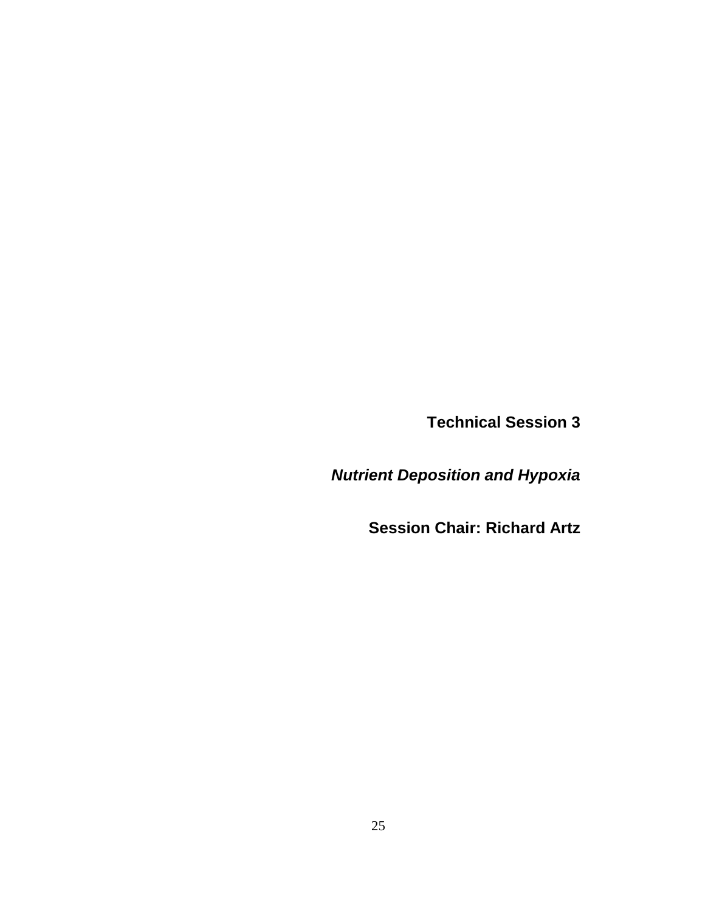**Technical Session 3**

*Nutrient Deposition and Hypoxia*

**Session Chair: Richard Artz**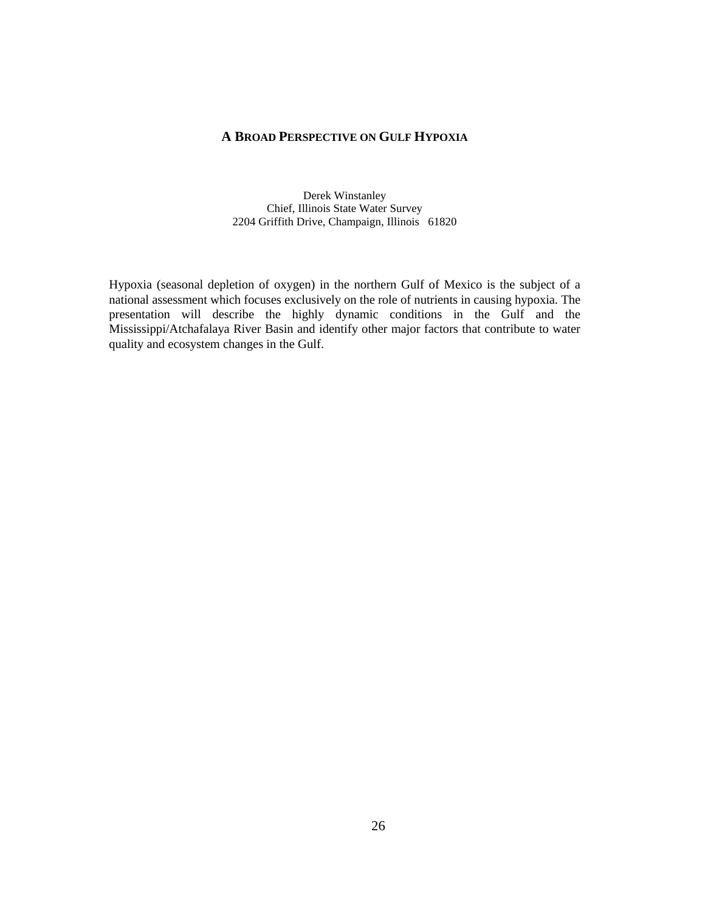#### **A BROAD PERSPECTIVE ON GULF HYPOXIA**

Derek Winstanley Chief, Illinois State Water Survey 2204 Griffith Drive, Champaign, Illinois 61820

Hypoxia (seasonal depletion of oxygen) in the northern Gulf of Mexico is the subject of a national assessment which focuses exclusively on the role of nutrients in causing hypoxia. The presentation will describe the highly dynamic conditions in the Gulf and the Mississippi/Atchafalaya River Basin and identify other major factors that contribute to water quality and ecosystem changes in the Gulf.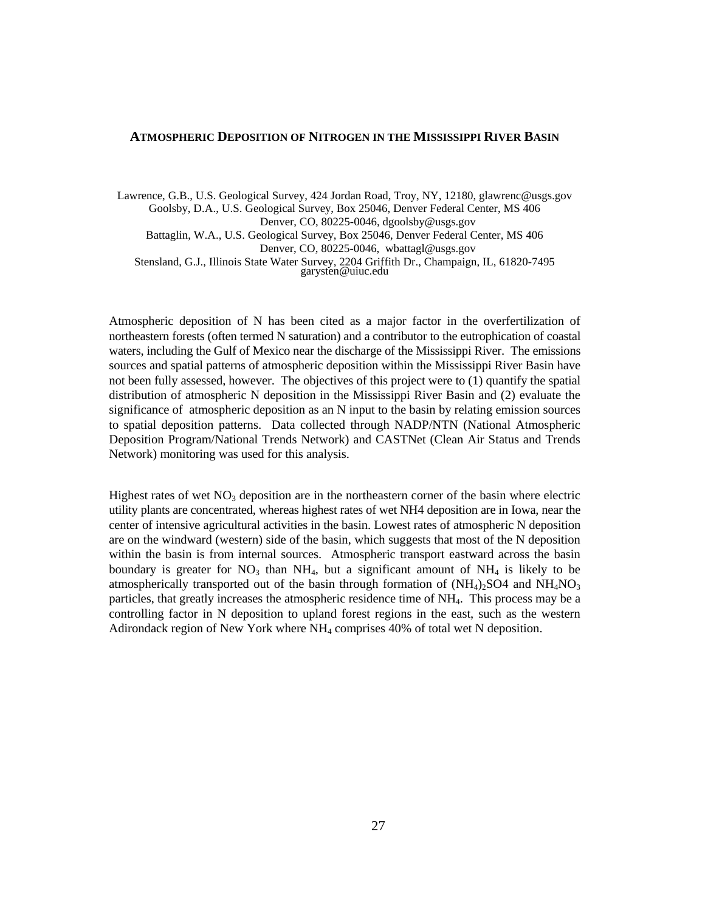#### **ATMOSPHERIC DEPOSITION OF NITROGEN IN THE MISSISSIPPI RIVER BASIN**

Lawrence, G.B., U.S. Geological Survey, 424 Jordan Road, Troy, NY, 12180, glawrenc@usgs.gov Goolsby, D.A., U.S. Geological Survey, Box 25046, Denver Federal Center, MS 406 Denver, CO, 80225-0046, dgoolsby@usgs.gov Battaglin, W.A., U.S. Geological Survey, Box 25046, Denver Federal Center, MS 406 Denver, CO, 80225-0046, wbattagl@usgs.gov Stensland, G.J., Illinois State Water Survey, 2204 Griffith Dr., Champaign, IL, 61820-7495 garysten@uiuc.edu

Atmospheric deposition of N has been cited as a major factor in the overfertilization of northeastern forests (often termed N saturation) and a contributor to the eutrophication of coastal waters, including the Gulf of Mexico near the discharge of the Mississippi River. The emissions sources and spatial patterns of atmospheric deposition within the Mississippi River Basin have not been fully assessed, however. The objectives of this project were to (1) quantify the spatial distribution of atmospheric N deposition in the Mississippi River Basin and (2) evaluate the significance of atmospheric deposition as an N input to the basin by relating emission sources to spatial deposition patterns. Data collected through NADP/NTN (National Atmospheric Deposition Program/National Trends Network) and CASTNet (Clean Air Status and Trends Network) monitoring was used for this analysis.

Highest rates of wet  $NO<sub>3</sub>$  deposition are in the northeastern corner of the basin where electric utility plants are concentrated, whereas highest rates of wet NH4 deposition are in Iowa, near the center of intensive agricultural activities in the basin. Lowest rates of atmospheric N deposition are on the windward (western) side of the basin, which suggests that most of the N deposition within the basin is from internal sources. Atmospheric transport eastward across the basin boundary is greater for  $NO_3$  than  $NH_4$ , but a significant amount of  $NH_4$  is likely to be atmospherically transported out of the basin through formation of  $(NH_4)$ >SO4 and  $NH_4NO_3$ particles, that greatly increases the atmospheric residence time of NH4. This process may be a controlling factor in N deposition to upland forest regions in the east, such as the western Adirondack region of New York where NH4 comprises 40% of total wet N deposition.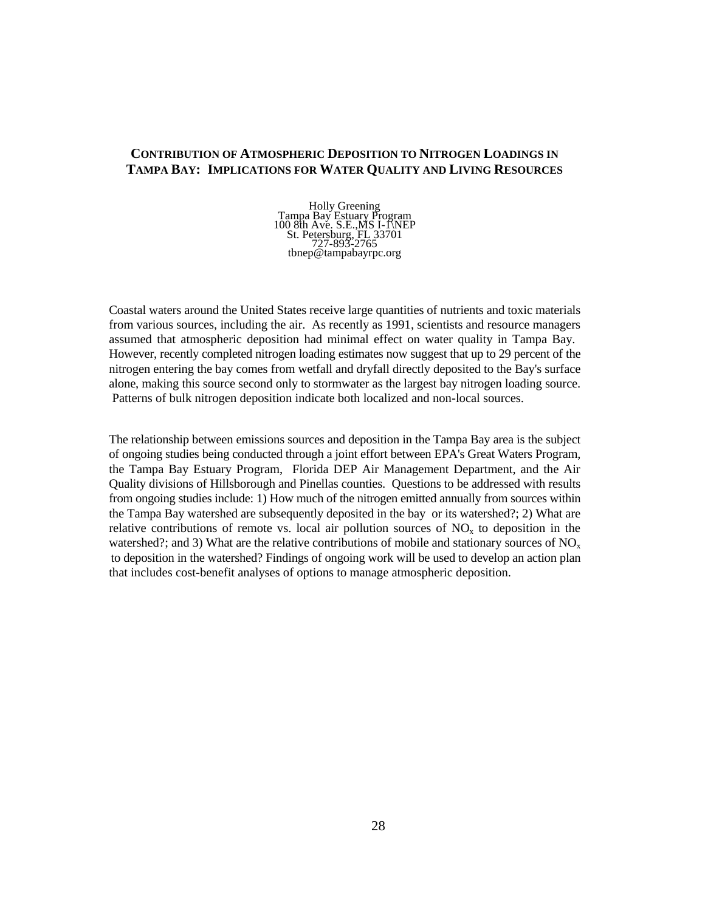## **CONTRIBUTION OF ATMOSPHERIC DEPOSITION TO NITROGEN LOADINGS IN TAMPA BAY: IMPLICATIONS FOR WATER QUALITY AND LIVING RESOURCES**

Holly Greening Tampa Bay Estuary Program 100 8th Ave. S.E., MS I-1\NEP St. Petersburg, FL 33701 727-893-2765 tbnep@tampabayrpc.org

Coastal waters around the United States receive large quantities of nutrients and toxic materials from various sources, including the air. As recently as 1991, scientists and resource managers assumed that atmospheric deposition had minimal effect on water quality in Tampa Bay. However, recently completed nitrogen loading estimates now suggest that up to 29 percent of the nitrogen entering the bay comes from wetfall and dryfall directly deposited to the Bay's surface alone, making this source second only to stormwater as the largest bay nitrogen loading source. Patterns of bulk nitrogen deposition indicate both localized and non-local sources.

The relationship between emissions sources and deposition in the Tampa Bay area is the subject of ongoing studies being conducted through a joint effort between EPA's Great Waters Program, the Tampa Bay Estuary Program, Florida DEP Air Management Department, and the Air Quality divisions of Hillsborough and Pinellas counties. Questions to be addressed with results from ongoing studies include: 1) How much of the nitrogen emitted annually from sources within the Tampa Bay watershed are subsequently deposited in the bay or its watershed?; 2) What are relative contributions of remote vs. local air pollution sources of  $NO<sub>x</sub>$  to deposition in the watershed?; and 3) What are the relative contributions of mobile and stationary sources of  $NO<sub>x</sub>$ to deposition in the watershed? Findings of ongoing work will be used to develop an action plan that includes cost-benefit analyses of options to manage atmospheric deposition.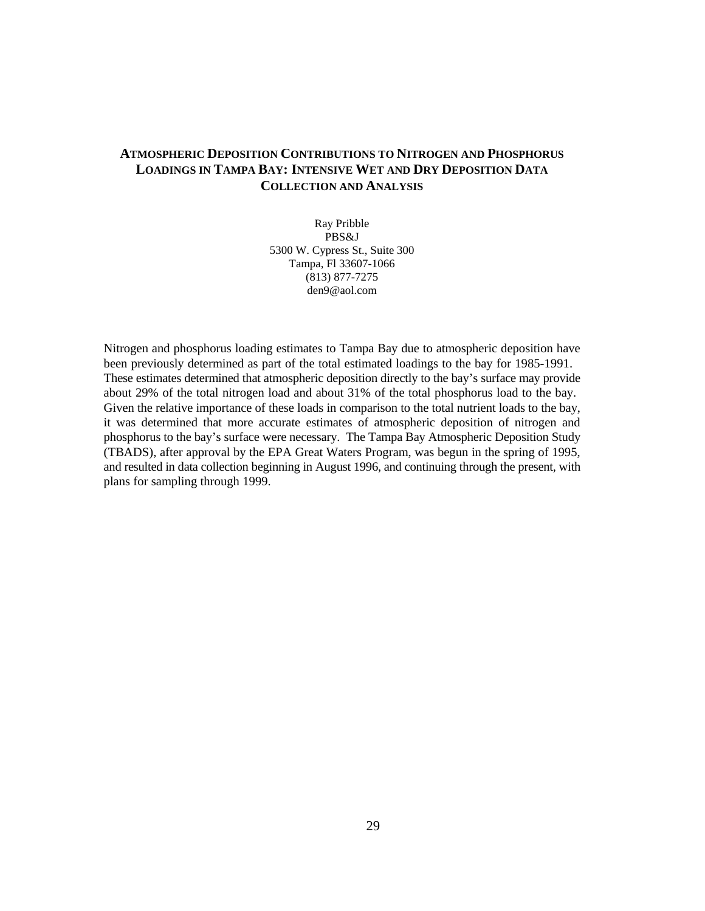## **ATMOSPHERIC DEPOSITION CONTRIBUTIONS TO NITROGEN AND PHOSPHORUS LOADINGS IN TAMPA BAY: INTENSIVE WET AND DRY DEPOSITION DATA COLLECTION AND ANALYSIS**

Ray Pribble PBS&J 5300 W. Cypress St., Suite 300 Tampa, Fl 33607-1066 (813) 877-7275 den9@aol.com

Nitrogen and phosphorus loading estimates to Tampa Bay due to atmospheric deposition have been previously determined as part of the total estimated loadings to the bay for 1985-1991. These estimates determined that atmospheric deposition directly to the bay's surface may provide about 29% of the total nitrogen load and about 31% of the total phosphorus load to the bay. Given the relative importance of these loads in comparison to the total nutrient loads to the bay, it was determined that more accurate estimates of atmospheric deposition of nitrogen and phosphorus to the bay's surface were necessary. The Tampa Bay Atmospheric Deposition Study (TBADS), after approval by the EPA Great Waters Program, was begun in the spring of 1995, and resulted in data collection beginning in August 1996, and continuing through the present, with plans for sampling through 1999.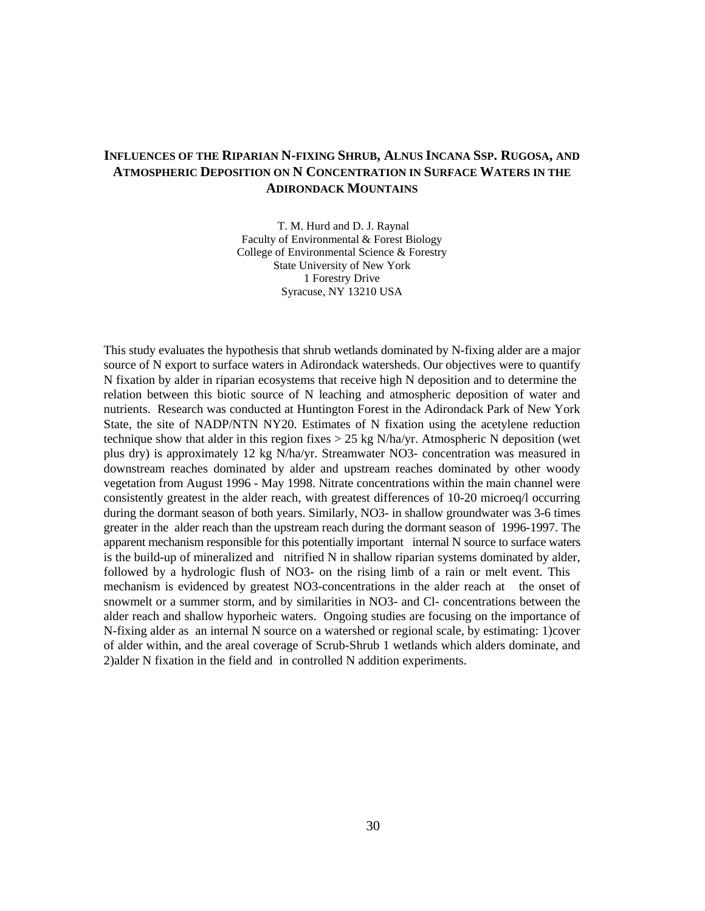## **INFLUENCES OF THE RIPARIAN N-FIXING SHRUB, ALNUS INCANA SSP. RUGOSA, AND ATMOSPHERIC DEPOSITION ON N CONCENTRATION IN SURFACE WATERS IN THE ADIRONDACK MOUNTAINS**

 T. M. Hurd and D. J. Raynal Faculty of Environmental & Forest Biology College of Environmental Science & Forestry State University of New York 1 Forestry Drive Syracuse, NY 13210 USA

This study evaluates the hypothesis that shrub wetlands dominated by N-fixing alder are a major source of N export to surface waters in Adirondack watersheds. Our objectives were to quantify N fixation by alder in riparian ecosystems that receive high N deposition and to determine the relation between this biotic source of N leaching and atmospheric deposition of water and nutrients. Research was conducted at Huntington Forest in the Adirondack Park of New York State, the site of NADP/NTN NY20. Estimates of N fixation using the acetylene reduction technique show that alder in this region fixes  $> 25$  kg N/ha/yr. Atmospheric N deposition (wet plus dry) is approximately 12 kg N/ha/yr. Streamwater NO3- concentration was measured in downstream reaches dominated by alder and upstream reaches dominated by other woody vegetation from August 1996 - May 1998. Nitrate concentrations within the main channel were consistently greatest in the alder reach, with greatest differences of 10-20 microeq/l occurring during the dormant season of both years. Similarly, NO3- in shallow groundwater was 3-6 times greater in the alder reach than the upstream reach during the dormant season of 1996-1997. The apparent mechanism responsible for this potentially important internal N source to surface waters is the build-up of mineralized and nitrified N in shallow riparian systems dominated by alder, followed by a hydrologic flush of NO3- on the rising limb of a rain or melt event. This mechanism is evidenced by greatest NO3-concentrations in the alder reach at the onset of snowmelt or a summer storm, and by similarities in NO3- and Cl- concentrations between the alder reach and shallow hyporheic waters. Ongoing studies are focusing on the importance of N-fixing alder as an internal N source on a watershed or regional scale, by estimating: 1)cover of alder within, and the areal coverage of Scrub-Shrub 1 wetlands which alders dominate, and 2)alder N fixation in the field and in controlled N addition experiments.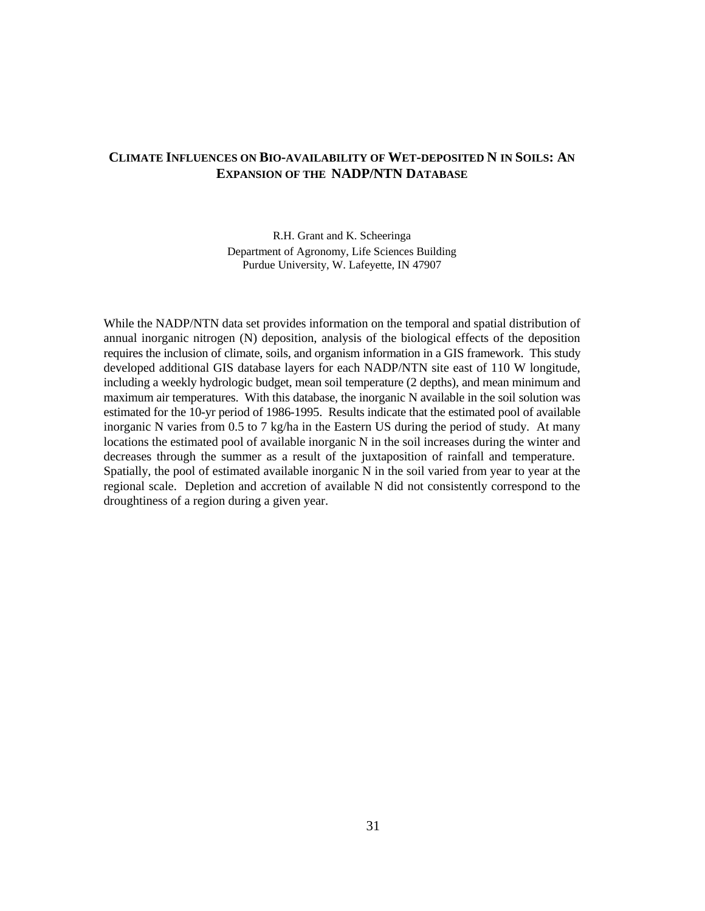## **CLIMATE INFLUENCES ON BIO-AVAILABILITY OF WET-DEPOSITED N IN SOILS: AN EXPANSION OF THE NADP/NTN DATABASE**

R.H. Grant and K. Scheeringa Department of Agronomy, Life Sciences Building Purdue University, W. Lafeyette, IN 47907

While the NADP/NTN data set provides information on the temporal and spatial distribution of annual inorganic nitrogen (N) deposition, analysis of the biological effects of the deposition requires the inclusion of climate, soils, and organism information in a GIS framework. This study developed additional GIS database layers for each NADP/NTN site east of 110 W longitude, including a weekly hydrologic budget, mean soil temperature (2 depths), and mean minimum and maximum air temperatures. With this database, the inorganic N available in the soil solution was estimated for the 10-yr period of 1986-1995. Results indicate that the estimated pool of available inorganic N varies from 0.5 to 7 kg/ha in the Eastern US during the period of study. At many locations the estimated pool of available inorganic N in the soil increases during the winter and decreases through the summer as a result of the juxtaposition of rainfall and temperature. Spatially, the pool of estimated available inorganic N in the soil varied from year to year at the regional scale. Depletion and accretion of available N did not consistently correspond to the droughtiness of a region during a given year.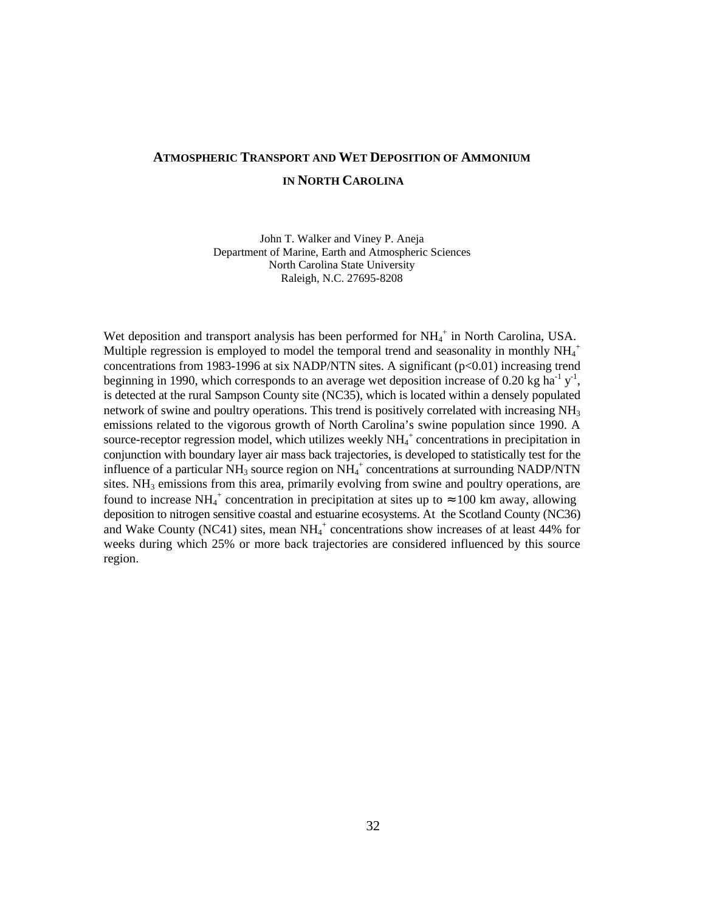## **ATMOSPHERIC TRANSPORT AND WET DEPOSITION OF AMMONIUM IN NORTH CAROLINA**

John T. Walker and Viney P. Aneja Department of Marine, Earth and Atmospheric Sciences North Carolina State University Raleigh, N.C. 27695-8208

Wet deposition and transport analysis has been performed for  $NH_4^+$  in North Carolina, USA. Multiple regression is employed to model the temporal trend and seasonality in monthly  $NH_4^+$ concentrations from 1983-1996 at six NADP/NTN sites. A significant  $(p<0.01)$  increasing trend beginning in 1990, which corresponds to an average wet deposition increase of 0.20 kg ha<sup>-1</sup> y<sup>-1</sup>, is detected at the rural Sampson County site (NC35), which is located within a densely populated network of swine and poultry operations. This trend is positively correlated with increasing  $NH<sub>3</sub>$ emissions related to the vigorous growth of North Carolina's swine population since 1990. A source-receptor regression model, which utilizes weekly  $NH_4^+$  concentrations in precipitation in conjunction with boundary layer air mass back trajectories, is developed to statistically test for the influence of a particular  $NH_3$  source region on  $NH_4^+$  concentrations at surrounding NADP/NTN sites.  $NH<sub>3</sub>$  emissions from this area, primarily evolving from swine and poultry operations, are found to increase NH<sub>4</sub><sup>+</sup> concentration in precipitation at sites up to  $\approx 100$  km away, allowing deposition to nitrogen sensitive coastal and estuarine ecosystems. At the Scotland County (NC36) and Wake County (NC41) sites, mean  $NH_4^+$  concentrations show increases of at least 44% for weeks during which 25% or more back trajectories are considered influenced by this source region.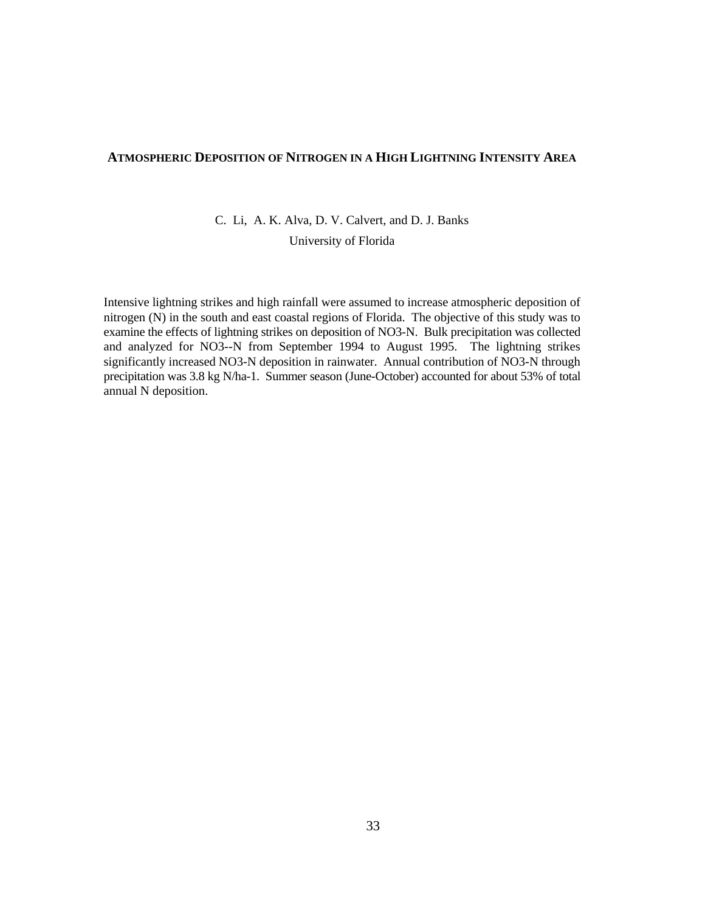#### **ATMOSPHERIC DEPOSITION OF NITROGEN IN A HIGH LIGHTNING INTENSITY AREA**

C. Li, A. K. Alva, D. V. Calvert, and D. J. Banks

University of Florida

Intensive lightning strikes and high rainfall were assumed to increase atmospheric deposition of nitrogen (N) in the south and east coastal regions of Florida. The objective of this study was to examine the effects of lightning strikes on deposition of NO3-N. Bulk precipitation was collected and analyzed for NO3--N from September 1994 to August 1995. The lightning strikes significantly increased NO3-N deposition in rainwater. Annual contribution of NO3-N through precipitation was 3.8 kg N/ha-1. Summer season (June-October) accounted for about 53% of total annual N deposition.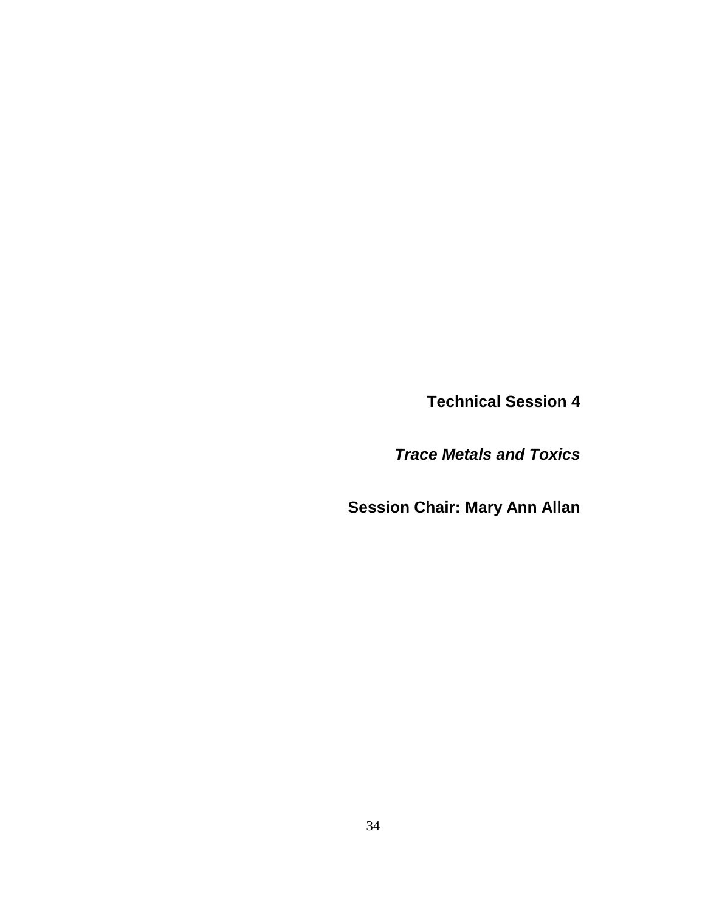**Technical Session 4**

*Trace Metals and Toxics*

**Session Chair: Mary Ann Allan**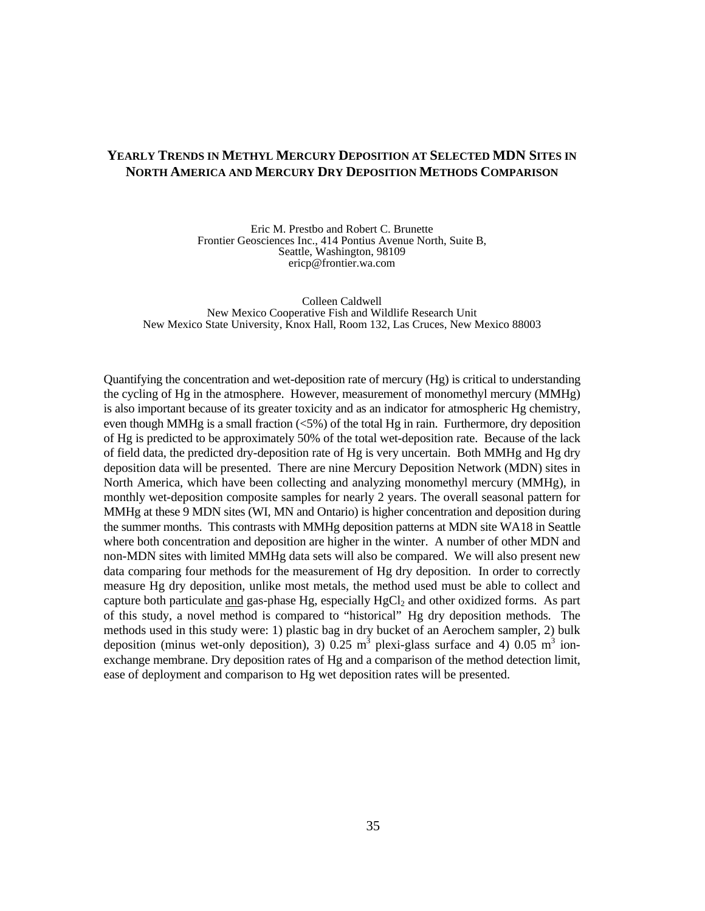#### **YEARLY TRENDS IN METHYL MERCURY DEPOSITION AT SELECTED MDN SITES IN NORTH AMERICA AND MERCURY DRY DEPOSITION METHODS COMPARISON**

Eric M. Prestbo and Robert C. Brunette Frontier Geosciences Inc., 414 Pontius Avenue North, Suite B, Seattle, Washington, 98109 ericp@frontier.wa.com

Colleen Caldwell New Mexico Cooperative Fish and Wildlife Research Unit New Mexico State University, Knox Hall, Room 132, Las Cruces, New Mexico 88003

Quantifying the concentration and wet-deposition rate of mercury (Hg) is critical to understanding the cycling of Hg in the atmosphere. However, measurement of monomethyl mercury (MMHg) is also important because of its greater toxicity and as an indicator for atmospheric Hg chemistry, even though MMHg is a small fraction (<5%) of the total Hg in rain. Furthermore, dry deposition of Hg is predicted to be approximately 50% of the total wet-deposition rate. Because of the lack of field data, the predicted dry-deposition rate of Hg is very uncertain. Both MMHg and Hg dry deposition data will be presented. There are nine Mercury Deposition Network (MDN) sites in North America, which have been collecting and analyzing monomethyl mercury (MMHg), in monthly wet-deposition composite samples for nearly 2 years. The overall seasonal pattern for MMHg at these 9 MDN sites (WI, MN and Ontario) is higher concentration and deposition during the summer months. This contrasts with MMHg deposition patterns at MDN site WA18 in Seattle where both concentration and deposition are higher in the winter. A number of other MDN and non-MDN sites with limited MMHg data sets will also be compared. We will also present new data comparing four methods for the measurement of Hg dry deposition. In order to correctly measure Hg dry deposition, unlike most metals, the method used must be able to collect and capture both particulate and gas-phase Hg, especially HgCl<sub>2</sub> and other oxidized forms. As part of this study, a novel method is compared to "historical" Hg dry deposition methods. The methods used in this study were: 1) plastic bag in dry bucket of an Aerochem sampler, 2) bulk deposition (minus wet-only deposition), 3) 0.25 m<sup>3</sup> plexi-glass surface and 4) 0.05 m<sup>3</sup> ionexchange membrane. Dry deposition rates of Hg and a comparison of the method detection limit, ease of deployment and comparison to Hg wet deposition rates will be presented.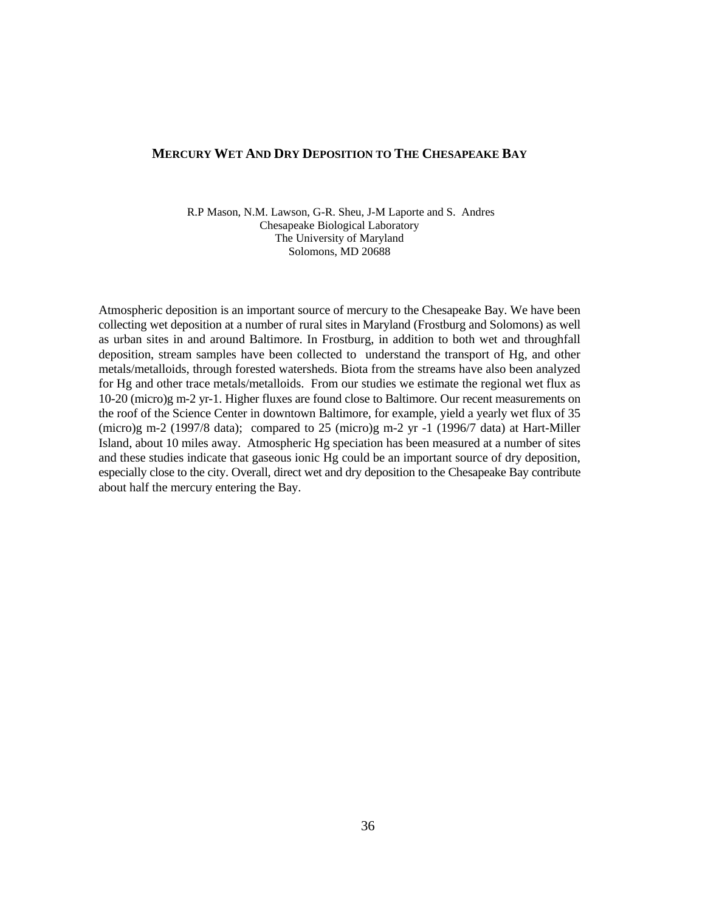#### **MERCURY WET AND DRY DEPOSITION TO THE CHESAPEAKE BAY**

 R.P Mason, N.M. Lawson, G-R. Sheu, J-M Laporte and S. Andres Chesapeake Biological Laboratory The University of Maryland Solomons, MD 20688

Atmospheric deposition is an important source of mercury to the Chesapeake Bay. We have been collecting wet deposition at a number of rural sites in Maryland (Frostburg and Solomons) as well as urban sites in and around Baltimore. In Frostburg, in addition to both wet and throughfall deposition, stream samples have been collected to understand the transport of Hg, and other metals/metalloids, through forested watersheds. Biota from the streams have also been analyzed for Hg and other trace metals/metalloids. From our studies we estimate the regional wet flux as 10-20 (micro)g m-2 yr-1. Higher fluxes are found close to Baltimore. Our recent measurements on the roof of the Science Center in downtown Baltimore, for example, yield a yearly wet flux of 35 (micro)g m-2 (1997/8 data); compared to 25 (micro)g m-2 yr -1 (1996/7 data) at Hart-Miller Island, about 10 miles away. Atmospheric Hg speciation has been measured at a number of sites and these studies indicate that gaseous ionic Hg could be an important source of dry deposition, especially close to the city. Overall, direct wet and dry deposition to the Chesapeake Bay contribute about half the mercury entering the Bay.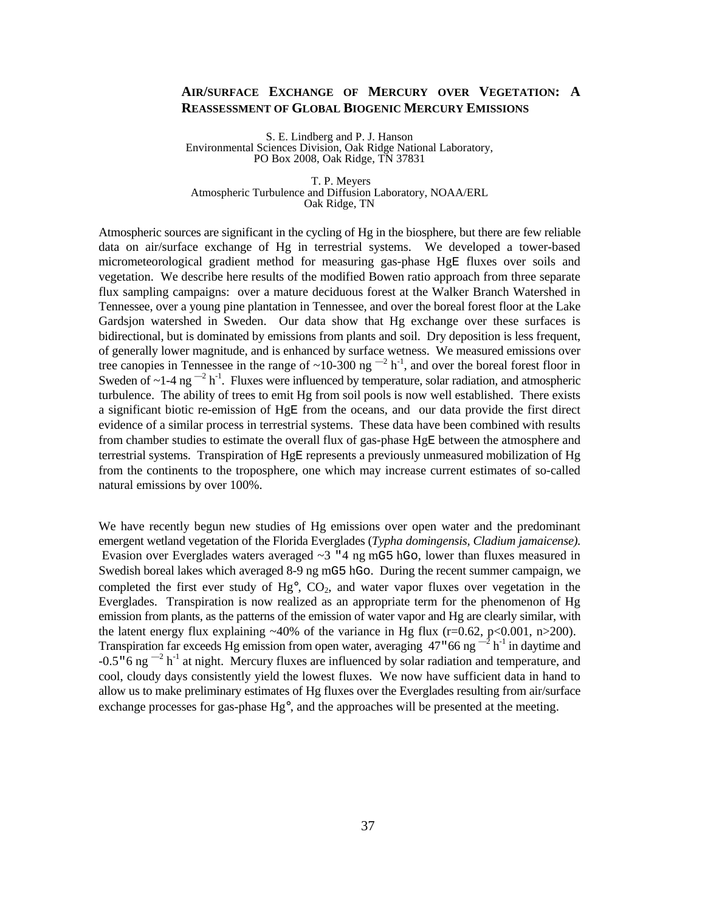#### **AIR/SURFACE EXCHANGE OF MERCURY OVER VEGETATION: A REASSESSMENT OF GLOBAL BIOGENIC MERCURY EMISSIONS**

S. E. Lindberg and P. J. Hanson Environmental Sciences Division, Oak Ridge National Laboratory, PO Box 2008, Oak Ridge, TN 37831

 T. P. Meyers Atmospheric Turbulence and Diffusion Laboratory, NOAA/ERL Oak Ridge, TN

Atmospheric sources are significant in the cycling of Hg in the biosphere, but there are few reliable data on air/surface exchange of Hg in terrestrial systems. We developed a tower-based micrometeorological gradient method for measuring gas-phase HgE fluxes over soils and vegetation. We describe here results of the modified Bowen ratio approach from three separate flux sampling campaigns: over a mature deciduous forest at the Walker Branch Watershed in Tennessee, over a young pine plantation in Tennessee, and over the boreal forest floor at the Lake Gardsjon watershed in Sweden. Our data show that Hg exchange over these surfaces is bidirectional, but is dominated by emissions from plants and soil. Dry deposition is less frequent, of generally lower magnitude, and is enhanced by surface wetness. We measured emissions over tree canopies in Tennessee in the range of ~10-300 ng  $^{-2}$  h<sup>-1</sup>, and over the boreal forest floor in Sweden of  $\sim$ 1-4 ng  $^{-2}$  h<sup>-1</sup>. Fluxes were influenced by temperature, solar radiation, and atmospheric turbulence. The ability of trees to emit Hg from soil pools is now well established. There exists a significant biotic re-emission of HgE from the oceans, and our data provide the first direct evidence of a similar process in terrestrial systems. These data have been combined with results from chamber studies to estimate the overall flux of gas-phase HgE between the atmosphere and terrestrial systems. Transpiration of HgE represents a previously unmeasured mobilization of Hg from the continents to the troposphere, one which may increase current estimates of so-called natural emissions by over 100%.

We have recently begun new studies of Hg emissions over open water and the predominant emergent wetland vegetation of the Florida Everglades (*Typha domingensis, Cladium jamaicense)*. Evasion over Everglades waters averaged  $\sim$ 3 "4 ng mG5 hGo, lower than fluxes measured in Swedish boreal lakes which averaged 8-9 ng mG5 hGo. During the recent summer campaign, we completed the first ever study of  $Hg^{\circ}$ ,  $CO<sub>2</sub>$ , and water vapor fluxes over vegetation in the Everglades. Transpiration is now realized as an appropriate term for the phenomenon of Hg emission from plants, as the patterns of the emission of water vapor and Hg are clearly similar, with the latent energy flux explaining  $~40\%$  of the variance in Hg flux (r=0.62, p<0.001, n>200). Transpiration far exceeds Hg emission from open water, averaging 47  $*$  66 ng  $^{-2}$  h<sup>-1</sup> in daytime and -0.5 " 6 ng  $^{-2}$  h<sup>-1</sup> at night. Mercury fluxes are influenced by solar radiation and temperature, and cool, cloudy days consistently yield the lowest fluxes. We now have sufficient data in hand to allow us to make preliminary estimates of Hg fluxes over the Everglades resulting from air/surface exchange processes for gas-phase  $Hg^{\circ}$ , and the approaches will be presented at the meeting.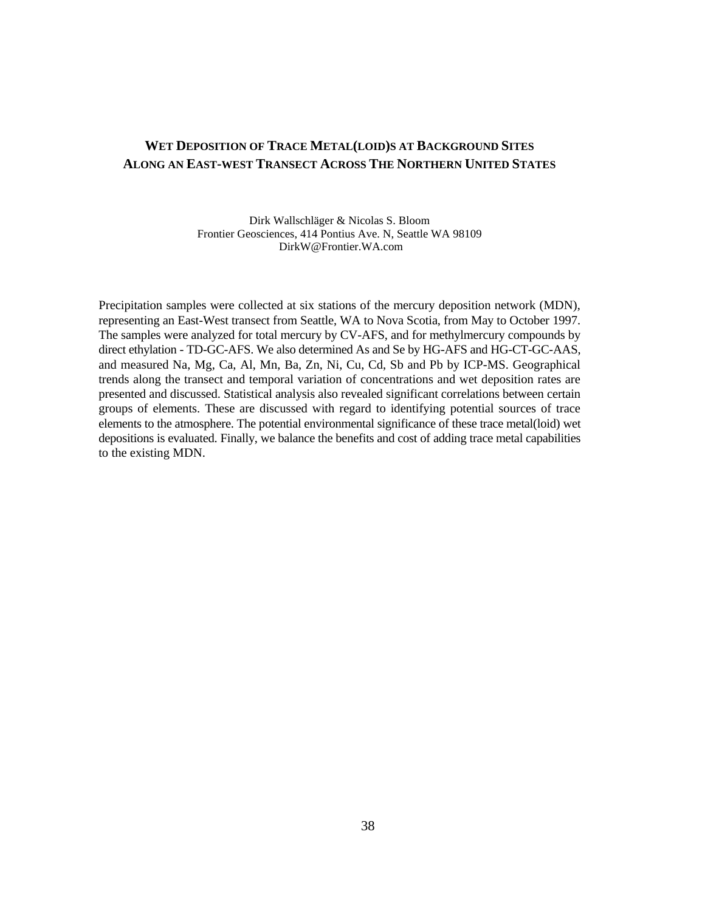## **WET DEPOSITION OF TRACE METAL(LOID)S AT BACKGROUND SITES ALONG AN EAST-WEST TRANSECT ACROSS THE NORTHERN UNITED STATES**

Dirk Wallschläger & Nicolas S. Bloom Frontier Geosciences, 414 Pontius Ave. N, Seattle WA 98109 DirkW@Frontier.WA.com

Precipitation samples were collected at six stations of the mercury deposition network (MDN), representing an East-West transect from Seattle, WA to Nova Scotia, from May to October 1997. The samples were analyzed for total mercury by CV-AFS, and for methylmercury compounds by direct ethylation - TD-GC-AFS. We also determined As and Se by HG-AFS and HG-CT-GC-AAS, and measured Na, Mg, Ca, Al, Mn, Ba, Zn, Ni, Cu, Cd, Sb and Pb by ICP-MS. Geographical trends along the transect and temporal variation of concentrations and wet deposition rates are presented and discussed. Statistical analysis also revealed significant correlations between certain groups of elements. These are discussed with regard to identifying potential sources of trace elements to the atmosphere. The potential environmental significance of these trace metal(loid) wet depositions is evaluated. Finally, we balance the benefits and cost of adding trace metal capabilities to the existing MDN.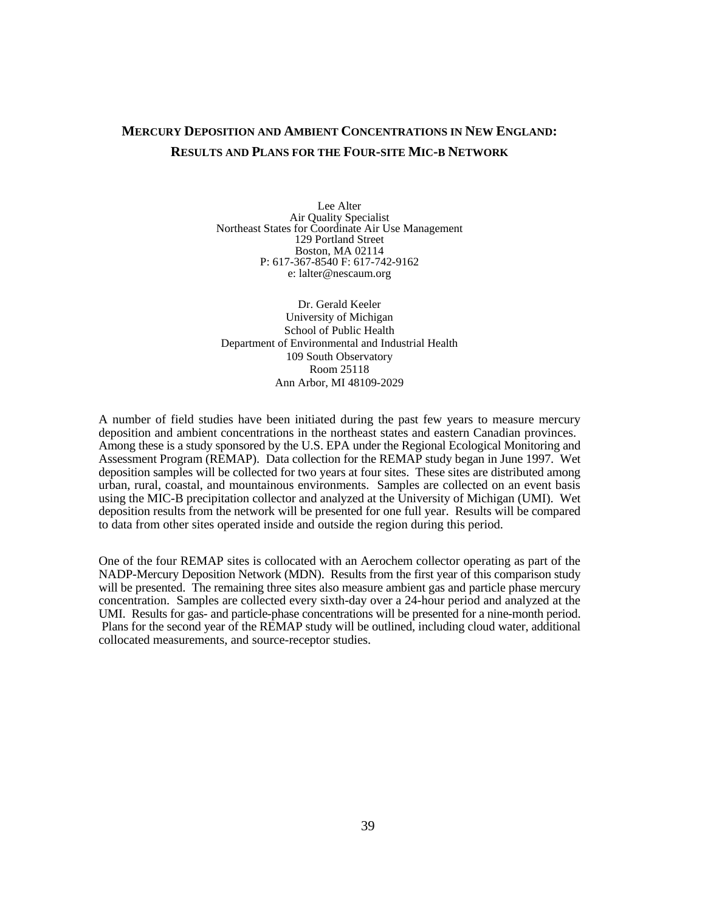## **MERCURY DEPOSITION AND AMBIENT CONCENTRATIONS IN NEW ENGLAND: RESULTS AND PLANS FOR THE FOUR-SITE MIC-B NETWORK**

Lee Alter Air Quality Specialist Northeast States for Coordinate Air Use Management 129 Portland Street Boston, MA 02114 P: 617-367-8540 F: 617-742-9162 e: lalter@nescaum.org

Dr. Gerald Keeler University of Michigan School of Public Health Department of Environmental and Industrial Health 109 South Observatory Room 25118 Ann Arbor, MI 48109-2029

A number of field studies have been initiated during the past few years to measure mercury deposition and ambient concentrations in the northeast states and eastern Canadian provinces. Among these is a study sponsored by the U.S. EPA under the Regional Ecological Monitoring and Assessment Program (REMAP). Data collection for the REMAP study began in June 1997. Wet deposition samples will be collected for two years at four sites. These sites are distributed among urban, rural, coastal, and mountainous environments. Samples are collected on an event basis using the MIC-B precipitation collector and analyzed at the University of Michigan (UMI). Wet deposition results from the network will be presented for one full year. Results will be compared to data from other sites operated inside and outside the region during this period.

One of the four REMAP sites is collocated with an Aerochem collector operating as part of the NADP-Mercury Deposition Network (MDN). Results from the first year of this comparison study will be presented. The remaining three sites also measure ambient gas and particle phase mercury concentration. Samples are collected every sixth-day over a 24-hour period and analyzed at the UMI. Results for gas- and particle-phase concentrations will be presented for a nine-month period. Plans for the second year of the REMAP study will be outlined, including cloud water, additional collocated measurements, and source-receptor studies.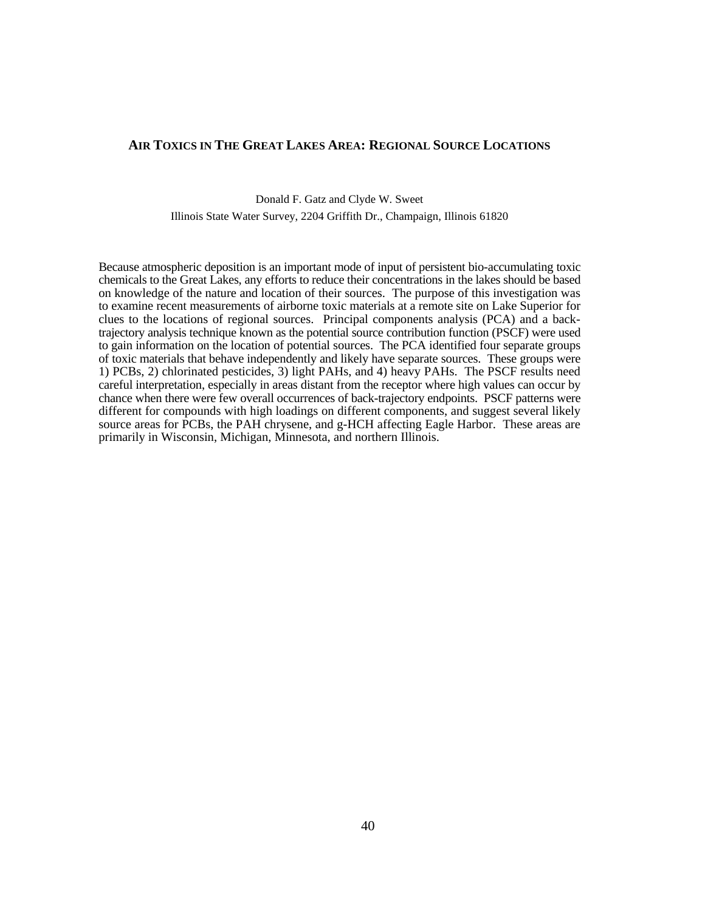#### **AIR TOXICS IN THE GREAT LAKES AREA: REGIONAL SOURCE LOCATIONS**

#### Donald F. Gatz and Clyde W. Sweet Illinois State Water Survey, 2204 Griffith Dr., Champaign, Illinois 61820

Because atmospheric deposition is an important mode of input of persistent bio-accumulating toxic chemicals to the Great Lakes, any efforts to reduce their concentrations in the lakes should be based on knowledge of the nature and location of their sources. The purpose of this investigation was to examine recent measurements of airborne toxic materials at a remote site on Lake Superior for clues to the locations of regional sources. Principal components analysis (PCA) and a backtrajectory analysis technique known as the potential source contribution function (PSCF) were used to gain information on the location of potential sources. The PCA identified four separate groups of toxic materials that behave independently and likely have separate sources. These groups were 1) PCBs, 2) chlorinated pesticides, 3) light PAHs, and 4) heavy PAHs. The PSCF results need careful interpretation, especially in areas distant from the receptor where high values can occur by chance when there were few overall occurrences of back-trajectory endpoints. PSCF patterns were different for compounds with high loadings on different components, and suggest several likely source areas for PCBs, the PAH chrysene, and g-HCH affecting Eagle Harbor. These areas are primarily in Wisconsin, Michigan, Minnesota, and northern Illinois.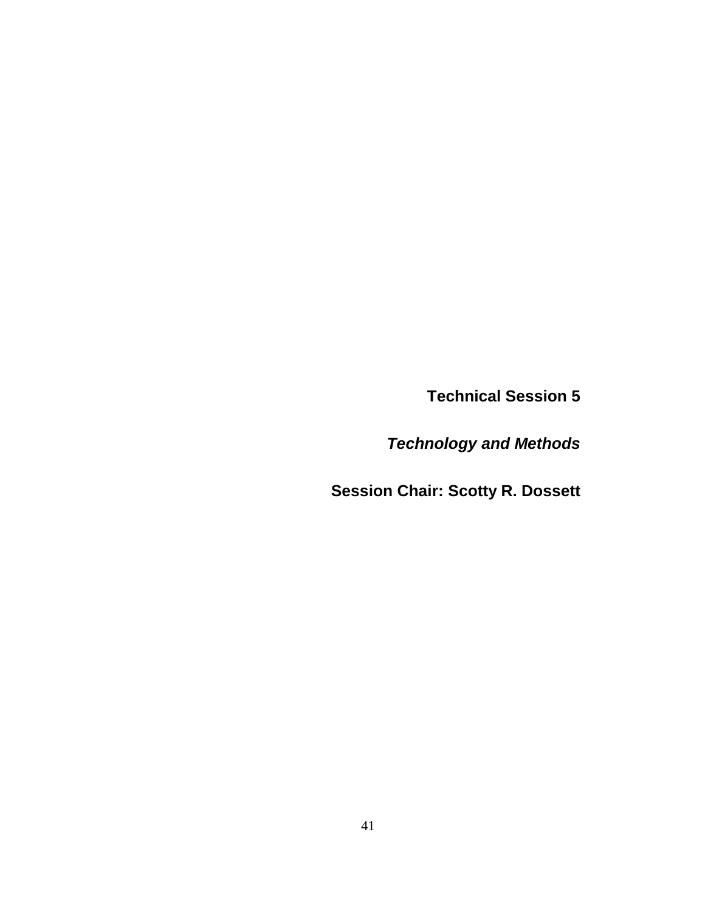**Technical Session 5**

*Technology and Methods*

**Session Chair: Scotty R. Dossett**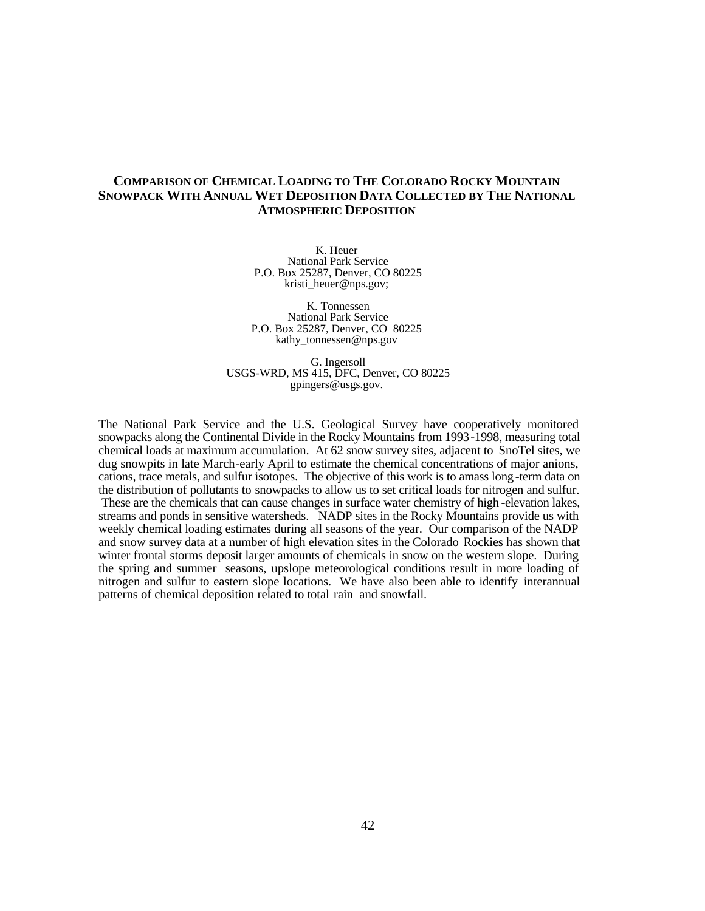#### **COMPARISON OF CHEMICAL LOADING TO THE COLORADO ROCKY MOUNTAIN SNOWPACK WITH ANNUAL WET DEPOSITION DATA COLLECTED BY THE NATIONAL ATMOSPHERIC DEPOSITION**

K. Heuer National Park Service P.O. Box 25287, Denver, CO 80225 kristi\_heuer@nps.gov;

 K. Tonnessen National Park Service P.O. Box 25287, Denver, CO 80225 kathy\_tonnessen@nps.gov

 G. Ingersoll USGS-WRD, MS 415, DFC, Denver, CO 80225 gpingers@usgs.gov.

The National Park Service and the U.S. Geological Survey have cooperatively monitored snowpacks along the Continental Divide in the Rocky Mountains from 1993-1998, measuring total chemical loads at maximum accumulation. At 62 snow survey sites, adjacent to SnoTel sites, we dug snowpits in late March-early April to estimate the chemical concentrations of major anions, cations, trace metals, and sulfur isotopes. The objective of this work is to amass long -term data on the distribution of pollutants to snowpacks to allow us to set critical loads for nitrogen and sulfur. These are the chemicals that can cause changes in surface water chemistry of high -elevation lakes, streams and ponds in sensitive watersheds. NADP sites in the Rocky Mountains provide us with weekly chemical loading estimates during all seasons of the year. Our comparison of the NADP and snow survey data at a number of high elevation sites in the Colorado Rockies has shown that winter frontal storms deposit larger amounts of chemicals in snow on the western slope. During the spring and summer seasons, upslope meteorological conditions result in more loading of nitrogen and sulfur to eastern slope locations. We have also been able to identify interannual patterns of chemical deposition related to total rain and snowfall.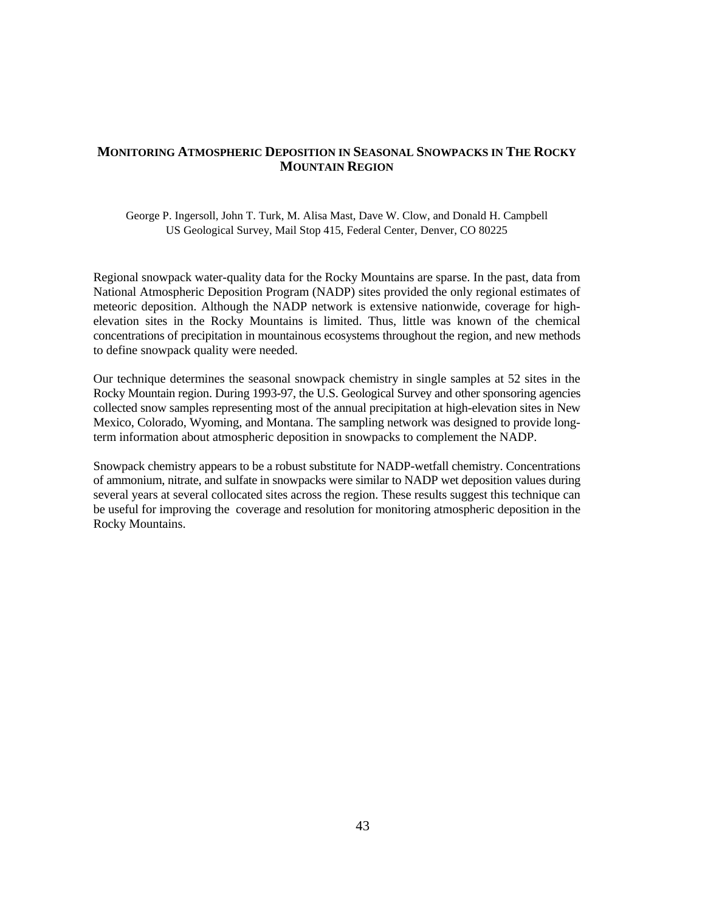#### **MONITORING ATMOSPHERIC DEPOSITION IN SEASONAL SNOWPACKS IN THE ROCKY MOUNTAIN REGION**

#### George P. Ingersoll, John T. Turk, M. Alisa Mast, Dave W. Clow, and Donald H. Campbell US Geological Survey, Mail Stop 415, Federal Center, Denver, CO 80225

Regional snowpack water-quality data for the Rocky Mountains are sparse. In the past, data from National Atmospheric Deposition Program (NADP) sites provided the only regional estimates of meteoric deposition. Although the NADP network is extensive nationwide, coverage for highelevation sites in the Rocky Mountains is limited. Thus, little was known of the chemical concentrations of precipitation in mountainous ecosystems throughout the region, and new methods to define snowpack quality were needed.

Our technique determines the seasonal snowpack chemistry in single samples at 52 sites in the Rocky Mountain region. During 1993-97, the U.S. Geological Survey and other sponsoring agencies collected snow samples representing most of the annual precipitation at high-elevation sites in New Mexico, Colorado, Wyoming, and Montana. The sampling network was designed to provide longterm information about atmospheric deposition in snowpacks to complement the NADP.

Snowpack chemistry appears to be a robust substitute for NADP-wetfall chemistry. Concentrations of ammonium, nitrate, and sulfate in snowpacks were similar to NADP wet deposition values during several years at several collocated sites across the region. These results suggest this technique can be useful for improving the coverage and resolution for monitoring atmospheric deposition in the Rocky Mountains.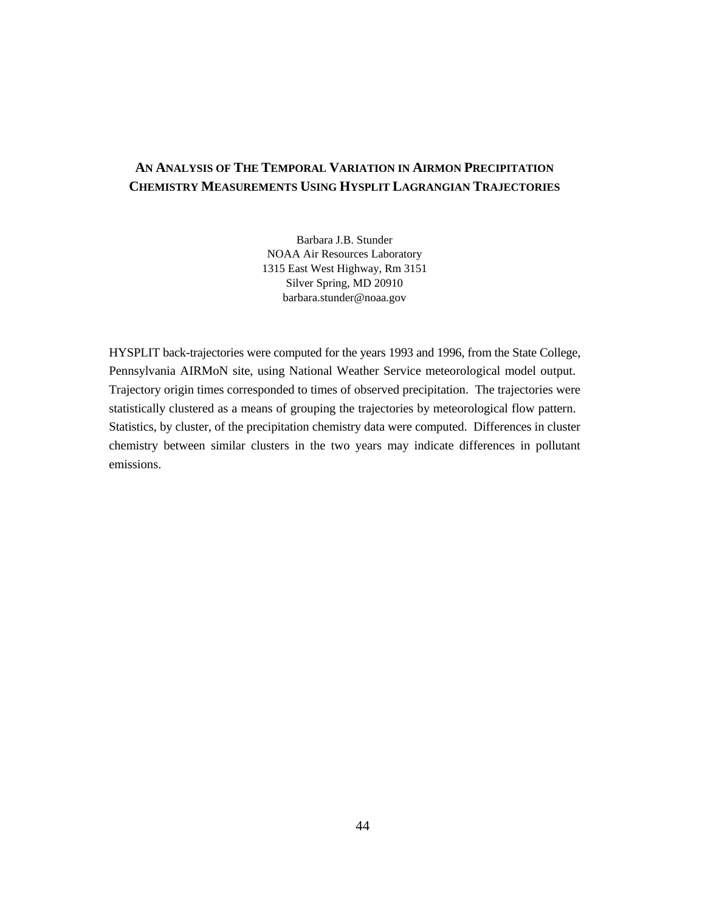## **AN ANALYSIS OF THE TEMPORAL VARIATION IN AIRMON PRECIPITATION CHEMISTRY MEASUREMENTS USING HYSPLIT LAGRANGIAN TRAJECTORIES**

Barbara J.B. Stunder NOAA Air Resources Laboratory 1315 East West Highway, Rm 3151 Silver Spring, MD 20910 barbara.stunder@noaa.gov

HYSPLIT back-trajectories were computed for the years 1993 and 1996, from the State College, Pennsylvania AIRMoN site, using National Weather Service meteorological model output. Trajectory origin times corresponded to times of observed precipitation. The trajectories were statistically clustered as a means of grouping the trajectories by meteorological flow pattern. Statistics, by cluster, of the precipitation chemistry data were computed. Differences in cluster chemistry between similar clusters in the two years may indicate differences in pollutant emissions.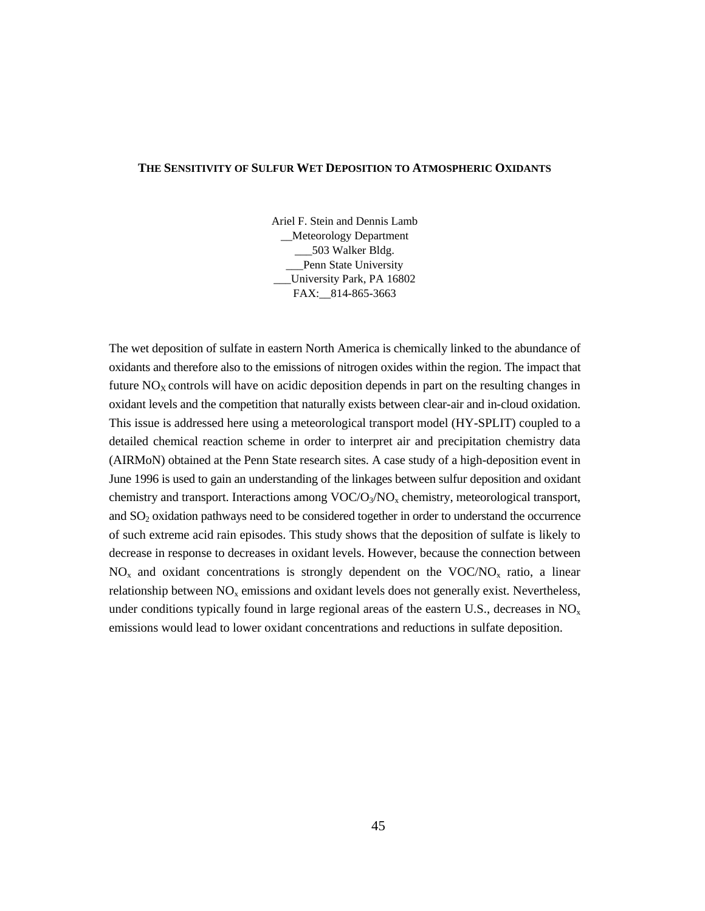#### **THE SENSITIVITY OF SULFUR WET DEPOSITION TO ATMOSPHERIC OXIDANTS**

Ariel F. Stein and Dennis Lamb \_\_Meteorology Department \_\_\_503 Walker Bldg. Penn State University University Park, PA 16802 FAX: 814-865-3663

The wet deposition of sulfate in eastern North America is chemically linked to the abundance of oxidants and therefore also to the emissions of nitrogen oxides within the region. The impact that future  $NO<sub>X</sub>$  controls will have on acidic deposition depends in part on the resulting changes in oxidant levels and the competition that naturally exists between clear-air and in-cloud oxidation. This issue is addressed here using a meteorological transport model (HY-SPLIT) coupled to a detailed chemical reaction scheme in order to interpret air and precipitation chemistry data (AIRMoN) obtained at the Penn State research sites. A case study of a high-deposition event in June 1996 is used to gain an understanding of the linkages between sulfur deposition and oxidant chemistry and transport. Interactions among  $\text{VOC/O}_3/\text{NO}_x$  chemistry, meteorological transport, and SO2 oxidation pathways need to be considered together in order to understand the occurrence of such extreme acid rain episodes. This study shows that the deposition of sulfate is likely to decrease in response to decreases in oxidant levels. However, because the connection between  $NO<sub>x</sub>$  and oxidant concentrations is strongly dependent on the VOC/NO<sub>x</sub> ratio, a linear relationship between  $NO<sub>x</sub>$  emissions and oxidant levels does not generally exist. Nevertheless, under conditions typically found in large regional areas of the eastern U.S., decreases in  $NO<sub>x</sub>$ emissions would lead to lower oxidant concentrations and reductions in sulfate deposition.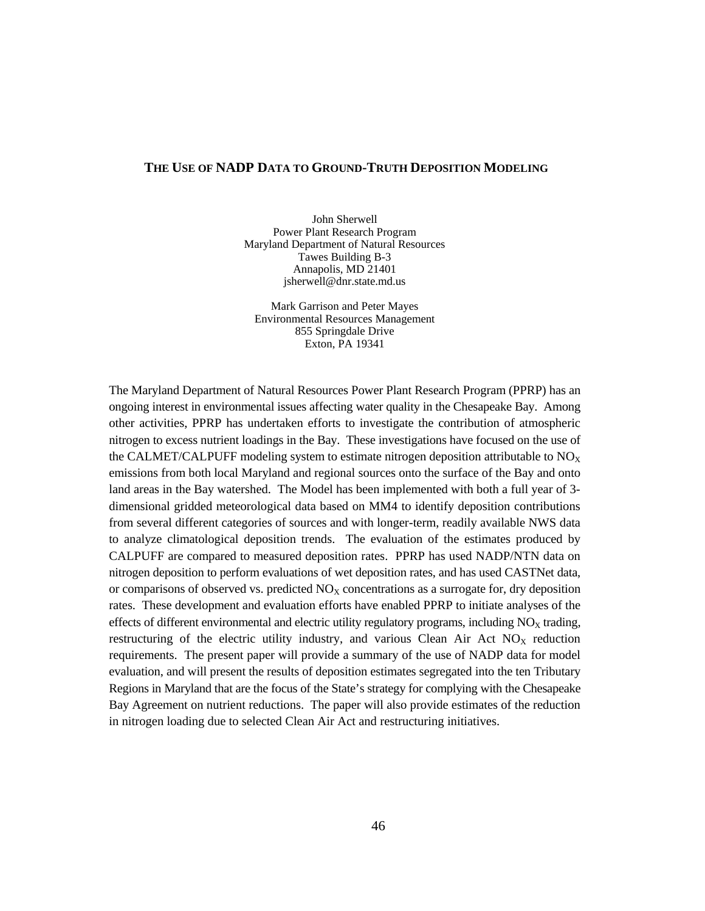#### **THE USE OF NADP DATA TO GROUND-TRUTH DEPOSITION MODELING**

John Sherwell Power Plant Research Program Maryland Department of Natural Resources Tawes Building B-3 Annapolis, MD 21401 jsherwell@dnr.state.md.us

Mark Garrison and Peter Mayes Environmental Resources Management 855 Springdale Drive Exton, PA 19341

The Maryland Department of Natural Resources Power Plant Research Program (PPRP) has an ongoing interest in environmental issues affecting water quality in the Chesapeake Bay. Among other activities, PPRP has undertaken efforts to investigate the contribution of atmospheric nitrogen to excess nutrient loadings in the Bay. These investigations have focused on the use of the CALMET/CALPUFF modeling system to estimate nitrogen deposition attributable to  $NO<sub>x</sub>$ emissions from both local Maryland and regional sources onto the surface of the Bay and onto land areas in the Bay watershed. The Model has been implemented with both a full year of 3 dimensional gridded meteorological data based on MM4 to identify deposition contributions from several different categories of sources and with longer-term, readily available NWS data to analyze climatological deposition trends. The evaluation of the estimates produced by CALPUFF are compared to measured deposition rates. PPRP has used NADP/NTN data on nitrogen deposition to perform evaluations of wet deposition rates, and has used CASTNet data, or comparisons of observed vs. predicted  $NO<sub>x</sub>$  concentrations as a surrogate for, dry deposition rates. These development and evaluation efforts have enabled PPRP to initiate analyses of the effects of different environmental and electric utility regulatory programs, including  $NO<sub>x</sub>$  trading, restructuring of the electric utility industry, and various Clean Air Act  $NO<sub>X</sub>$  reduction requirements. The present paper will provide a summary of the use of NADP data for model evaluation, and will present the results of deposition estimates segregated into the ten Tributary Regions in Maryland that are the focus of the State's strategy for complying with the Chesapeake Bay Agreement on nutrient reductions. The paper will also provide estimates of the reduction in nitrogen loading due to selected Clean Air Act and restructuring initiatives.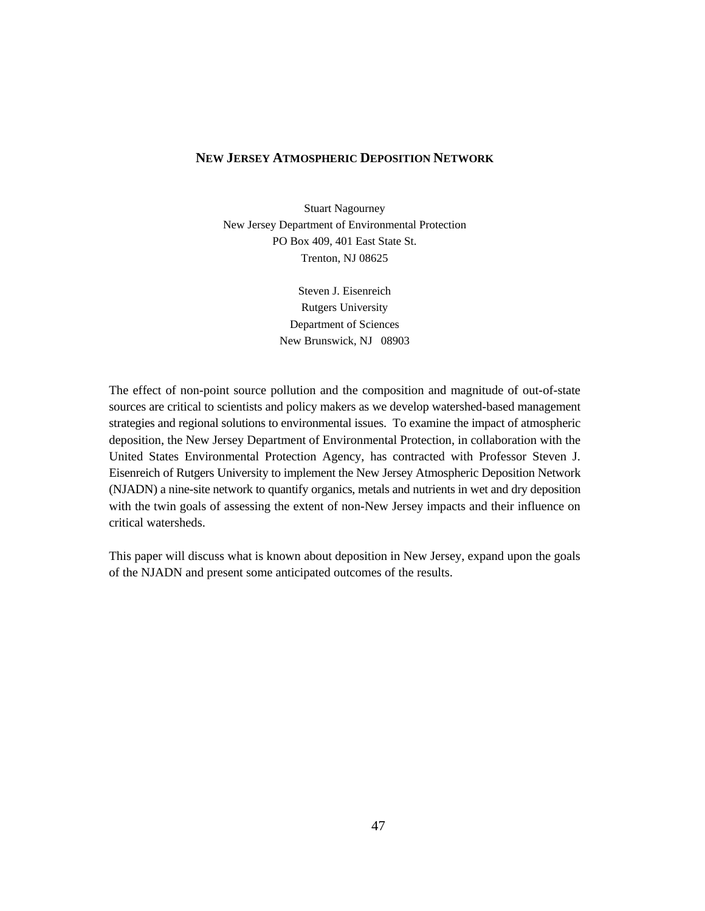#### **NEW JERSEY ATMOSPHERIC DEPOSITION NETWORK**

Stuart Nagourney New Jersey Department of Environmental Protection PO Box 409, 401 East State St. Trenton, NJ 08625

> Steven J. Eisenreich Rutgers University Department of Sciences New Brunswick, NJ 08903

The effect of non-point source pollution and the composition and magnitude of out-of-state sources are critical to scientists and policy makers as we develop watershed-based management strategies and regional solutions to environmental issues. To examine the impact of atmospheric deposition, the New Jersey Department of Environmental Protection, in collaboration with the United States Environmental Protection Agency, has contracted with Professor Steven J. Eisenreich of Rutgers University to implement the New Jersey Atmospheric Deposition Network (NJADN) a nine-site network to quantify organics, metals and nutrients in wet and dry deposition with the twin goals of assessing the extent of non-New Jersey impacts and their influence on critical watersheds.

This paper will discuss what is known about deposition in New Jersey, expand upon the goals of the NJADN and present some anticipated outcomes of the results.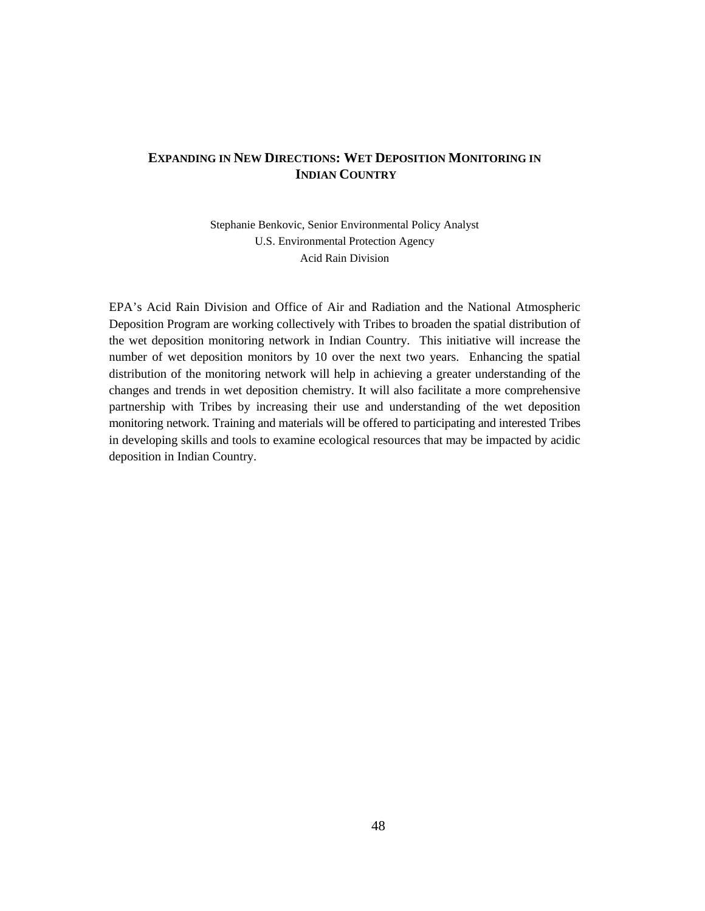## **EXPANDING IN NEW DIRECTIONS: WET DEPOSITION MONITORING IN INDIAN COUNTRY**

Stephanie Benkovic, Senior Environmental Policy Analyst U.S. Environmental Protection Agency Acid Rain Division

EPA's Acid Rain Division and Office of Air and Radiation and the National Atmospheric Deposition Program are working collectively with Tribes to broaden the spatial distribution of the wet deposition monitoring network in Indian Country. This initiative will increase the number of wet deposition monitors by 10 over the next two years. Enhancing the spatial distribution of the monitoring network will help in achieving a greater understanding of the changes and trends in wet deposition chemistry. It will also facilitate a more comprehensive partnership with Tribes by increasing their use and understanding of the wet deposition monitoring network. Training and materials will be offered to participating and interested Tribes in developing skills and tools to examine ecological resources that may be impacted by acidic deposition in Indian Country.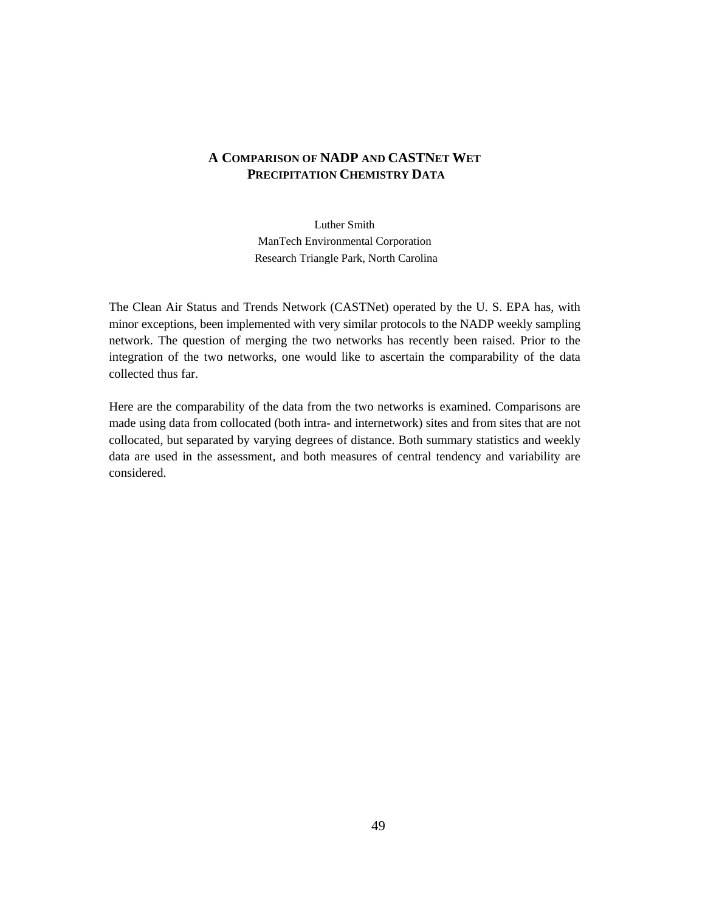## **A COMPARISON OF NADP AND CASTNET WET PRECIPITATION CHEMISTRY DATA**

Luther Smith ManTech Environmental Corporation Research Triangle Park, North Carolina

The Clean Air Status and Trends Network (CASTNet) operated by the U. S. EPA has, with minor exceptions, been implemented with very similar protocols to the NADP weekly sampling network. The question of merging the two networks has recently been raised. Prior to the integration of the two networks, one would like to ascertain the comparability of the data collected thus far.

Here are the comparability of the data from the two networks is examined. Comparisons are made using data from collocated (both intra- and internetwork) sites and from sites that are not collocated, but separated by varying degrees of distance. Both summary statistics and weekly data are used in the assessment, and both measures of central tendency and variability are considered.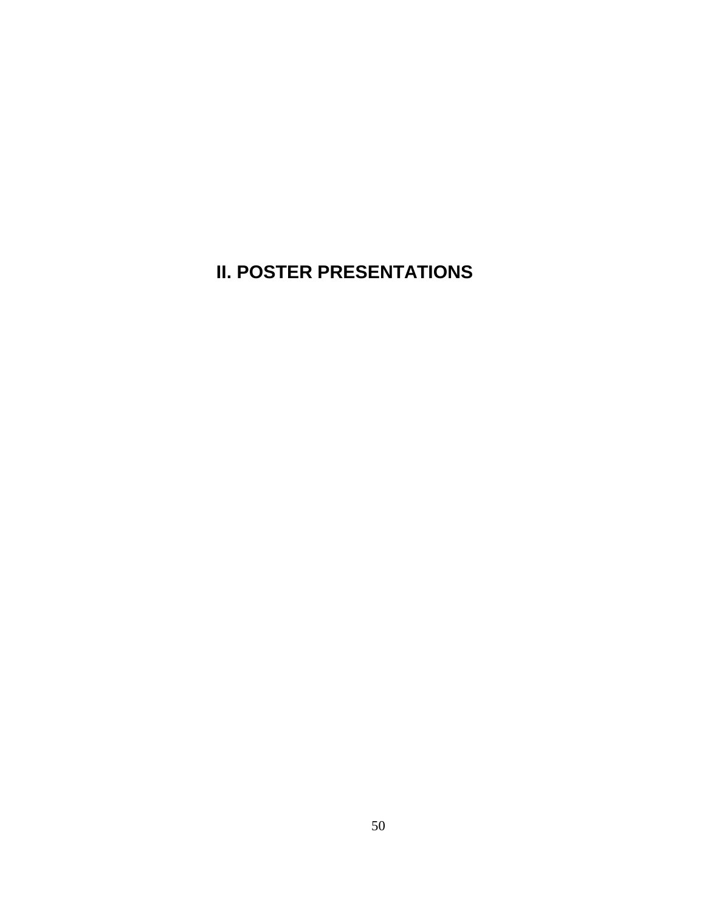## **II. POSTER PRESENTATIONS**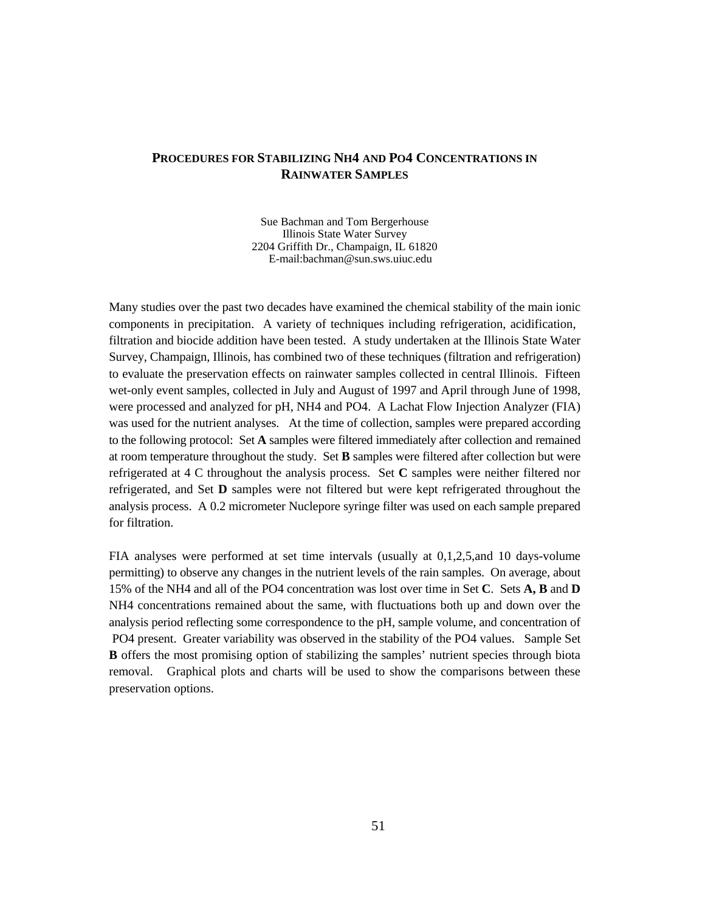## **PROCEDURES FOR STABILIZING NH4 AND PO4 CONCENTRATIONS IN RAINWATER SAMPLES**

Sue Bachman and Tom Bergerhouse Illinois State Water Survey 2204 Griffith Dr., Champaign, IL 61820 E-mail:bachman@sun.sws.uiuc.edu

Many studies over the past two decades have examined the chemical stability of the main ionic components in precipitation. A variety of techniques including refrigeration, acidification, filtration and biocide addition have been tested. A study undertaken at the Illinois State Water Survey, Champaign, Illinois, has combined two of these techniques (filtration and refrigeration) to evaluate the preservation effects on rainwater samples collected in central Illinois. Fifteen wet-only event samples, collected in July and August of 1997 and April through June of 1998, were processed and analyzed for pH, NH4 and PO4. A Lachat Flow Injection Analyzer (FIA) was used for the nutrient analyses. At the time of collection, samples were prepared according to the following protocol: Set **A** samples were filtered immediately after collection and remained at room temperature throughout the study. Set **B** samples were filtered after collection but were refrigerated at 4 C throughout the analysis process. Set **C** samples were neither filtered nor refrigerated, and Set **D** samples were not filtered but were kept refrigerated throughout the analysis process. A 0.2 micrometer Nuclepore syringe filter was used on each sample prepared for filtration.

FIA analyses were performed at set time intervals (usually at 0,1,2,5,and 10 days-volume permitting) to observe any changes in the nutrient levels of the rain samples. On average, about 15% of the NH4 and all of the PO4 concentration was lost over time in Set **C**. Sets **A, B** and **D** NH4 concentrations remained about the same, with fluctuations both up and down over the analysis period reflecting some correspondence to the pH, sample volume, and concentration of PO4 present. Greater variability was observed in the stability of the PO4 values. Sample Set **B** offers the most promising option of stabilizing the samples' nutrient species through biota removal. Graphical plots and charts will be used to show the comparisons between these preservation options.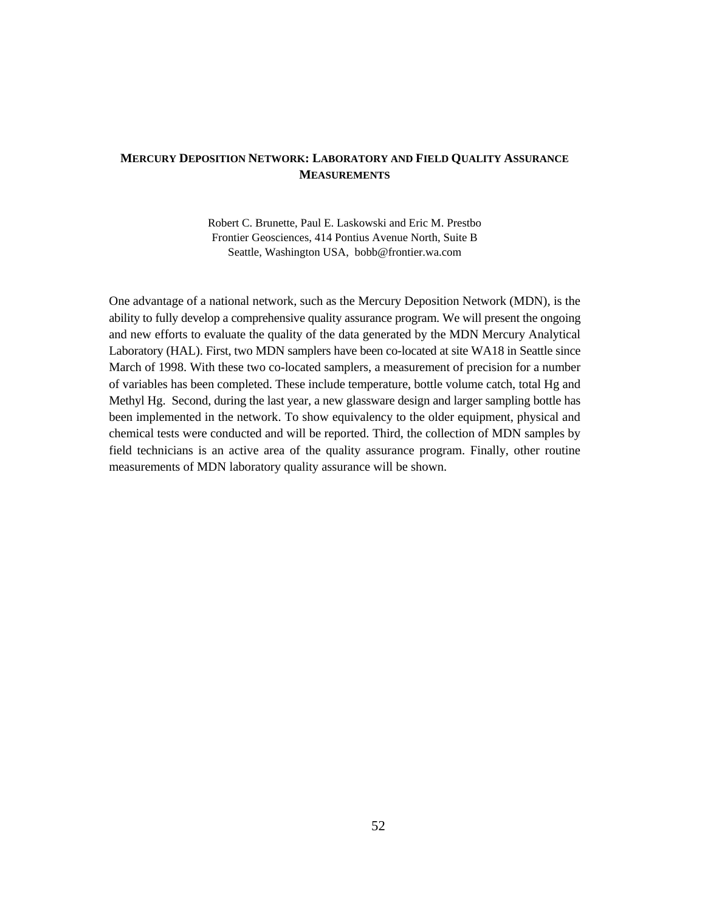## **MERCURY DEPOSITION NETWORK: LABORATORY AND FIELD QUALITY ASSURANCE MEASUREMENTS**

Robert C. Brunette, Paul E. Laskowski and Eric M. Prestbo Frontier Geosciences, 414 Pontius Avenue North, Suite B Seattle, Washington USA, bobb@frontier.wa.com

One advantage of a national network, such as the Mercury Deposition Network (MDN), is the ability to fully develop a comprehensive quality assurance program. We will present the ongoing and new efforts to evaluate the quality of the data generated by the MDN Mercury Analytical Laboratory (HAL). First, two MDN samplers have been co-located at site WA18 in Seattle since March of 1998. With these two co-located samplers, a measurement of precision for a number of variables has been completed. These include temperature, bottle volume catch, total Hg and Methyl Hg. Second, during the last year, a new glassware design and larger sampling bottle has been implemented in the network. To show equivalency to the older equipment, physical and chemical tests were conducted and will be reported. Third, the collection of MDN samples by field technicians is an active area of the quality assurance program. Finally, other routine measurements of MDN laboratory quality assurance will be shown.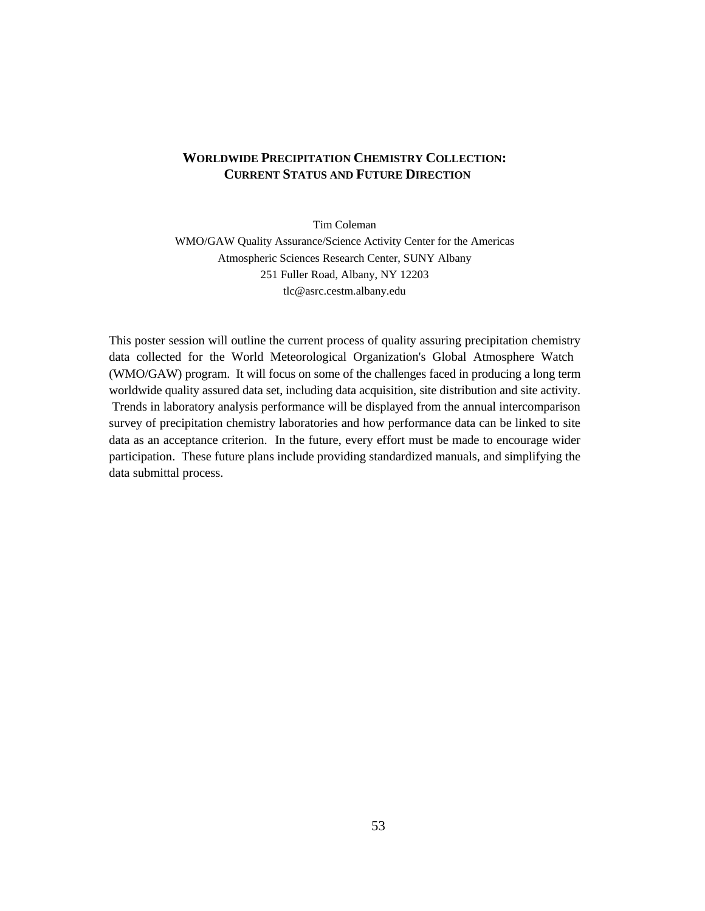## **WORLDWIDE PRECIPITATION CHEMISTRY COLLECTION: CURRENT STATUS AND FUTURE DIRECTION**

Tim Coleman

WMO/GAW Quality Assurance/Science Activity Center for the Americas Atmospheric Sciences Research Center, SUNY Albany 251 Fuller Road, Albany, NY 12203 tlc@asrc.cestm.albany.edu

This poster session will outline the current process of quality assuring precipitation chemistry data collected for the World Meteorological Organization's Global Atmosphere Watch (WMO/GAW) program. It will focus on some of the challenges faced in producing a long term worldwide quality assured data set, including data acquisition, site distribution and site activity. Trends in laboratory analysis performance will be displayed from the annual intercomparison survey of precipitation chemistry laboratories and how performance data can be linked to site data as an acceptance criterion. In the future, every effort must be made to encourage wider participation. These future plans include providing standardized manuals, and simplifying the data submittal process.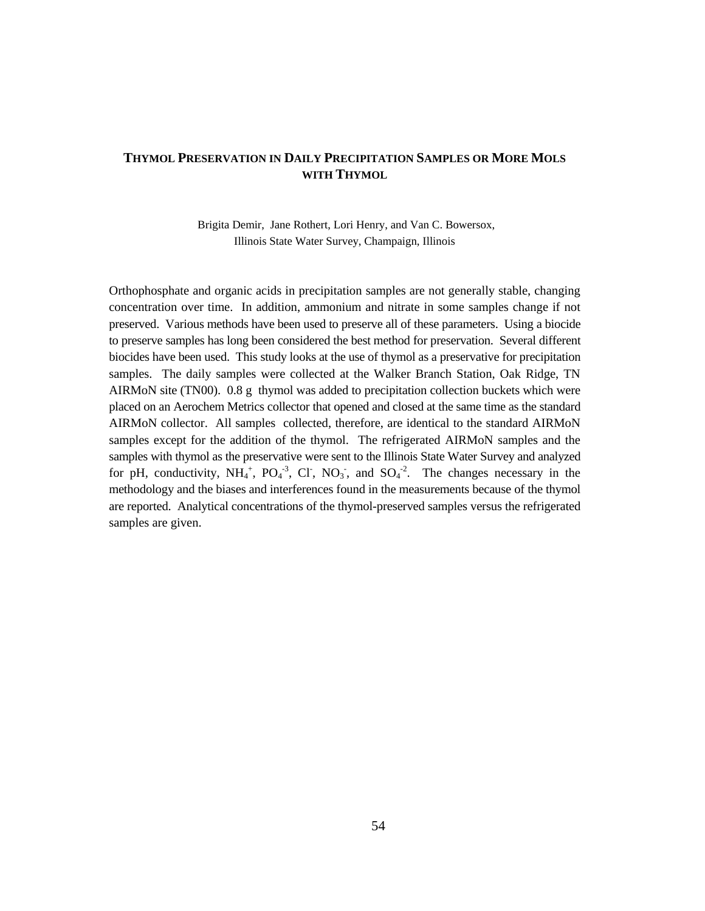## **THYMOL PRESERVATION IN DAILY PRECIPITATION SAMPLES OR MORE MOLS WITH THYMOL**

Brigita Demir, Jane Rothert, Lori Henry, and Van C. Bowersox, Illinois State Water Survey, Champaign, Illinois

Orthophosphate and organic acids in precipitation samples are not generally stable, changing concentration over time. In addition, ammonium and nitrate in some samples change if not preserved. Various methods have been used to preserve all of these parameters. Using a biocide to preserve samples has long been considered the best method for preservation. Several different biocides have been used. This study looks at the use of thymol as a preservative for precipitation samples. The daily samples were collected at the Walker Branch Station, Oak Ridge, TN AIRMoN site (TN00). 0.8 g thymol was added to precipitation collection buckets which were placed on an Aerochem Metrics collector that opened and closed at the same time as the standard AIRMoN collector. All samples collected, therefore, are identical to the standard AIRMoN samples except for the addition of the thymol. The refrigerated AIRMoN samples and the samples with thymol as the preservative were sent to the Illinois State Water Survey and analyzed for pH, conductivity,  $NH_4^+$ ,  $PO_4^{-3}$ , Cl,  $NO_3$ , and  $SO_4^{-2}$ . The changes necessary in the methodology and the biases and interferences found in the measurements because of the thymol are reported. Analytical concentrations of the thymol-preserved samples versus the refrigerated samples are given.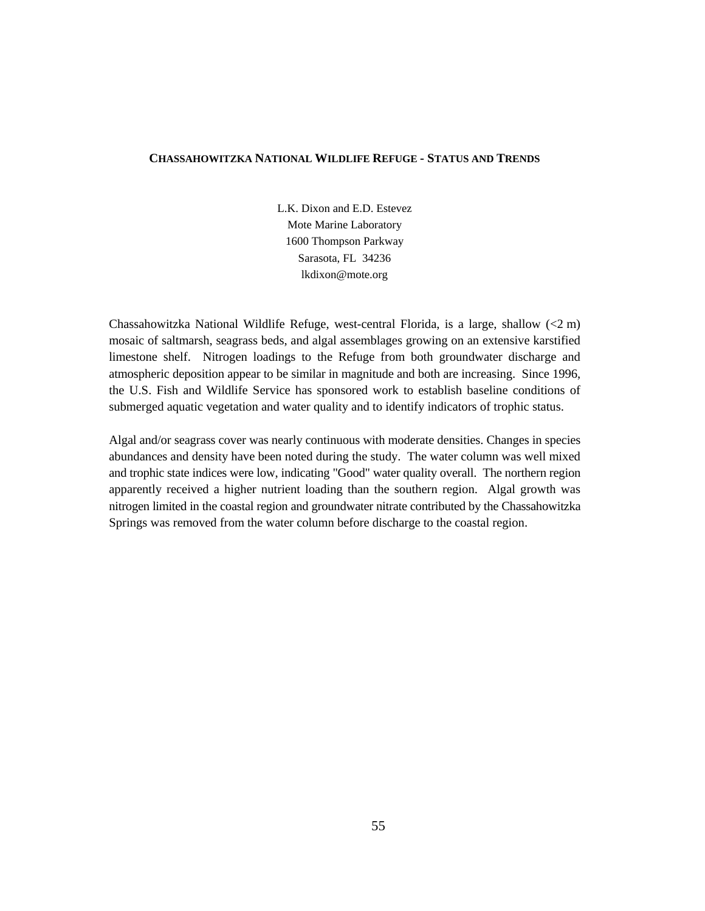#### **CHASSAHOWITZKA NATIONAL WILDLIFE REFUGE - STATUS AND TRENDS**

L.K. Dixon and E.D. Estevez Mote Marine Laboratory 1600 Thompson Parkway Sarasota, FL 34236 lkdixon@mote.org

Chassahowitzka National Wildlife Refuge, west-central Florida, is a large, shallow (<2 m) mosaic of saltmarsh, seagrass beds, and algal assemblages growing on an extensive karstified limestone shelf. Nitrogen loadings to the Refuge from both groundwater discharge and atmospheric deposition appear to be similar in magnitude and both are increasing. Since 1996, the U.S. Fish and Wildlife Service has sponsored work to establish baseline conditions of submerged aquatic vegetation and water quality and to identify indicators of trophic status.

Algal and/or seagrass cover was nearly continuous with moderate densities. Changes in species abundances and density have been noted during the study. The water column was well mixed and trophic state indices were low, indicating "Good" water quality overall. The northern region apparently received a higher nutrient loading than the southern region. Algal growth was nitrogen limited in the coastal region and groundwater nitrate contributed by the Chassahowitzka Springs was removed from the water column before discharge to the coastal region.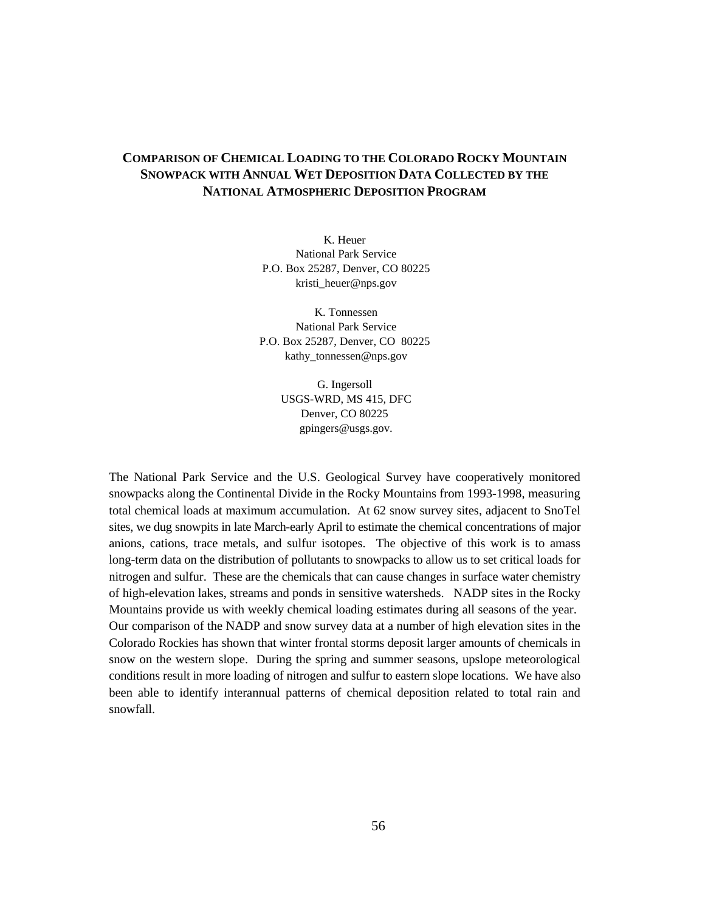## **COMPARISON OF CHEMICAL LOADING TO THE COLORADO ROCKY MOUNTAIN SNOWPACK WITH ANNUAL WET DEPOSITION DATA COLLECTED BY THE NATIONAL ATMOSPHERIC DEPOSITION PROGRAM**

K. Heuer National Park Service P.O. Box 25287, Denver, CO 80225 kristi\_heuer@nps.gov

 K. Tonnessen National Park Service P.O. Box 25287, Denver, CO 80225 kathy\_tonnessen@nps.gov

> G. Ingersoll USGS-WRD, MS 415, DFC Denver, CO 80225 gpingers@usgs.gov.

The National Park Service and the U.S. Geological Survey have cooperatively monitored snowpacks along the Continental Divide in the Rocky Mountains from 1993-1998, measuring total chemical loads at maximum accumulation. At 62 snow survey sites, adjacent to SnoTel sites, we dug snowpits in late March-early April to estimate the chemical concentrations of major anions, cations, trace metals, and sulfur isotopes. The objective of this work is to amass long-term data on the distribution of pollutants to snowpacks to allow us to set critical loads for nitrogen and sulfur. These are the chemicals that can cause changes in surface water chemistry of high-elevation lakes, streams and ponds in sensitive watersheds. NADP sites in the Rocky Mountains provide us with weekly chemical loading estimates during all seasons of the year. Our comparison of the NADP and snow survey data at a number of high elevation sites in the Colorado Rockies has shown that winter frontal storms deposit larger amounts of chemicals in snow on the western slope. During the spring and summer seasons, upslope meteorological conditions result in more loading of nitrogen and sulfur to eastern slope locations. We have also been able to identify interannual patterns of chemical deposition related to total rain and snowfall.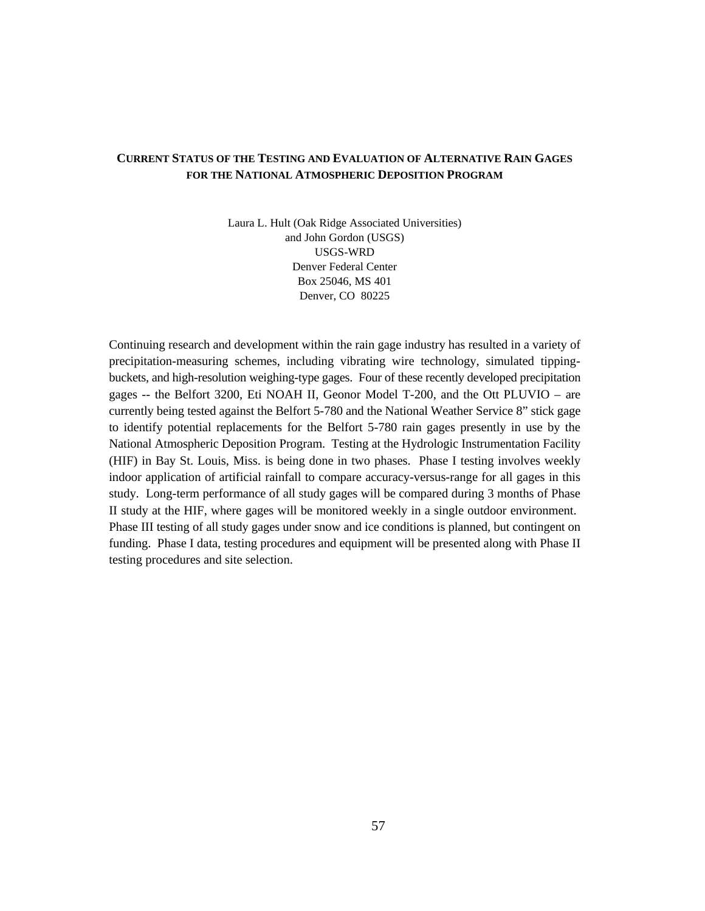### **CURRENT STATUS OF THE TESTING AND EVALUATION OF ALTERNATIVE RAIN GAGES FOR THE NATIONAL ATMOSPHERIC DEPOSITION PROGRAM**

Laura L. Hult (Oak Ridge Associated Universities) and John Gordon (USGS) USGS-WRD Denver Federal Center Box 25046, MS 401 Denver, CO 80225

Continuing research and development within the rain gage industry has resulted in a variety of precipitation-measuring schemes, including vibrating wire technology, simulated tippingbuckets, and high-resolution weighing-type gages. Four of these recently developed precipitation gages -- the Belfort 3200, Eti NOAH II, Geonor Model T-200, and the Ott PLUVIO – are currently being tested against the Belfort 5-780 and the National Weather Service 8" stick gage to identify potential replacements for the Belfort 5-780 rain gages presently in use by the National Atmospheric Deposition Program. Testing at the Hydrologic Instrumentation Facility (HIF) in Bay St. Louis, Miss. is being done in two phases. Phase I testing involves weekly indoor application of artificial rainfall to compare accuracy-versus-range for all gages in this study. Long-term performance of all study gages will be compared during 3 months of Phase II study at the HIF, where gages will be monitored weekly in a single outdoor environment. Phase III testing of all study gages under snow and ice conditions is planned, but contingent on funding. Phase I data, testing procedures and equipment will be presented along with Phase II testing procedures and site selection.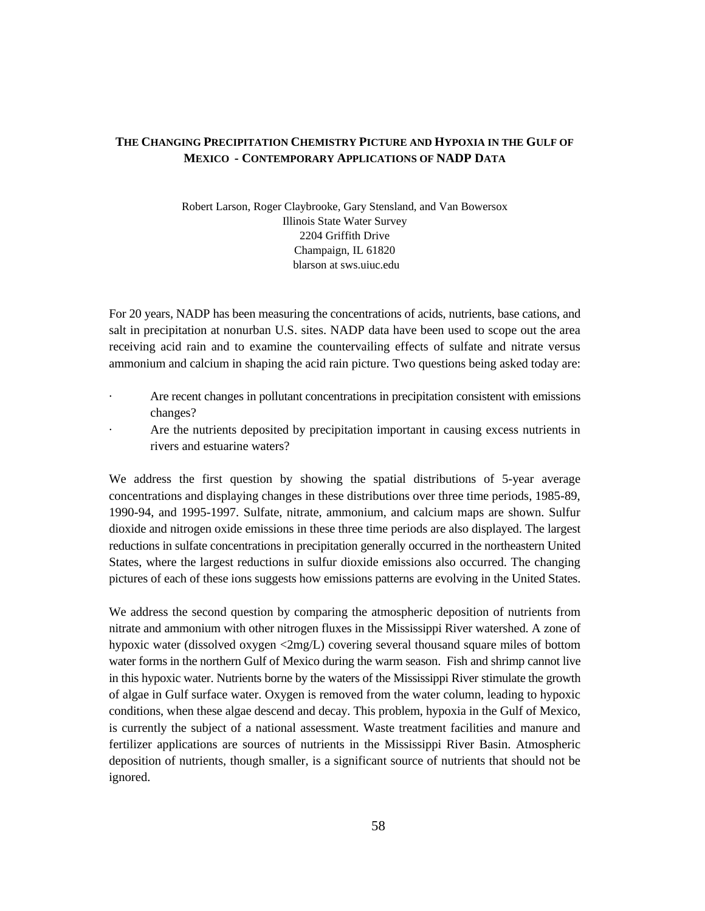#### **THE CHANGING PRECIPITATION CHEMISTRY PICTURE AND HYPOXIA IN THE GULF OF MEXICO - CONTEMPORARY APPLICATIONS OF NADP DATA**

Robert Larson, Roger Claybrooke, Gary Stensland, and Van Bowersox Illinois State Water Survey 2204 Griffith Drive Champaign, IL 61820 blarson at sws.uiuc.edu

For 20 years, NADP has been measuring the concentrations of acids, nutrients, base cations, and salt in precipitation at nonurban U.S. sites. NADP data have been used to scope out the area receiving acid rain and to examine the countervailing effects of sulfate and nitrate versus ammonium and calcium in shaping the acid rain picture. Two questions being asked today are:

- · Are recent changes in pollutant concentrations in precipitation consistent with emissions changes?
- Are the nutrients deposited by precipitation important in causing excess nutrients in rivers and estuarine waters?

We address the first question by showing the spatial distributions of 5-year average concentrations and displaying changes in these distributions over three time periods, 1985-89, 1990-94, and 1995-1997. Sulfate, nitrate, ammonium, and calcium maps are shown. Sulfur dioxide and nitrogen oxide emissions in these three time periods are also displayed. The largest reductions in sulfate concentrations in precipitation generally occurred in the northeastern United States, where the largest reductions in sulfur dioxide emissions also occurred. The changing pictures of each of these ions suggests how emissions patterns are evolving in the United States.

We address the second question by comparing the atmospheric deposition of nutrients from nitrate and ammonium with other nitrogen fluxes in the Mississippi River watershed. A zone of hypoxic water (dissolved oxygen <2mg/L) covering several thousand square miles of bottom water forms in the northern Gulf of Mexico during the warm season. Fish and shrimp cannot live in this hypoxic water. Nutrients borne by the waters of the Mississippi River stimulate the growth of algae in Gulf surface water. Oxygen is removed from the water column, leading to hypoxic conditions, when these algae descend and decay. This problem, hypoxia in the Gulf of Mexico, is currently the subject of a national assessment. Waste treatment facilities and manure and fertilizer applications are sources of nutrients in the Mississippi River Basin. Atmospheric deposition of nutrients, though smaller, is a significant source of nutrients that should not be ignored.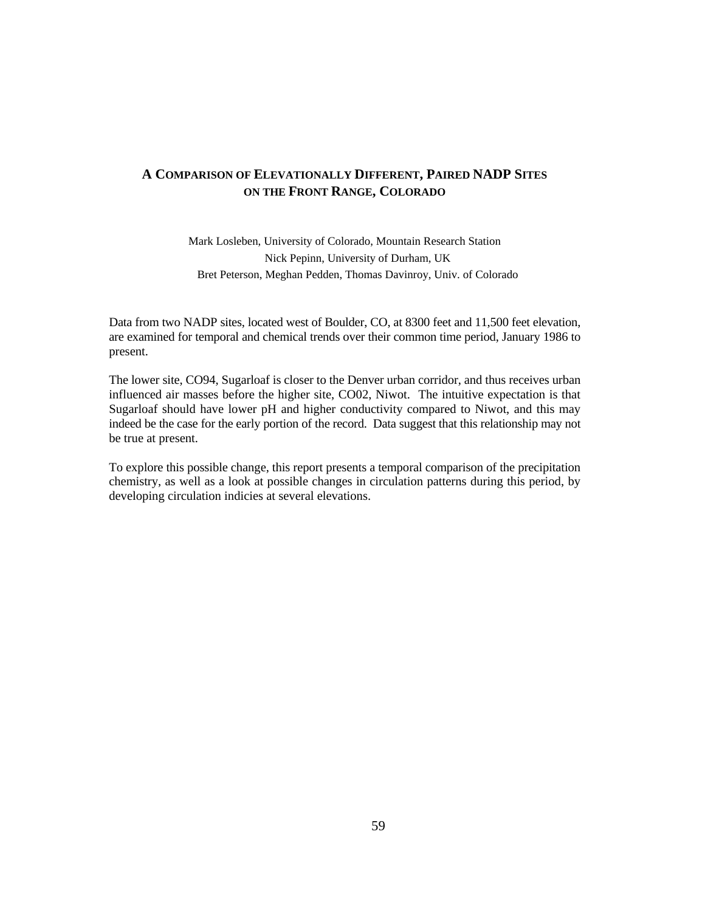## **A COMPARISON OF ELEVATIONALLY DIFFERENT, PAIRED NADP SITES ON THE FRONT RANGE, COLORADO**

Mark Losleben, University of Colorado, Mountain Research Station Nick Pepinn, University of Durham, UK Bret Peterson, Meghan Pedden, Thomas Davinroy, Univ. of Colorado

Data from two NADP sites, located west of Boulder, CO, at 8300 feet and 11,500 feet elevation, are examined for temporal and chemical trends over their common time period, January 1986 to present.

The lower site, CO94, Sugarloaf is closer to the Denver urban corridor, and thus receives urban influenced air masses before the higher site, CO02, Niwot. The intuitive expectation is that Sugarloaf should have lower pH and higher conductivity compared to Niwot, and this may indeed be the case for the early portion of the record. Data suggest that this relationship may not be true at present.

To explore this possible change, this report presents a temporal comparison of the precipitation chemistry, as well as a look at possible changes in circulation patterns during this period, by developing circulation indicies at several elevations.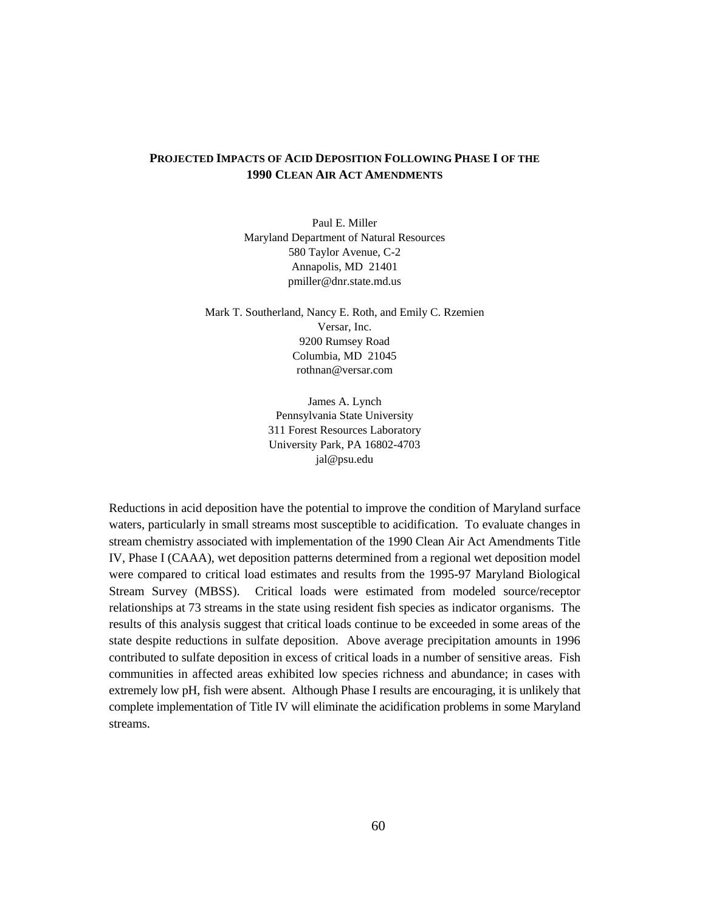## **PROJECTED IMPACTS OF ACID DEPOSITION FOLLOWING PHASE I OF THE 1990 CLEAN AIR ACT AMENDMENTS**

Paul E. Miller Maryland Department of Natural Resources 580 Taylor Avenue, C-2 Annapolis, MD 21401 pmiller@dnr.state.md.us

Mark T. Southerland, Nancy E. Roth, and Emily C. Rzemien Versar, Inc. 9200 Rumsey Road Columbia, MD 21045 rothnan@versar.com

> James A. Lynch Pennsylvania State University 311 Forest Resources Laboratory University Park, PA 16802-4703 jal@psu.edu

Reductions in acid deposition have the potential to improve the condition of Maryland surface waters, particularly in small streams most susceptible to acidification. To evaluate changes in stream chemistry associated with implementation of the 1990 Clean Air Act Amendments Title IV, Phase I (CAAA), wet deposition patterns determined from a regional wet deposition model were compared to critical load estimates and results from the 1995-97 Maryland Biological Stream Survey (MBSS). Critical loads were estimated from modeled source/receptor relationships at 73 streams in the state using resident fish species as indicator organisms. The results of this analysis suggest that critical loads continue to be exceeded in some areas of the state despite reductions in sulfate deposition. Above average precipitation amounts in 1996 contributed to sulfate deposition in excess of critical loads in a number of sensitive areas. Fish communities in affected areas exhibited low species richness and abundance; in cases with extremely low pH, fish were absent. Although Phase I results are encouraging, it is unlikely that complete implementation of Title IV will eliminate the acidification problems in some Maryland streams.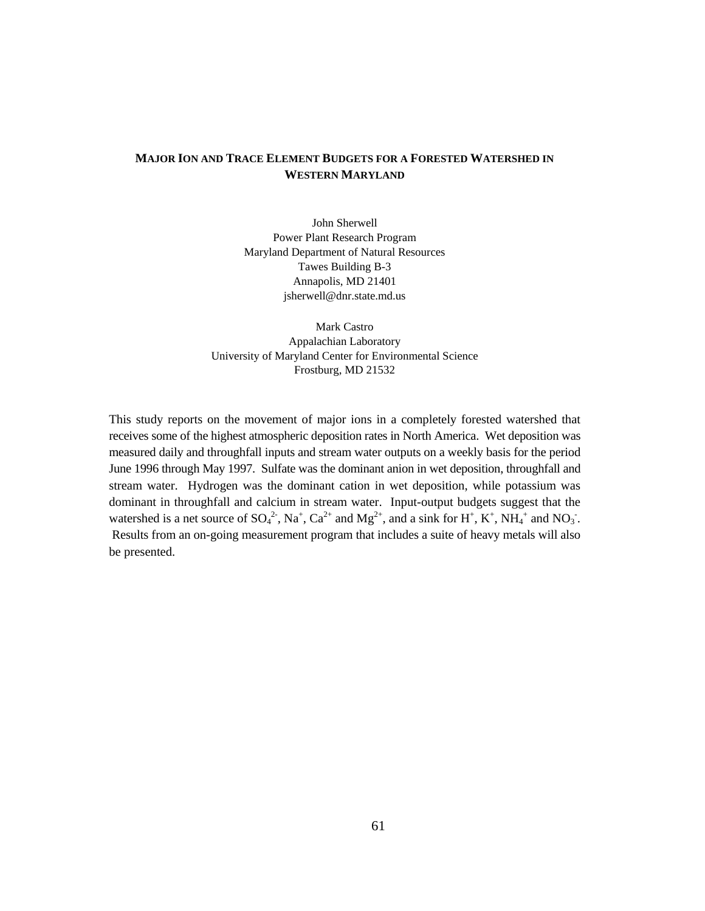## **MAJOR ION AND TRACE ELEMENT BUDGETS FOR A FORESTED WATERSHED IN WESTERN MARYLAND**

John Sherwell Power Plant Research Program Maryland Department of Natural Resources Tawes Building B-3 Annapolis, MD 21401 jsherwell@dnr.state.md.us

Mark Castro Appalachian Laboratory University of Maryland Center for Environmental Science Frostburg, MD 21532

This study reports on the movement of major ions in a completely forested watershed that receives some of the highest atmospheric deposition rates in North America. Wet deposition was measured daily and throughfall inputs and stream water outputs on a weekly basis for the period June 1996 through May 1997. Sulfate was the dominant anion in wet deposition, throughfall and stream water. Hydrogen was the dominant cation in wet deposition, while potassium was dominant in throughfall and calcium in stream water. Input-output budgets suggest that the watershed is a net source of  $SO_4^2$ ,  $Na^+$ ,  $Ca^{2+}$  and  $Mg^{2+}$ , and a sink for H<sup>+</sup>, K<sup>+</sup>, NH<sub>4</sub><sup>+</sup> and NO<sub>3</sub><sup>-</sup>. Results from an on-going measurement program that includes a suite of heavy metals will also be presented.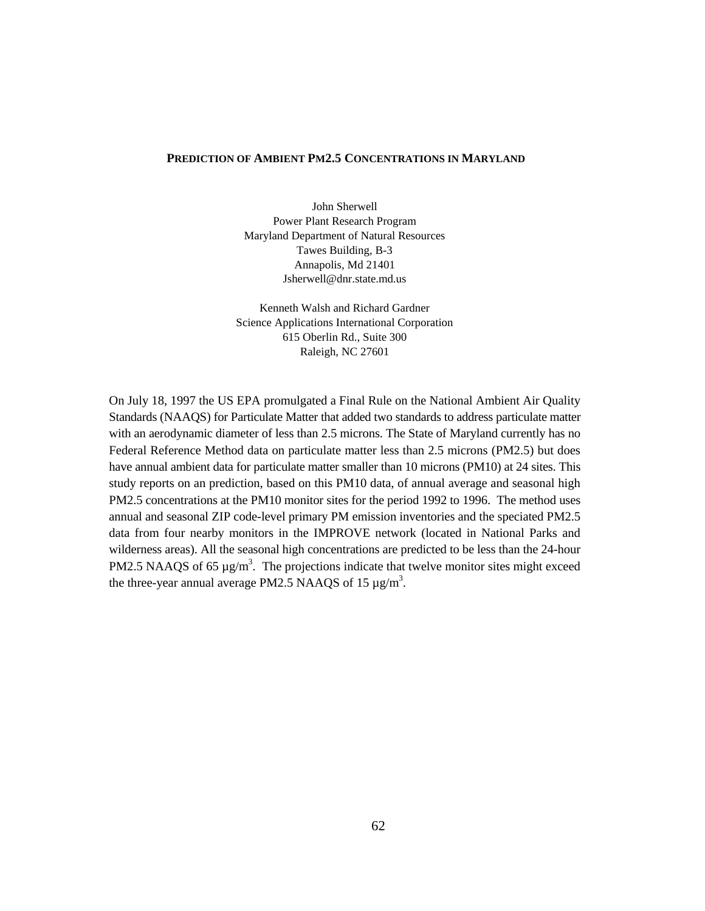#### **PREDICTION OF AMBIENT PM2.5 CONCENTRATIONS IN MARYLAND**

John Sherwell Power Plant Research Program Maryland Department of Natural Resources Tawes Building, B-3 Annapolis, Md 21401 Jsherwell@dnr.state.md.us

Kenneth Walsh and Richard Gardner Science Applications International Corporation 615 Oberlin Rd., Suite 300 Raleigh, NC 27601

On July 18, 1997 the US EPA promulgated a Final Rule on the National Ambient Air Quality Standards (NAAQS) for Particulate Matter that added two standards to address particulate matter with an aerodynamic diameter of less than 2.5 microns. The State of Maryland currently has no Federal Reference Method data on particulate matter less than 2.5 microns (PM2.5) but does have annual ambient data for particulate matter smaller than 10 microns (PM10) at 24 sites. This study reports on an prediction, based on this PM10 data, of annual average and seasonal high PM2.5 concentrations at the PM10 monitor sites for the period 1992 to 1996. The method uses annual and seasonal ZIP code-level primary PM emission inventories and the speciated PM2.5 data from four nearby monitors in the IMPROVE network (located in National Parks and wilderness areas). All the seasonal high concentrations are predicted to be less than the 24-hour PM2.5 NAAQS of 65  $\mu$ g/m<sup>3</sup>. The projections indicate that twelve monitor sites might exceed the three-year annual average PM2.5 NAAQS of 15  $\mu$ g/m<sup>3</sup>.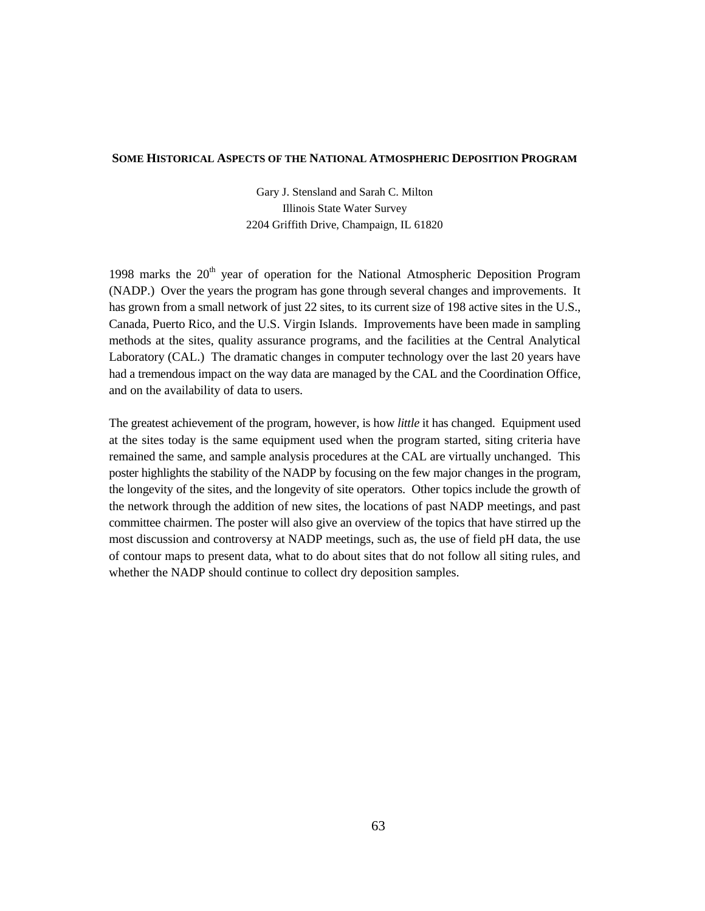#### **SOME HISTORICAL ASPECTS OF THE NATIONAL ATMOSPHERIC DEPOSITION PROGRAM**

Gary J. Stensland and Sarah C. Milton Illinois State Water Survey 2204 Griffith Drive, Champaign, IL 61820

1998 marks the  $20<sup>th</sup>$  year of operation for the National Atmospheric Deposition Program (NADP.) Over the years the program has gone through several changes and improvements. It has grown from a small network of just 22 sites, to its current size of 198 active sites in the U.S., Canada, Puerto Rico, and the U.S. Virgin Islands. Improvements have been made in sampling methods at the sites, quality assurance programs, and the facilities at the Central Analytical Laboratory (CAL.) The dramatic changes in computer technology over the last 20 years have had a tremendous impact on the way data are managed by the CAL and the Coordination Office, and on the availability of data to users.

The greatest achievement of the program, however, is how *little* it has changed. Equipment used at the sites today is the same equipment used when the program started, siting criteria have remained the same, and sample analysis procedures at the CAL are virtually unchanged. This poster highlights the stability of the NADP by focusing on the few major changes in the program, the longevity of the sites, and the longevity of site operators. Other topics include the growth of the network through the addition of new sites, the locations of past NADP meetings, and past committee chairmen. The poster will also give an overview of the topics that have stirred up the most discussion and controversy at NADP meetings, such as, the use of field pH data, the use of contour maps to present data, what to do about sites that do not follow all siting rules, and whether the NADP should continue to collect dry deposition samples.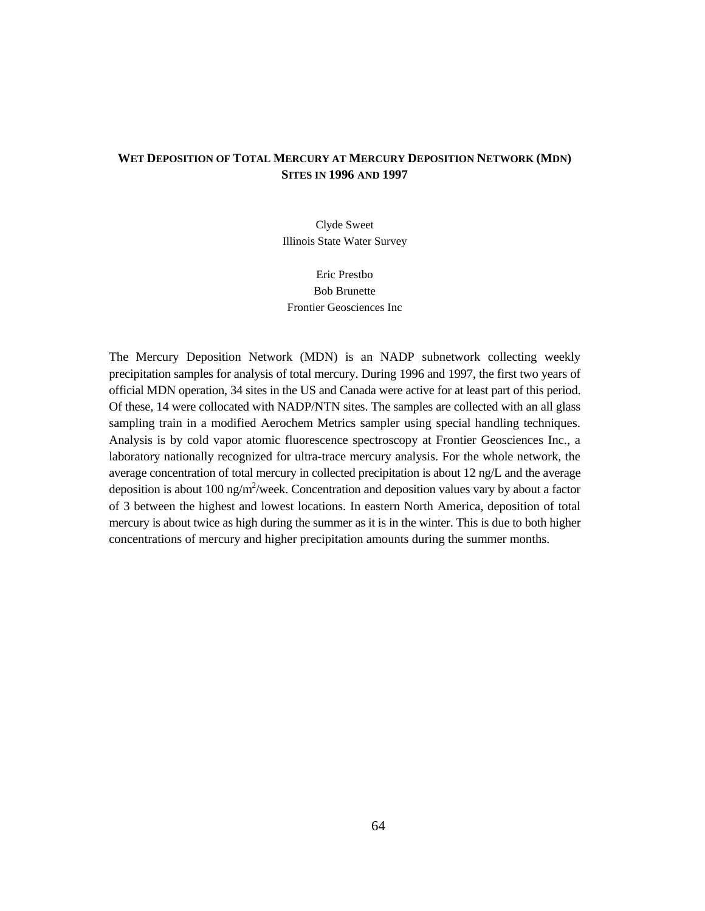## WET DEPOSITION OF TOTAL MERCURY AT MERCURY DEPOSITION NETWORK (MDN) **SITES IN 1996 AND 1997**

Clyde Sweet Illinois State Water Survey

Eric Prestbo Bob Brunette Frontier Geosciences Inc

The Mercury Deposition Network (MDN) is an NADP subnetwork collecting weekly precipitation samples for analysis of total mercury. During 1996 and 1997, the first two years of official MDN operation, 34 sites in the US and Canada were active for at least part of this period. Of these, 14 were collocated with NADP/NTN sites. The samples are collected with an all glass sampling train in a modified Aerochem Metrics sampler using special handling techniques. Analysis is by cold vapor atomic fluorescence spectroscopy at Frontier Geosciences Inc., a laboratory nationally recognized for ultra-trace mercury analysis. For the whole network, the average concentration of total mercury in collected precipitation is about 12 ng/L and the average deposition is about 100 ng/m<sup>2</sup>/week. Concentration and deposition values vary by about a factor of 3 between the highest and lowest locations. In eastern North America, deposition of total mercury is about twice as high during the summer as it is in the winter. This is due to both higher concentrations of mercury and higher precipitation amounts during the summer months.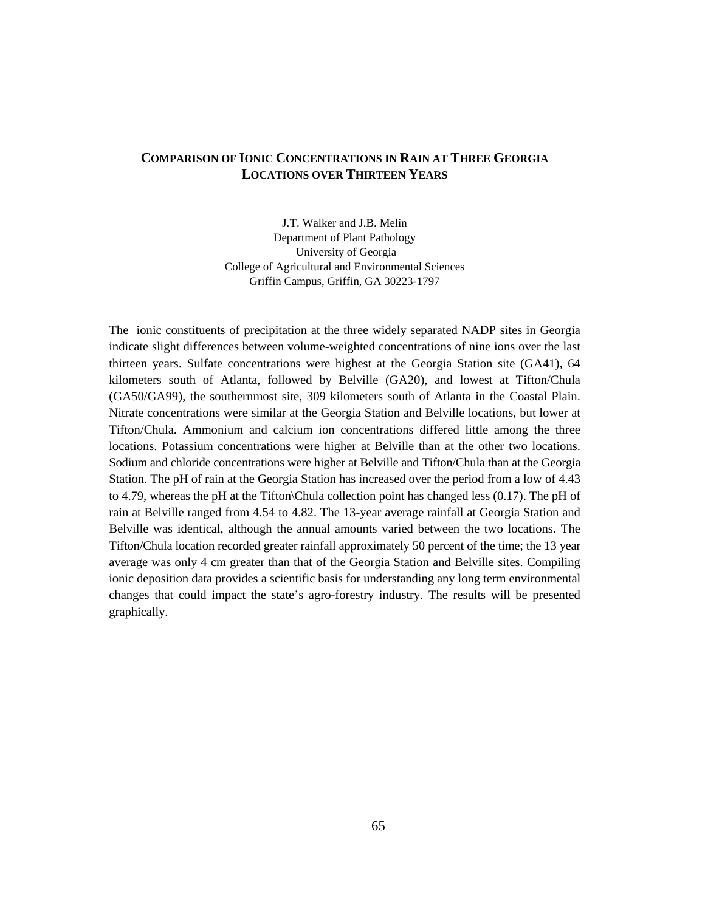## **COMPARISON OF IONIC CONCENTRATIONS IN RAIN AT THREE GEORGIA LOCATIONS OVER THIRTEEN YEARS**

J.T. Walker and J.B. Melin Department of Plant Pathology University of Georgia College of Agricultural and Environmental Sciences Griffin Campus, Griffin, GA 30223-1797

The ionic constituents of precipitation at the three widely separated NADP sites in Georgia indicate slight differences between volume-weighted concentrations of nine ions over the last thirteen years. Sulfate concentrations were highest at the Georgia Station site (GA41), 64 kilometers south of Atlanta, followed by Belville (GA20), and lowest at Tifton/Chula (GA50/GA99), the southernmost site, 309 kilometers south of Atlanta in the Coastal Plain. Nitrate concentrations were similar at the Georgia Station and Belville locations, but lower at Tifton/Chula. Ammonium and calcium ion concentrations differed little among the three locations. Potassium concentrations were higher at Belville than at the other two locations. Sodium and chloride concentrations were higher at Belville and Tifton/Chula than at the Georgia Station. The pH of rain at the Georgia Station has increased over the period from a low of 4.43 to 4.79, whereas the pH at the Tifton\Chula collection point has changed less (0.17). The pH of rain at Belville ranged from 4.54 to 4.82. The 13-year average rainfall at Georgia Station and Belville was identical, although the annual amounts varied between the two locations. The Tifton/Chula location recorded greater rainfall approximately 50 percent of the time; the 13 year average was only 4 cm greater than that of the Georgia Station and Belville sites. Compiling ionic deposition data provides a scientific basis for understanding any long term environmental changes that could impact the state's agro-forestry industry. The results will be presented graphically.